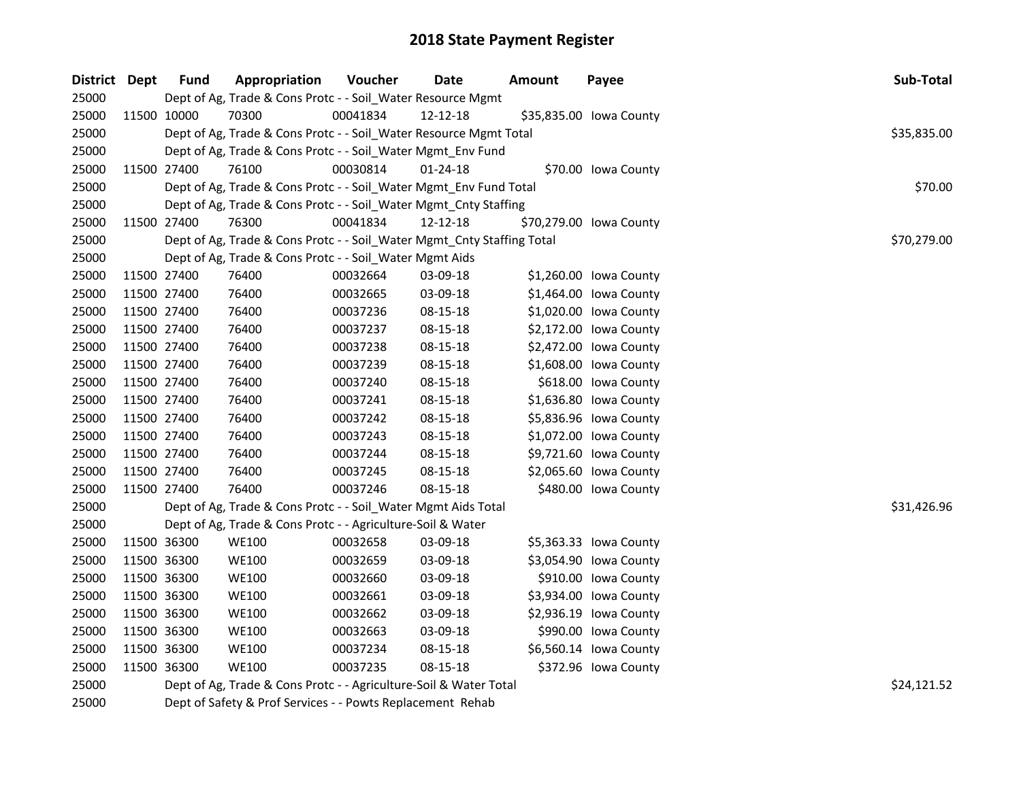| District Dept | <b>Fund</b> | Appropriation                                                          | Voucher  | <b>Date</b>    | <b>Amount</b> | Payee                   | Sub-Total   |
|---------------|-------------|------------------------------------------------------------------------|----------|----------------|---------------|-------------------------|-------------|
| 25000         |             | Dept of Ag, Trade & Cons Protc - - Soil_Water Resource Mgmt            |          |                |               |                         |             |
| 25000         | 11500 10000 | 70300                                                                  | 00041834 | 12-12-18       |               | \$35,835.00 Iowa County |             |
| 25000         |             | Dept of Ag, Trade & Cons Protc - - Soil_Water Resource Mgmt Total      |          |                |               |                         | \$35,835.00 |
| 25000         |             | Dept of Ag, Trade & Cons Protc - - Soil_Water Mgmt_Env Fund            |          |                |               |                         |             |
| 25000         | 11500 27400 | 76100                                                                  | 00030814 | $01 - 24 - 18$ |               | \$70.00 Iowa County     |             |
| 25000         |             | Dept of Ag, Trade & Cons Protc - - Soil_Water Mgmt_Env Fund Total      |          |                |               |                         | \$70.00     |
| 25000         |             | Dept of Ag, Trade & Cons Protc - - Soil_Water Mgmt_Cnty Staffing       |          |                |               |                         |             |
| 25000         | 11500 27400 | 76300                                                                  | 00041834 | 12-12-18       |               | \$70,279.00 Iowa County |             |
| 25000         |             | Dept of Ag, Trade & Cons Protc - - Soil_Water Mgmt_Cnty Staffing Total |          |                |               |                         | \$70,279.00 |
| 25000         |             | Dept of Ag, Trade & Cons Protc - - Soil_Water Mgmt Aids                |          |                |               |                         |             |
| 25000         | 11500 27400 | 76400                                                                  | 00032664 | 03-09-18       |               | \$1,260.00 Iowa County  |             |
| 25000         | 11500 27400 | 76400                                                                  | 00032665 | 03-09-18       |               | \$1,464.00 lowa County  |             |
| 25000         | 11500 27400 | 76400                                                                  | 00037236 | 08-15-18       |               | \$1,020.00 Iowa County  |             |
| 25000         | 11500 27400 | 76400                                                                  | 00037237 | 08-15-18       |               | \$2,172.00 Iowa County  |             |
| 25000         | 11500 27400 | 76400                                                                  | 00037238 | 08-15-18       |               | \$2,472.00 Iowa County  |             |
| 25000         | 11500 27400 | 76400                                                                  | 00037239 | 08-15-18       |               | \$1,608.00 lowa County  |             |
| 25000         | 11500 27400 | 76400                                                                  | 00037240 | 08-15-18       |               | \$618.00 Iowa County    |             |
| 25000         | 11500 27400 | 76400                                                                  | 00037241 | 08-15-18       |               | \$1,636.80 Iowa County  |             |
| 25000         | 11500 27400 | 76400                                                                  | 00037242 | 08-15-18       |               | \$5,836.96 Iowa County  |             |
| 25000         | 11500 27400 | 76400                                                                  | 00037243 | 08-15-18       |               | \$1,072.00 Iowa County  |             |
| 25000         | 11500 27400 | 76400                                                                  | 00037244 | 08-15-18       |               | \$9,721.60 Iowa County  |             |
| 25000         | 11500 27400 | 76400                                                                  | 00037245 | 08-15-18       |               | \$2,065.60 Iowa County  |             |
| 25000         | 11500 27400 | 76400                                                                  | 00037246 | 08-15-18       |               | \$480.00 Iowa County    |             |
| 25000         |             | Dept of Ag, Trade & Cons Protc - - Soil_Water Mgmt Aids Total          |          |                |               |                         | \$31,426.96 |
| 25000         |             | Dept of Ag, Trade & Cons Protc - - Agriculture-Soil & Water            |          |                |               |                         |             |
| 25000         | 11500 36300 | <b>WE100</b>                                                           | 00032658 | 03-09-18       |               | \$5,363.33 Iowa County  |             |
| 25000         | 11500 36300 | <b>WE100</b>                                                           | 00032659 | 03-09-18       |               | \$3,054.90 Iowa County  |             |
| 25000         | 11500 36300 | <b>WE100</b>                                                           | 00032660 | 03-09-18       |               | \$910.00 Iowa County    |             |
| 25000         | 11500 36300 | <b>WE100</b>                                                           | 00032661 | 03-09-18       |               | \$3,934.00 Iowa County  |             |
| 25000         | 11500 36300 | <b>WE100</b>                                                           | 00032662 | 03-09-18       |               | \$2,936.19 Iowa County  |             |
| 25000         | 11500 36300 | <b>WE100</b>                                                           | 00032663 | 03-09-18       |               | \$990.00 Iowa County    |             |
| 25000         | 11500 36300 | <b>WE100</b>                                                           | 00037234 | 08-15-18       |               | \$6,560.14 Iowa County  |             |
| 25000         | 11500 36300 | <b>WE100</b>                                                           | 00037235 | 08-15-18       |               | \$372.96 Iowa County    |             |
| 25000         |             | Dept of Ag, Trade & Cons Protc - - Agriculture-Soil & Water Total      |          |                |               |                         | \$24,121.52 |
| 25000         |             | Dept of Safety & Prof Services - - Powts Replacement Rehab             |          |                |               |                         |             |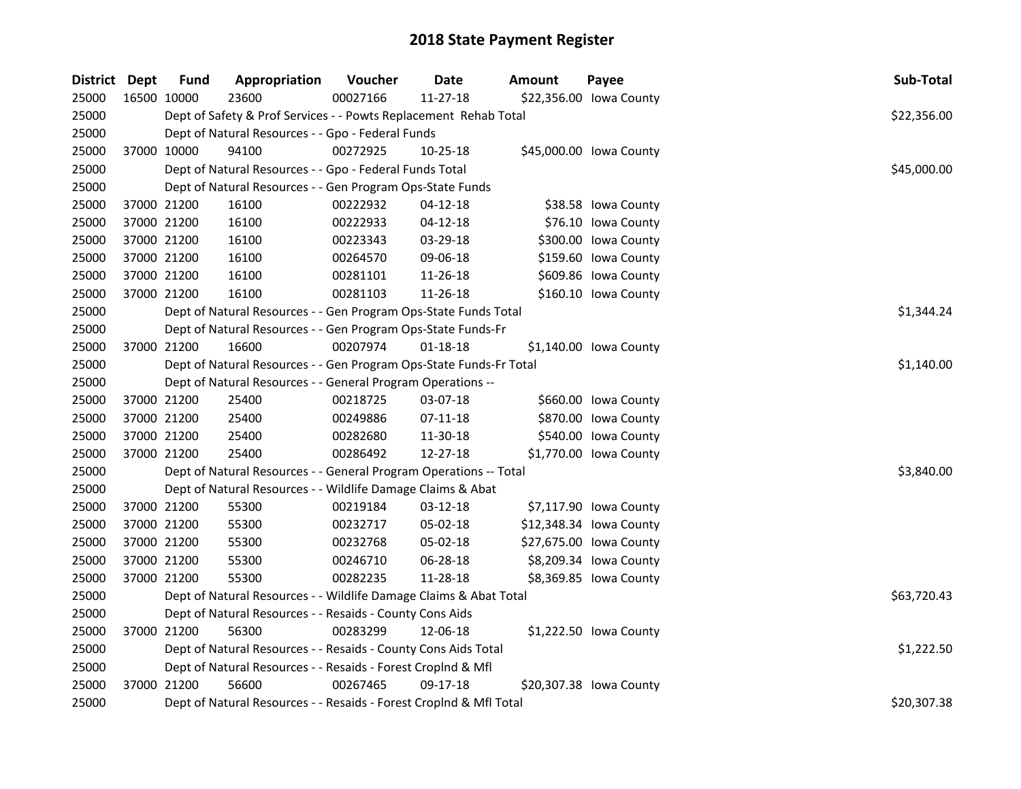| District Dept | <b>Fund</b> | Appropriation                                                      | Voucher  | <b>Date</b>    | <b>Amount</b> | Payee                   | Sub-Total   |  |  |  |
|---------------|-------------|--------------------------------------------------------------------|----------|----------------|---------------|-------------------------|-------------|--|--|--|
| 25000         | 16500 10000 | 23600                                                              | 00027166 | $11 - 27 - 18$ |               | \$22,356.00 Iowa County |             |  |  |  |
| 25000         |             | Dept of Safety & Prof Services - - Powts Replacement Rehab Total   |          |                |               |                         | \$22,356.00 |  |  |  |
| 25000         |             | Dept of Natural Resources - - Gpo - Federal Funds                  |          |                |               |                         |             |  |  |  |
| 25000         | 37000 10000 | 94100                                                              | 00272925 | 10-25-18       |               | \$45,000.00 Iowa County |             |  |  |  |
| 25000         |             | Dept of Natural Resources - - Gpo - Federal Funds Total            |          |                |               |                         | \$45,000.00 |  |  |  |
| 25000         |             | Dept of Natural Resources - - Gen Program Ops-State Funds          |          |                |               |                         |             |  |  |  |
| 25000         | 37000 21200 | 16100                                                              | 00222932 | $04 - 12 - 18$ |               | \$38.58 Iowa County     |             |  |  |  |
| 25000         | 37000 21200 | 16100                                                              | 00222933 | $04 - 12 - 18$ |               | \$76.10 Iowa County     |             |  |  |  |
| 25000         | 37000 21200 | 16100                                                              | 00223343 | 03-29-18       |               | \$300.00 Iowa County    |             |  |  |  |
| 25000         | 37000 21200 | 16100                                                              | 00264570 | 09-06-18       |               | \$159.60 lowa County    |             |  |  |  |
| 25000         | 37000 21200 | 16100                                                              | 00281101 | 11-26-18       |               | \$609.86 Iowa County    |             |  |  |  |
| 25000         | 37000 21200 | 16100                                                              | 00281103 | 11-26-18       |               | \$160.10 Iowa County    |             |  |  |  |
| 25000         |             | Dept of Natural Resources - - Gen Program Ops-State Funds Total    |          |                |               |                         | \$1,344.24  |  |  |  |
| 25000         |             | Dept of Natural Resources - - Gen Program Ops-State Funds-Fr       |          |                |               |                         |             |  |  |  |
| 25000         | 37000 21200 | 16600                                                              | 00207974 | $01 - 18 - 18$ |               | \$1,140.00 lowa County  |             |  |  |  |
| 25000         |             | Dept of Natural Resources - - Gen Program Ops-State Funds-Fr Total |          |                |               |                         | \$1,140.00  |  |  |  |
| 25000         |             | Dept of Natural Resources - - General Program Operations --        |          |                |               |                         |             |  |  |  |
| 25000         | 37000 21200 | 25400                                                              | 00218725 | 03-07-18       |               | \$660.00 Iowa County    |             |  |  |  |
| 25000         | 37000 21200 | 25400                                                              | 00249886 | $07 - 11 - 18$ |               | \$870.00 Iowa County    |             |  |  |  |
| 25000         | 37000 21200 | 25400                                                              | 00282680 | 11-30-18       |               | \$540.00 lowa County    |             |  |  |  |
| 25000         | 37000 21200 | 25400                                                              | 00286492 | 12-27-18       |               | \$1,770.00 Iowa County  |             |  |  |  |
| 25000         |             | Dept of Natural Resources - - General Program Operations -- Total  |          |                |               |                         | \$3,840.00  |  |  |  |
| 25000         |             | Dept of Natural Resources - - Wildlife Damage Claims & Abat        |          |                |               |                         |             |  |  |  |
| 25000         | 37000 21200 | 55300                                                              | 00219184 | 03-12-18       |               | \$7,117.90 Iowa County  |             |  |  |  |
| 25000         | 37000 21200 | 55300                                                              | 00232717 | 05-02-18       |               | \$12,348.34 lowa County |             |  |  |  |
| 25000         | 37000 21200 | 55300                                                              | 00232768 | 05-02-18       |               | \$27,675.00 Iowa County |             |  |  |  |
| 25000         | 37000 21200 | 55300                                                              | 00246710 | 06-28-18       |               | \$8,209.34 Iowa County  |             |  |  |  |
| 25000         | 37000 21200 | 55300                                                              | 00282235 | 11-28-18       |               | \$8,369.85 Iowa County  |             |  |  |  |
| 25000         |             | Dept of Natural Resources - - Wildlife Damage Claims & Abat Total  |          |                |               |                         | \$63,720.43 |  |  |  |
| 25000         |             | Dept of Natural Resources - - Resaids - County Cons Aids           |          |                |               |                         |             |  |  |  |
| 25000         | 37000 21200 | 56300                                                              | 00283299 | 12-06-18       |               | \$1,222.50 Iowa County  |             |  |  |  |
| 25000         |             | Dept of Natural Resources - - Resaids - County Cons Aids Total     |          |                |               |                         | \$1,222.50  |  |  |  |
| 25000         |             | Dept of Natural Resources - - Resaids - Forest Croplnd & Mfl       |          |                |               |                         |             |  |  |  |
| 25000         | 37000 21200 | 56600                                                              | 00267465 | 09-17-18       |               | \$20,307.38 Iowa County |             |  |  |  |
| 25000         |             | Dept of Natural Resources - - Resaids - Forest CropInd & Mfl Total |          |                |               |                         | \$20,307.38 |  |  |  |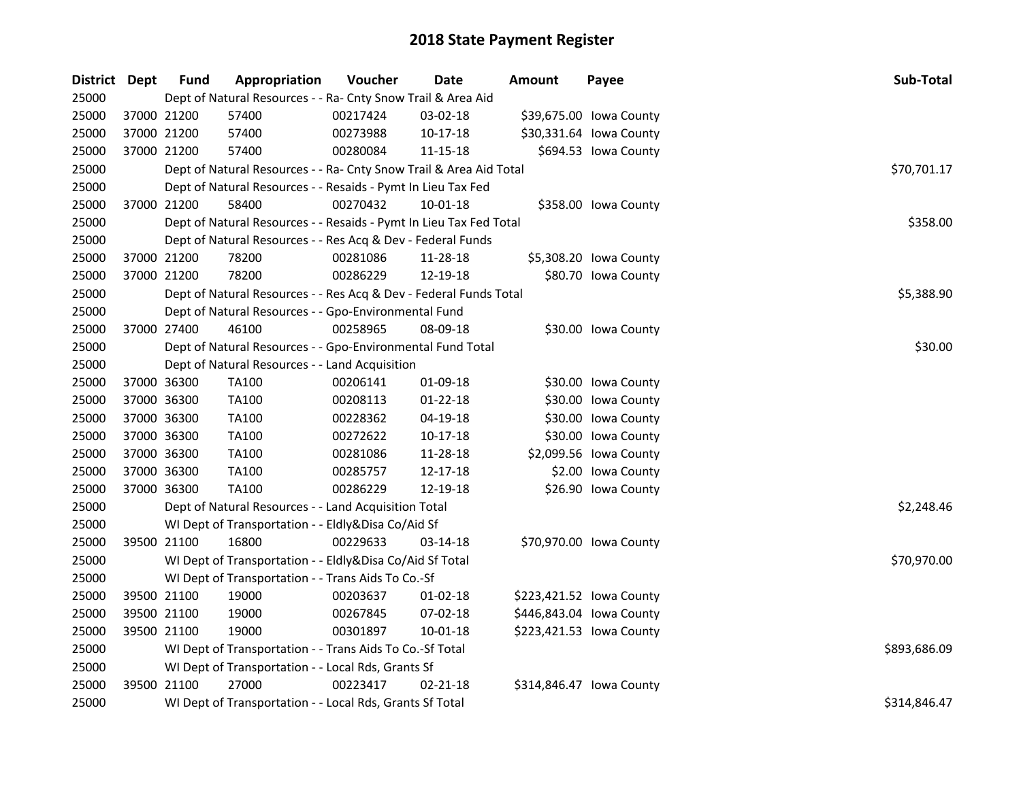| District Dept |             | <b>Fund</b> | Appropriation                                                      | Voucher  | <b>Date</b>    | <b>Amount</b> | Payee                    | Sub-Total    |
|---------------|-------------|-------------|--------------------------------------------------------------------|----------|----------------|---------------|--------------------------|--------------|
| 25000         |             |             | Dept of Natural Resources - - Ra- Cnty Snow Trail & Area Aid       |          |                |               |                          |              |
| 25000         |             | 37000 21200 | 57400                                                              | 00217424 | 03-02-18       |               | \$39,675.00 Iowa County  |              |
| 25000         |             | 37000 21200 | 57400                                                              | 00273988 | $10-17-18$     |               | \$30,331.64 lowa County  |              |
| 25000         |             | 37000 21200 | 57400                                                              | 00280084 | 11-15-18       |               | \$694.53 Iowa County     |              |
| 25000         |             |             | Dept of Natural Resources - - Ra- Cnty Snow Trail & Area Aid Total |          |                |               |                          | \$70,701.17  |
| 25000         |             |             | Dept of Natural Resources - - Resaids - Pymt In Lieu Tax Fed       |          |                |               |                          |              |
| 25000         |             | 37000 21200 | 58400                                                              | 00270432 | $10 - 01 - 18$ |               | \$358.00 Iowa County     |              |
| 25000         |             |             | Dept of Natural Resources - - Resaids - Pymt In Lieu Tax Fed Total |          |                |               |                          | \$358.00     |
| 25000         |             |             | Dept of Natural Resources - - Res Acq & Dev - Federal Funds        |          |                |               |                          |              |
| 25000         |             | 37000 21200 | 78200                                                              | 00281086 | 11-28-18       |               | \$5,308.20 Iowa County   |              |
| 25000         |             | 37000 21200 | 78200                                                              | 00286229 | 12-19-18       |               | \$80.70 Iowa County      |              |
| 25000         |             |             | Dept of Natural Resources - - Res Acq & Dev - Federal Funds Total  |          |                |               |                          | \$5,388.90   |
| 25000         |             |             | Dept of Natural Resources - - Gpo-Environmental Fund               |          |                |               |                          |              |
| 25000         |             | 37000 27400 | 46100                                                              | 00258965 | 08-09-18       |               | \$30.00 Iowa County      |              |
| 25000         |             |             | Dept of Natural Resources - - Gpo-Environmental Fund Total         |          |                |               |                          | \$30.00      |
| 25000         |             |             | Dept of Natural Resources - - Land Acquisition                     |          |                |               |                          |              |
| 25000         |             | 37000 36300 | <b>TA100</b>                                                       | 00206141 | 01-09-18       |               | \$30.00 Iowa County      |              |
| 25000         |             | 37000 36300 | <b>TA100</b>                                                       | 00208113 | $01 - 22 - 18$ |               | \$30.00 Iowa County      |              |
| 25000         |             | 37000 36300 | <b>TA100</b>                                                       | 00228362 | 04-19-18       |               | \$30.00 Iowa County      |              |
| 25000         |             | 37000 36300 | TA100                                                              | 00272622 | 10-17-18       |               | \$30.00 Iowa County      |              |
| 25000         |             | 37000 36300 | TA100                                                              | 00281086 | 11-28-18       |               | \$2,099.56 Iowa County   |              |
| 25000         |             | 37000 36300 | <b>TA100</b>                                                       | 00285757 | 12-17-18       |               | \$2.00 Iowa County       |              |
| 25000         |             | 37000 36300 | <b>TA100</b>                                                       | 00286229 | 12-19-18       |               | \$26.90 Iowa County      |              |
| 25000         |             |             | Dept of Natural Resources - - Land Acquisition Total               |          |                |               |                          | \$2,248.46   |
| 25000         |             |             | WI Dept of Transportation - - Eldly&Disa Co/Aid Sf                 |          |                |               |                          |              |
| 25000         | 39500 21100 |             | 16800                                                              | 00229633 | 03-14-18       |               | \$70,970.00 Iowa County  |              |
| 25000         |             |             | WI Dept of Transportation - - Eldly&Disa Co/Aid Sf Total           |          |                |               |                          | \$70,970.00  |
| 25000         |             |             | WI Dept of Transportation - - Trans Aids To Co.-Sf                 |          |                |               |                          |              |
| 25000         |             | 39500 21100 | 19000                                                              | 00203637 | $01 - 02 - 18$ |               | \$223,421.52 lowa County |              |
| 25000         |             | 39500 21100 | 19000                                                              | 00267845 | 07-02-18       |               | \$446,843.04 lowa County |              |
| 25000         |             | 39500 21100 | 19000                                                              | 00301897 | 10-01-18       |               | \$223,421.53 Iowa County |              |
| 25000         |             |             | WI Dept of Transportation - - Trans Aids To Co.-Sf Total           |          |                |               |                          | \$893,686.09 |
| 25000         |             |             | WI Dept of Transportation - - Local Rds, Grants Sf                 |          |                |               |                          |              |
| 25000         |             | 39500 21100 | 27000                                                              | 00223417 | $02 - 21 - 18$ |               | \$314,846.47 Iowa County |              |
| 25000         |             |             | WI Dept of Transportation - - Local Rds, Grants Sf Total           |          |                |               |                          | \$314,846.47 |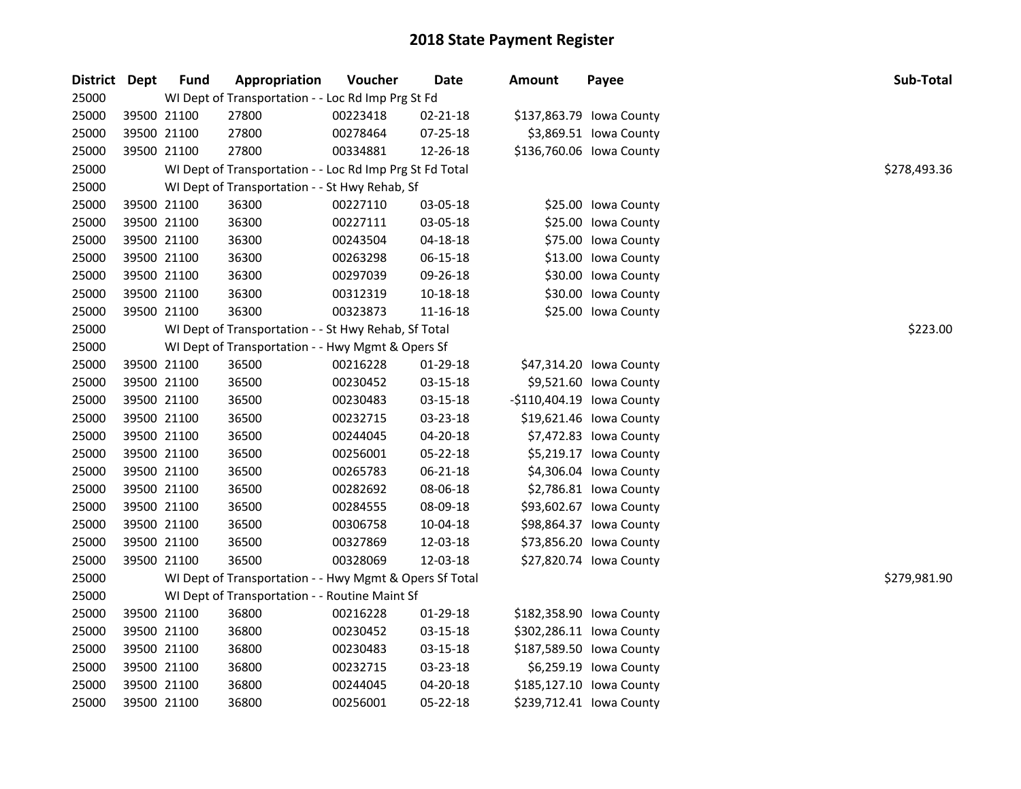| District Dept | <b>Fund</b> | Appropriation                                            | Voucher  | Date     | <b>Amount</b> | Payee                     | Sub-Total    |
|---------------|-------------|----------------------------------------------------------|----------|----------|---------------|---------------------------|--------------|
| 25000         |             | WI Dept of Transportation - - Loc Rd Imp Prg St Fd       |          |          |               |                           |              |
| 25000         | 39500 21100 | 27800                                                    | 00223418 | 02-21-18 |               | \$137,863.79 Iowa County  |              |
| 25000         | 39500 21100 | 27800                                                    | 00278464 | 07-25-18 |               | \$3,869.51 Iowa County    |              |
| 25000         | 39500 21100 | 27800                                                    | 00334881 | 12-26-18 |               | \$136,760.06 Iowa County  |              |
| 25000         |             | WI Dept of Transportation - - Loc Rd Imp Prg St Fd Total |          |          |               |                           | \$278,493.36 |
| 25000         |             | WI Dept of Transportation - - St Hwy Rehab, Sf           |          |          |               |                           |              |
| 25000         | 39500 21100 | 36300                                                    | 00227110 | 03-05-18 |               | \$25.00 Iowa County       |              |
| 25000         | 39500 21100 | 36300                                                    | 00227111 | 03-05-18 |               | \$25.00 Iowa County       |              |
| 25000         | 39500 21100 | 36300                                                    | 00243504 | 04-18-18 |               | \$75.00 Iowa County       |              |
| 25000         | 39500 21100 | 36300                                                    | 00263298 | 06-15-18 |               | \$13.00 Iowa County       |              |
| 25000         | 39500 21100 | 36300                                                    | 00297039 | 09-26-18 |               | \$30.00 Iowa County       |              |
| 25000         | 39500 21100 | 36300                                                    | 00312319 | 10-18-18 |               | \$30.00 Iowa County       |              |
| 25000         | 39500 21100 | 36300                                                    | 00323873 | 11-16-18 |               | \$25.00 Iowa County       |              |
| 25000         |             | WI Dept of Transportation - - St Hwy Rehab, Sf Total     |          |          |               |                           | \$223.00     |
| 25000         |             | WI Dept of Transportation - - Hwy Mgmt & Opers Sf        |          |          |               |                           |              |
| 25000         | 39500 21100 | 36500                                                    | 00216228 | 01-29-18 |               | \$47,314.20 Iowa County   |              |
| 25000         | 39500 21100 | 36500                                                    | 00230452 | 03-15-18 |               | \$9,521.60 Iowa County    |              |
| 25000         | 39500 21100 | 36500                                                    | 00230483 | 03-15-18 |               | -\$110,404.19 lowa County |              |
| 25000         | 39500 21100 | 36500                                                    | 00232715 | 03-23-18 |               | \$19,621.46 Iowa County   |              |
| 25000         | 39500 21100 | 36500                                                    | 00244045 | 04-20-18 |               | \$7,472.83 Iowa County    |              |
| 25000         | 39500 21100 | 36500                                                    | 00256001 | 05-22-18 |               | \$5,219.17 Iowa County    |              |
| 25000         | 39500 21100 | 36500                                                    | 00265783 | 06-21-18 |               | \$4,306.04 Iowa County    |              |
| 25000         | 39500 21100 | 36500                                                    | 00282692 | 08-06-18 |               | \$2,786.81 Iowa County    |              |
| 25000         | 39500 21100 | 36500                                                    | 00284555 | 08-09-18 |               | \$93,602.67 Iowa County   |              |
| 25000         | 39500 21100 | 36500                                                    | 00306758 | 10-04-18 |               | \$98,864.37 Iowa County   |              |
| 25000         | 39500 21100 | 36500                                                    | 00327869 | 12-03-18 |               | \$73,856.20 Iowa County   |              |
| 25000         | 39500 21100 | 36500                                                    | 00328069 | 12-03-18 |               | \$27,820.74 Iowa County   |              |
| 25000         |             | WI Dept of Transportation - - Hwy Mgmt & Opers Sf Total  |          |          |               |                           | \$279,981.90 |
| 25000         |             | WI Dept of Transportation - - Routine Maint Sf           |          |          |               |                           |              |
| 25000         | 39500 21100 | 36800                                                    | 00216228 | 01-29-18 |               | \$182,358.90 Iowa County  |              |
| 25000         | 39500 21100 | 36800                                                    | 00230452 | 03-15-18 |               | \$302,286.11 Iowa County  |              |
| 25000         | 39500 21100 | 36800                                                    | 00230483 | 03-15-18 |               | \$187,589.50 Iowa County  |              |
| 25000         | 39500 21100 | 36800                                                    | 00232715 | 03-23-18 |               | \$6,259.19 Iowa County    |              |
| 25000         | 39500 21100 | 36800                                                    | 00244045 | 04-20-18 |               | \$185,127.10 Iowa County  |              |
| 25000         | 39500 21100 | 36800                                                    | 00256001 | 05-22-18 |               | \$239,712.41 Iowa County  |              |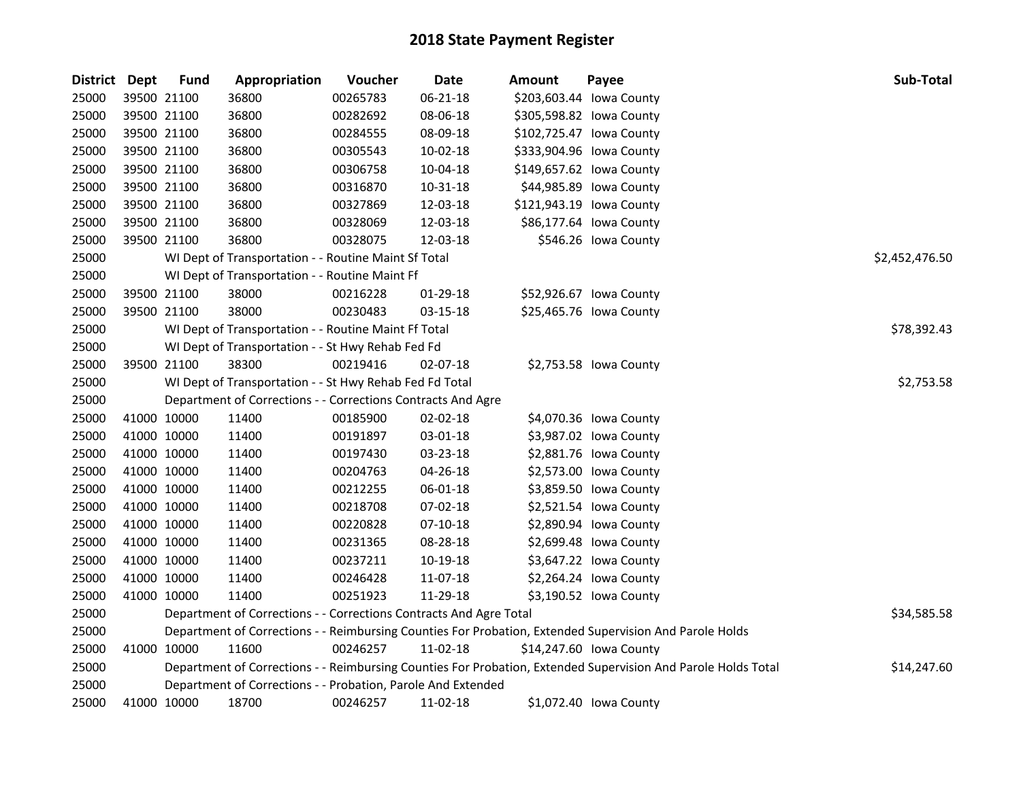| <b>District Dept</b> | <b>Fund</b> | Appropriation                                                      | Voucher  | Date       | <b>Amount</b> | Payee                                                                                                         | Sub-Total      |
|----------------------|-------------|--------------------------------------------------------------------|----------|------------|---------------|---------------------------------------------------------------------------------------------------------------|----------------|
| 25000                | 39500 21100 | 36800                                                              | 00265783 | 06-21-18   |               | \$203,603.44 Iowa County                                                                                      |                |
| 25000                | 39500 21100 | 36800                                                              | 00282692 | 08-06-18   |               | \$305,598.82 lowa County                                                                                      |                |
| 25000                | 39500 21100 | 36800                                                              | 00284555 | 08-09-18   |               | \$102,725.47 Iowa County                                                                                      |                |
| 25000                | 39500 21100 | 36800                                                              | 00305543 | 10-02-18   |               | \$333,904.96 Iowa County                                                                                      |                |
| 25000                | 39500 21100 | 36800                                                              | 00306758 | 10-04-18   |               | \$149,657.62 lowa County                                                                                      |                |
| 25000                | 39500 21100 | 36800                                                              | 00316870 | 10-31-18   |               | \$44,985.89 Iowa County                                                                                       |                |
| 25000                | 39500 21100 | 36800                                                              | 00327869 | 12-03-18   |               | \$121,943.19 Iowa County                                                                                      |                |
| 25000                | 39500 21100 | 36800                                                              | 00328069 | 12-03-18   |               | \$86,177.64 Iowa County                                                                                       |                |
| 25000                | 39500 21100 | 36800                                                              | 00328075 | 12-03-18   |               | \$546.26 Iowa County                                                                                          |                |
| 25000                |             | WI Dept of Transportation - - Routine Maint Sf Total               |          |            |               |                                                                                                               | \$2,452,476.50 |
| 25000                |             | WI Dept of Transportation - - Routine Maint Ff                     |          |            |               |                                                                                                               |                |
| 25000                | 39500 21100 | 38000                                                              | 00216228 | 01-29-18   |               | \$52,926.67 Iowa County                                                                                       |                |
| 25000                | 39500 21100 | 38000                                                              | 00230483 | 03-15-18   |               | \$25,465.76 Iowa County                                                                                       |                |
| 25000                |             | WI Dept of Transportation - - Routine Maint Ff Total               |          |            |               |                                                                                                               | \$78,392.43    |
| 25000                |             | WI Dept of Transportation - - St Hwy Rehab Fed Fd                  |          |            |               |                                                                                                               |                |
| 25000                | 39500 21100 | 38300                                                              | 00219416 | 02-07-18   |               | \$2,753.58 Iowa County                                                                                        |                |
| 25000                |             | WI Dept of Transportation - - St Hwy Rehab Fed Fd Total            |          |            |               |                                                                                                               | \$2,753.58     |
| 25000                |             | Department of Corrections - - Corrections Contracts And Agre       |          |            |               |                                                                                                               |                |
| 25000                | 41000 10000 | 11400                                                              | 00185900 | 02-02-18   |               | \$4,070.36 Iowa County                                                                                        |                |
| 25000                | 41000 10000 | 11400                                                              | 00191897 | 03-01-18   |               | \$3,987.02 lowa County                                                                                        |                |
| 25000                | 41000 10000 | 11400                                                              | 00197430 | 03-23-18   |               | \$2,881.76 lowa County                                                                                        |                |
| 25000                | 41000 10000 | 11400                                                              | 00204763 | 04-26-18   |               | \$2,573.00 Iowa County                                                                                        |                |
| 25000                | 41000 10000 | 11400                                                              | 00212255 | 06-01-18   |               | \$3,859.50 Iowa County                                                                                        |                |
| 25000                | 41000 10000 | 11400                                                              | 00218708 | 07-02-18   |               | \$2,521.54 lowa County                                                                                        |                |
| 25000                | 41000 10000 | 11400                                                              | 00220828 | $07-10-18$ |               | \$2,890.94 Iowa County                                                                                        |                |
| 25000                | 41000 10000 | 11400                                                              | 00231365 | 08-28-18   |               | \$2,699.48 Iowa County                                                                                        |                |
| 25000                | 41000 10000 | 11400                                                              | 00237211 | 10-19-18   |               | \$3,647.22 lowa County                                                                                        |                |
| 25000                | 41000 10000 | 11400                                                              | 00246428 | 11-07-18   |               | \$2,264.24 Iowa County                                                                                        |                |
| 25000                | 41000 10000 | 11400                                                              | 00251923 | 11-29-18   |               | \$3,190.52 lowa County                                                                                        |                |
| 25000                |             | Department of Corrections - - Corrections Contracts And Agre Total |          |            |               |                                                                                                               | \$34,585.58    |
| 25000                |             |                                                                    |          |            |               | Department of Corrections - - Reimbursing Counties For Probation, Extended Supervision And Parole Holds       |                |
| 25000                | 41000 10000 | 11600                                                              | 00246257 | 11-02-18   |               | \$14,247.60 Iowa County                                                                                       |                |
| 25000                |             |                                                                    |          |            |               | Department of Corrections - - Reimbursing Counties For Probation, Extended Supervision And Parole Holds Total | \$14,247.60    |
| 25000                |             | Department of Corrections - - Probation, Parole And Extended       |          |            |               |                                                                                                               |                |
| 25000                | 41000 10000 | 18700                                                              | 00246257 | 11-02-18   |               | \$1,072.40 Iowa County                                                                                        |                |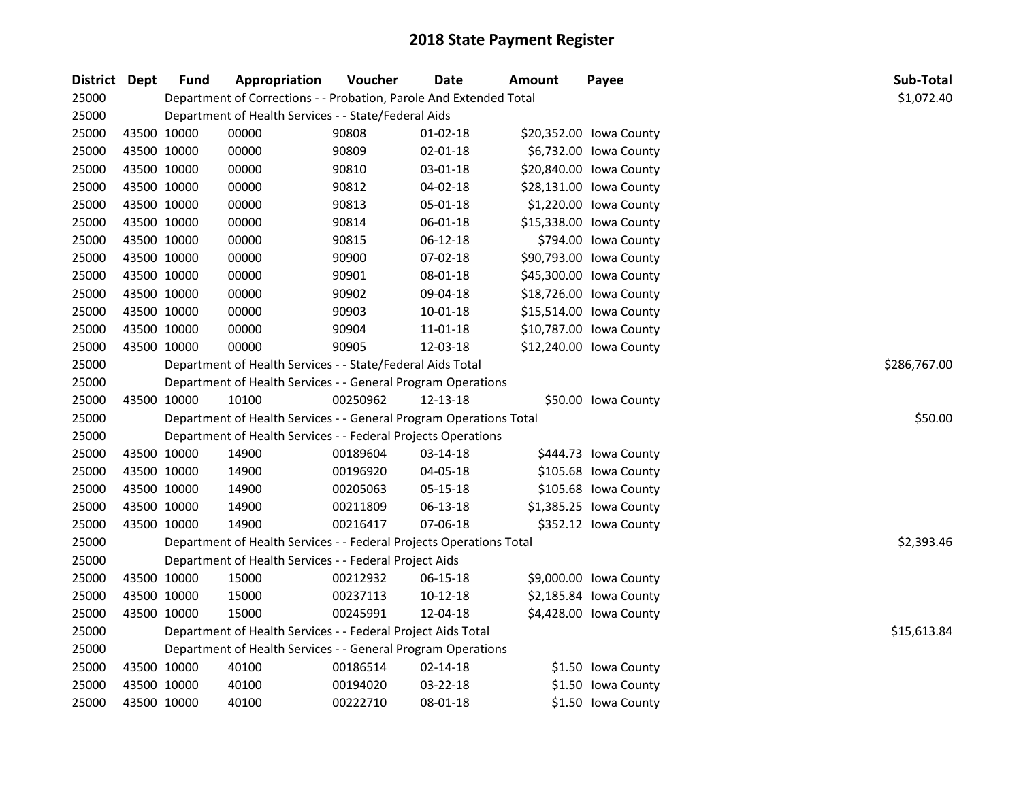| District Dept |             | <b>Fund</b> | Appropriation                                                       | Voucher      | <b>Date</b>    | <b>Amount</b> | Payee                   | Sub-Total   |  |  |
|---------------|-------------|-------------|---------------------------------------------------------------------|--------------|----------------|---------------|-------------------------|-------------|--|--|
| 25000         |             |             | Department of Corrections - - Probation, Parole And Extended Total  |              |                |               |                         | \$1,072.40  |  |  |
| 25000         |             |             | Department of Health Services - - State/Federal Aids                |              |                |               |                         |             |  |  |
| 25000         | 43500 10000 |             | 00000                                                               | 90808        | 01-02-18       |               | \$20,352.00 Iowa County |             |  |  |
| 25000         | 43500 10000 |             | 00000                                                               | 90809        | 02-01-18       |               | \$6,732.00 Iowa County  |             |  |  |
| 25000         | 43500 10000 |             | 00000                                                               | 90810        | 03-01-18       |               | \$20,840.00 Iowa County |             |  |  |
| 25000         | 43500 10000 |             | 00000                                                               | 90812        | 04-02-18       |               | \$28,131.00 Iowa County |             |  |  |
| 25000         | 43500 10000 |             | 00000                                                               | 90813        | 05-01-18       |               | \$1,220.00 Iowa County  |             |  |  |
| 25000         | 43500 10000 |             | 00000                                                               | 90814        | 06-01-18       |               | \$15,338.00 Iowa County |             |  |  |
| 25000         | 43500 10000 |             | 00000                                                               | 90815        | 06-12-18       |               | \$794.00 Iowa County    |             |  |  |
| 25000         | 43500 10000 |             | 00000                                                               | 90900        | 07-02-18       |               | \$90,793.00 Iowa County |             |  |  |
| 25000         | 43500 10000 |             | 00000                                                               | 90901        | 08-01-18       |               | \$45,300.00 Iowa County |             |  |  |
| 25000         | 43500 10000 |             | 00000                                                               | 90902        | 09-04-18       |               | \$18,726.00 Iowa County |             |  |  |
| 25000         | 43500 10000 |             | 00000                                                               | 90903        | 10-01-18       |               | \$15,514.00 Iowa County |             |  |  |
| 25000         | 43500 10000 |             | 00000                                                               | 90904        | 11-01-18       |               | \$10,787.00 Iowa County |             |  |  |
| 25000         | 43500 10000 |             | 00000                                                               | 90905        | 12-03-18       |               | \$12,240.00 Iowa County |             |  |  |
| 25000         |             |             | Department of Health Services - - State/Federal Aids Total          | \$286,767.00 |                |               |                         |             |  |  |
| 25000         |             |             | Department of Health Services - - General Program Operations        |              |                |               |                         |             |  |  |
| 25000         | 43500 10000 |             | 10100                                                               | 00250962     | 12-13-18       |               | \$50.00 Iowa County     |             |  |  |
| 25000         |             |             | Department of Health Services - - General Program Operations Total  |              |                |               |                         | \$50.00     |  |  |
| 25000         |             |             | Department of Health Services - - Federal Projects Operations       |              |                |               |                         |             |  |  |
| 25000         | 43500 10000 |             | 14900                                                               | 00189604     | 03-14-18       |               | \$444.73 Iowa County    |             |  |  |
| 25000         | 43500 10000 |             | 14900                                                               | 00196920     | 04-05-18       |               | \$105.68 Iowa County    |             |  |  |
| 25000         | 43500 10000 |             | 14900                                                               | 00205063     | 05-15-18       |               | \$105.68 lowa County    |             |  |  |
| 25000         | 43500 10000 |             | 14900                                                               | 00211809     | 06-13-18       |               | \$1,385.25 Iowa County  |             |  |  |
| 25000         | 43500 10000 |             | 14900                                                               | 00216417     | 07-06-18       |               | \$352.12 Iowa County    |             |  |  |
| 25000         |             |             | Department of Health Services - - Federal Projects Operations Total |              |                |               |                         | \$2,393.46  |  |  |
| 25000         |             |             | Department of Health Services - - Federal Project Aids              |              |                |               |                         |             |  |  |
| 25000         | 43500 10000 |             | 15000                                                               | 00212932     | 06-15-18       |               | \$9,000.00 Iowa County  |             |  |  |
| 25000         | 43500 10000 |             | 15000                                                               | 00237113     | $10-12-18$     |               | \$2,185.84 Iowa County  |             |  |  |
| 25000         | 43500 10000 |             | 15000                                                               | 00245991     | 12-04-18       |               | \$4,428.00 Iowa County  |             |  |  |
| 25000         |             |             | Department of Health Services - - Federal Project Aids Total        |              |                |               |                         | \$15,613.84 |  |  |
| 25000         |             |             | Department of Health Services - - General Program Operations        |              |                |               |                         |             |  |  |
| 25000         | 43500 10000 |             | 40100                                                               | 00186514     | $02 - 14 - 18$ |               | \$1.50 Iowa County      |             |  |  |
| 25000         | 43500 10000 |             | 40100                                                               | 00194020     | 03-22-18       |               | \$1.50 Iowa County      |             |  |  |
| 25000         | 43500 10000 |             | 40100                                                               | 00222710     | 08-01-18       |               | \$1.50 Iowa County      |             |  |  |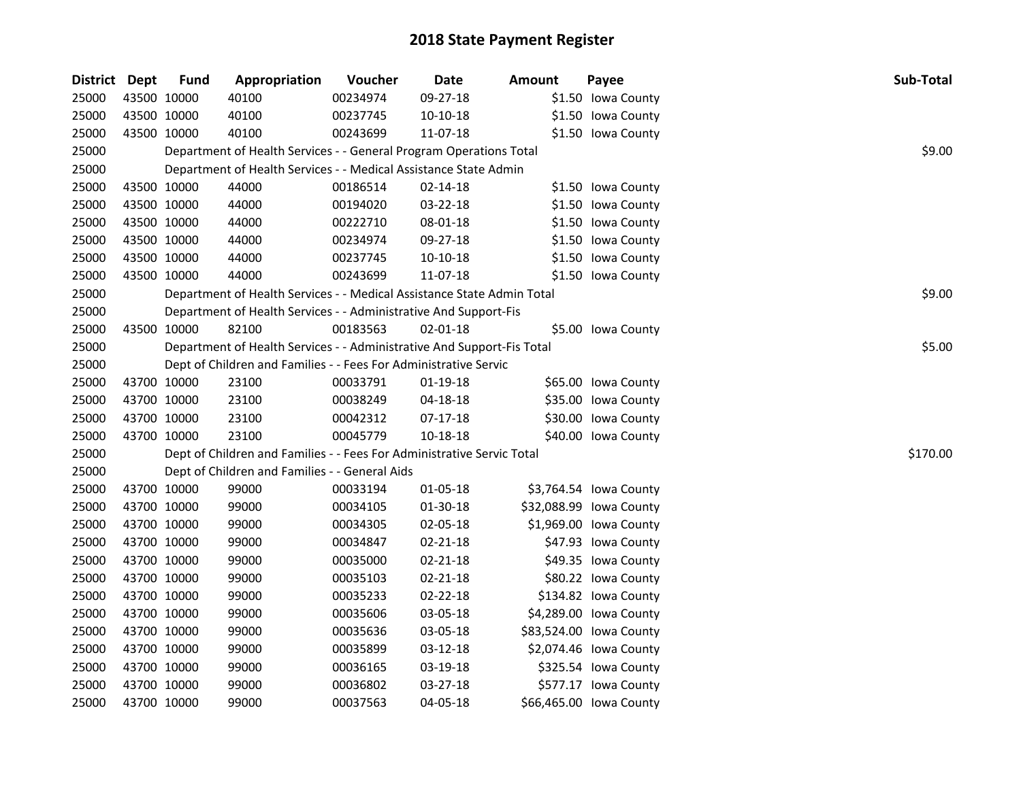| District Dept |             | <b>Fund</b> | Appropriation                                                          | Voucher  | Date       | <b>Amount</b> | Payee                   | Sub-Total |
|---------------|-------------|-------------|------------------------------------------------------------------------|----------|------------|---------------|-------------------------|-----------|
| 25000         | 43500 10000 |             | 40100                                                                  | 00234974 | 09-27-18   |               | \$1.50 Iowa County      |           |
| 25000         | 43500 10000 |             | 40100                                                                  | 00237745 | $10-10-18$ |               | \$1.50 Iowa County      |           |
| 25000         | 43500 10000 |             | 40100                                                                  | 00243699 | 11-07-18   |               | \$1.50 Iowa County      |           |
| 25000         |             |             | Department of Health Services - - General Program Operations Total     |          |            |               |                         | \$9.00    |
| 25000         |             |             | Department of Health Services - - Medical Assistance State Admin       |          |            |               |                         |           |
| 25000         | 43500 10000 |             | 44000                                                                  | 00186514 | 02-14-18   |               | \$1.50 Iowa County      |           |
| 25000         | 43500 10000 |             | 44000                                                                  | 00194020 | 03-22-18   |               | \$1.50 Iowa County      |           |
| 25000         | 43500 10000 |             | 44000                                                                  | 00222710 | 08-01-18   |               | \$1.50 Iowa County      |           |
| 25000         | 43500 10000 |             | 44000                                                                  | 00234974 | 09-27-18   |               | \$1.50 Iowa County      |           |
| 25000         | 43500 10000 |             | 44000                                                                  | 00237745 | 10-10-18   |               | \$1.50 Iowa County      |           |
| 25000         | 43500 10000 |             | 44000                                                                  | 00243699 | 11-07-18   |               | \$1.50 Iowa County      |           |
| 25000         |             |             | Department of Health Services - - Medical Assistance State Admin Total |          |            |               |                         | \$9.00    |
| 25000         |             |             | Department of Health Services - - Administrative And Support-Fis       |          |            |               |                         |           |
| 25000         | 43500 10000 |             | 82100                                                                  | 00183563 | 02-01-18   |               | \$5.00 Iowa County      |           |
| 25000         |             |             | Department of Health Services - - Administrative And Support-Fis Total |          |            |               |                         | \$5.00    |
| 25000         |             |             | Dept of Children and Families - - Fees For Administrative Servic       |          |            |               |                         |           |
| 25000         | 43700 10000 |             | 23100                                                                  | 00033791 | 01-19-18   |               | \$65.00 Iowa County     |           |
| 25000         | 43700 10000 |             | 23100                                                                  | 00038249 | 04-18-18   |               | \$35.00 Iowa County     |           |
| 25000         | 43700 10000 |             | 23100                                                                  | 00042312 | $07-17-18$ |               | \$30.00 Iowa County     |           |
| 25000         | 43700 10000 |             | 23100                                                                  | 00045779 | 10-18-18   |               | \$40.00 Iowa County     |           |
| 25000         |             |             | Dept of Children and Families - - Fees For Administrative Servic Total |          |            |               |                         | \$170.00  |
| 25000         |             |             | Dept of Children and Families - - General Aids                         |          |            |               |                         |           |
| 25000         | 43700 10000 |             | 99000                                                                  | 00033194 | 01-05-18   |               | \$3,764.54 Iowa County  |           |
| 25000         | 43700 10000 |             | 99000                                                                  | 00034105 | 01-30-18   |               | \$32,088.99 Iowa County |           |
| 25000         | 43700 10000 |             | 99000                                                                  | 00034305 | 02-05-18   |               | \$1,969.00 Iowa County  |           |
| 25000         | 43700 10000 |             | 99000                                                                  | 00034847 | 02-21-18   |               | \$47.93 Iowa County     |           |
| 25000         | 43700 10000 |             | 99000                                                                  | 00035000 | 02-21-18   |               | \$49.35 Iowa County     |           |
| 25000         | 43700 10000 |             | 99000                                                                  | 00035103 | 02-21-18   |               | \$80.22 lowa County     |           |
| 25000         | 43700 10000 |             | 99000                                                                  | 00035233 | 02-22-18   |               | \$134.82 lowa County    |           |
| 25000         | 43700 10000 |             | 99000                                                                  | 00035606 | 03-05-18   |               | \$4,289.00 Iowa County  |           |
| 25000         | 43700 10000 |             | 99000                                                                  | 00035636 | 03-05-18   |               | \$83,524.00 Iowa County |           |
| 25000         | 43700 10000 |             | 99000                                                                  | 00035899 | 03-12-18   |               | \$2,074.46 lowa County  |           |
| 25000         | 43700 10000 |             | 99000                                                                  | 00036165 | 03-19-18   |               | \$325.54 Iowa County    |           |
| 25000         | 43700 10000 |             | 99000                                                                  | 00036802 | 03-27-18   |               | \$577.17 Iowa County    |           |
| 25000         | 43700 10000 |             | 99000                                                                  | 00037563 | 04-05-18   |               | \$66,465.00 Iowa County |           |
|               |             |             |                                                                        |          |            |               |                         |           |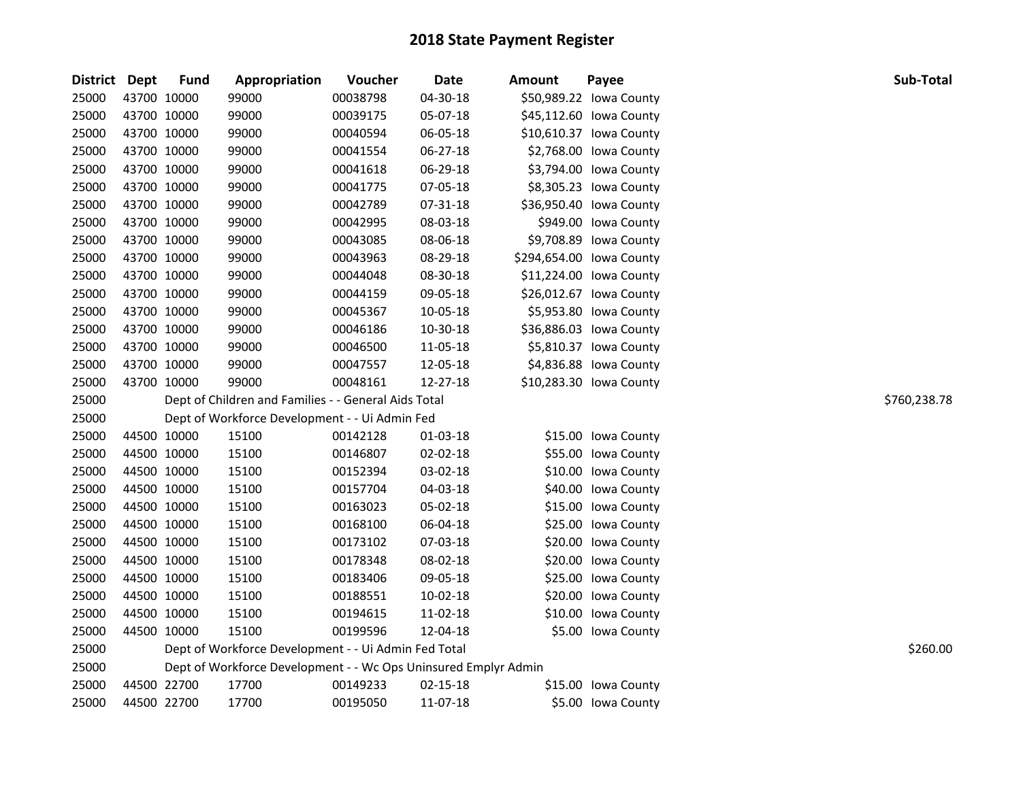| District Dept |             | <b>Fund</b> | Appropriation                                                   | Voucher  | <b>Date</b> | <b>Amount</b> | Payee                    | Sub-Total    |
|---------------|-------------|-------------|-----------------------------------------------------------------|----------|-------------|---------------|--------------------------|--------------|
| 25000         |             | 43700 10000 | 99000                                                           | 00038798 | 04-30-18    |               | \$50,989.22 Iowa County  |              |
| 25000         |             | 43700 10000 | 99000                                                           | 00039175 | 05-07-18    |               | \$45,112.60 Iowa County  |              |
| 25000         |             | 43700 10000 | 99000                                                           | 00040594 | 06-05-18    |               | \$10,610.37 Iowa County  |              |
| 25000         |             | 43700 10000 | 99000                                                           | 00041554 | 06-27-18    |               | \$2,768.00 Iowa County   |              |
| 25000         |             | 43700 10000 | 99000                                                           | 00041618 | 06-29-18    |               | \$3,794.00 Iowa County   |              |
| 25000         |             | 43700 10000 | 99000                                                           | 00041775 | 07-05-18    |               | \$8,305.23 Iowa County   |              |
| 25000         |             | 43700 10000 | 99000                                                           | 00042789 | 07-31-18    |               | \$36,950.40 Iowa County  |              |
| 25000         |             | 43700 10000 | 99000                                                           | 00042995 | 08-03-18    |               | \$949.00 Iowa County     |              |
| 25000         |             | 43700 10000 | 99000                                                           | 00043085 | 08-06-18    |               | \$9,708.89 Iowa County   |              |
| 25000         |             | 43700 10000 | 99000                                                           | 00043963 | 08-29-18    |               | \$294,654.00 Iowa County |              |
| 25000         |             | 43700 10000 | 99000                                                           | 00044048 | 08-30-18    |               | \$11,224.00 Iowa County  |              |
| 25000         |             | 43700 10000 | 99000                                                           | 00044159 | 09-05-18    |               | \$26,012.67 Iowa County  |              |
| 25000         |             | 43700 10000 | 99000                                                           | 00045367 | 10-05-18    |               | \$5,953.80 Iowa County   |              |
| 25000         |             | 43700 10000 | 99000                                                           | 00046186 | 10-30-18    |               | \$36,886.03 Iowa County  |              |
| 25000         |             | 43700 10000 | 99000                                                           | 00046500 | 11-05-18    |               | \$5,810.37 Iowa County   |              |
| 25000         | 43700 10000 |             | 99000                                                           | 00047557 | 12-05-18    |               | \$4,836.88 Iowa County   |              |
| 25000         |             | 43700 10000 | 99000                                                           | 00048161 | 12-27-18    |               | \$10,283.30 Iowa County  |              |
| 25000         |             |             | Dept of Children and Families - - General Aids Total            |          |             |               |                          | \$760,238.78 |
| 25000         |             |             | Dept of Workforce Development - - Ui Admin Fed                  |          |             |               |                          |              |
| 25000         |             | 44500 10000 | 15100                                                           | 00142128 | 01-03-18    |               | \$15.00 Iowa County      |              |
| 25000         |             | 44500 10000 | 15100                                                           | 00146807 | 02-02-18    |               | \$55.00 Iowa County      |              |
| 25000         |             | 44500 10000 | 15100                                                           | 00152394 | 03-02-18    |               | \$10.00 Iowa County      |              |
| 25000         |             | 44500 10000 | 15100                                                           | 00157704 | 04-03-18    |               | \$40.00 Iowa County      |              |
| 25000         |             | 44500 10000 | 15100                                                           | 00163023 | 05-02-18    |               | \$15.00 Iowa County      |              |
| 25000         |             | 44500 10000 | 15100                                                           | 00168100 | 06-04-18    |               | \$25.00 Iowa County      |              |
| 25000         |             | 44500 10000 | 15100                                                           | 00173102 | 07-03-18    |               | \$20.00 Iowa County      |              |
| 25000         |             | 44500 10000 | 15100                                                           | 00178348 | 08-02-18    |               | \$20.00 Iowa County      |              |
| 25000         |             | 44500 10000 | 15100                                                           | 00183406 | 09-05-18    |               | \$25.00 Iowa County      |              |
| 25000         |             | 44500 10000 | 15100                                                           | 00188551 | 10-02-18    |               | \$20.00 Iowa County      |              |
| 25000         |             | 44500 10000 | 15100                                                           | 00194615 | 11-02-18    |               | \$10.00 Iowa County      |              |
| 25000         | 44500 10000 |             | 15100                                                           | 00199596 | 12-04-18    |               | \$5.00 Iowa County       |              |
| 25000         |             |             | Dept of Workforce Development - - Ui Admin Fed Total            |          |             |               |                          | \$260.00     |
| 25000         |             |             | Dept of Workforce Development - - Wc Ops Uninsured Emplyr Admin |          |             |               |                          |              |
| 25000         |             | 44500 22700 | 17700                                                           | 00149233 | 02-15-18    |               | \$15.00 Iowa County      |              |
| 25000         | 44500 22700 |             | 17700                                                           | 00195050 | 11-07-18    |               | \$5.00 Iowa County       |              |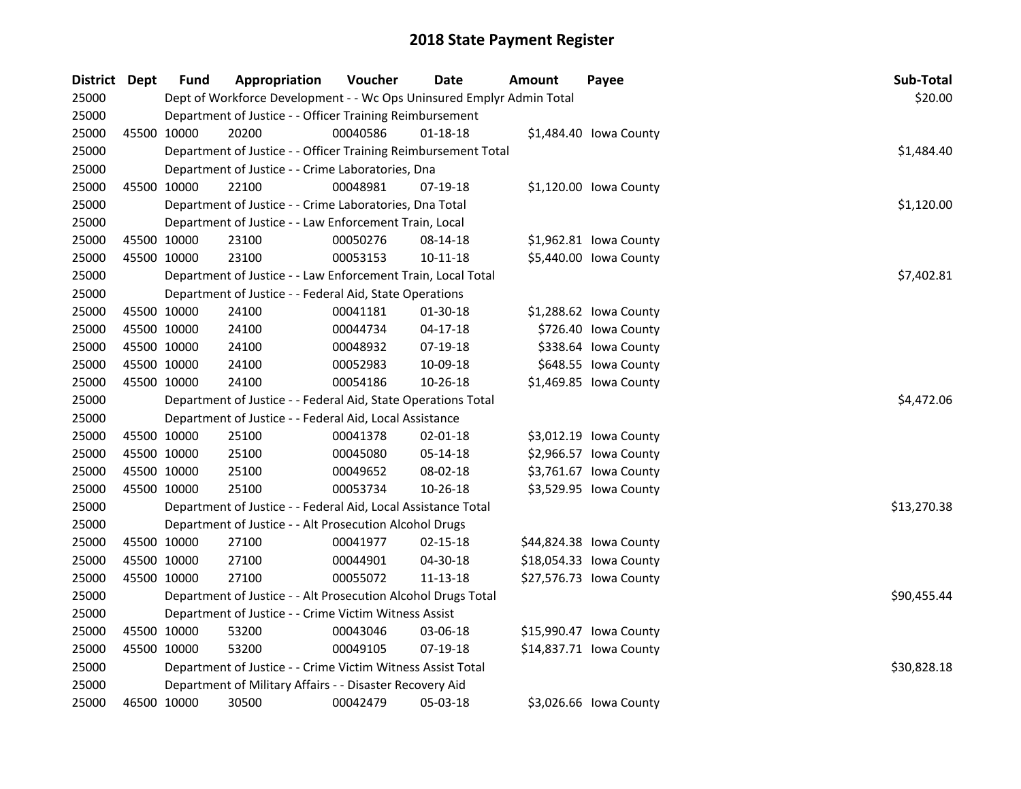| District Dept | Fund        | Appropriation                                                         | Voucher  | Date           | Amount | Payee                   | Sub-Total   |  |  |  |  |
|---------------|-------------|-----------------------------------------------------------------------|----------|----------------|--------|-------------------------|-------------|--|--|--|--|
| 25000         |             | Dept of Workforce Development - - Wc Ops Uninsured Emplyr Admin Total |          |                |        |                         | \$20.00     |  |  |  |  |
| 25000         |             | Department of Justice - - Officer Training Reimbursement              |          |                |        |                         |             |  |  |  |  |
| 25000         | 45500 10000 | 20200                                                                 | 00040586 | 01-18-18       |        | \$1,484.40 lowa County  |             |  |  |  |  |
| 25000         |             | Department of Justice - - Officer Training Reimbursement Total        |          |                |        |                         | \$1,484.40  |  |  |  |  |
| 25000         |             | Department of Justice - - Crime Laboratories, Dna                     |          |                |        |                         |             |  |  |  |  |
| 25000         | 45500 10000 | 22100                                                                 | 00048981 | 07-19-18       |        | \$1,120.00 Iowa County  |             |  |  |  |  |
| 25000         |             | Department of Justice - - Crime Laboratories, Dna Total               |          |                |        |                         | \$1,120.00  |  |  |  |  |
| 25000         |             | Department of Justice - - Law Enforcement Train, Local                |          |                |        |                         |             |  |  |  |  |
| 25000         | 45500 10000 | 23100                                                                 | 00050276 | 08-14-18       |        | \$1,962.81 Iowa County  |             |  |  |  |  |
| 25000         | 45500 10000 | 23100                                                                 | 00053153 | $10 - 11 - 18$ |        | \$5,440.00 Iowa County  |             |  |  |  |  |
| 25000         |             | Department of Justice - - Law Enforcement Train, Local Total          |          |                |        |                         | \$7,402.81  |  |  |  |  |
| 25000         |             | Department of Justice - - Federal Aid, State Operations               |          |                |        |                         |             |  |  |  |  |
| 25000         | 45500 10000 | 24100                                                                 | 00041181 | 01-30-18       |        | \$1,288.62 lowa County  |             |  |  |  |  |
| 25000         | 45500 10000 | 24100                                                                 | 00044734 | $04 - 17 - 18$ |        | \$726.40 Iowa County    |             |  |  |  |  |
| 25000         | 45500 10000 | 24100                                                                 | 00048932 | 07-19-18       |        | \$338.64 Iowa County    |             |  |  |  |  |
| 25000         | 45500 10000 | 24100                                                                 | 00052983 | 10-09-18       |        | \$648.55 Iowa County    |             |  |  |  |  |
| 25000         | 45500 10000 | 24100                                                                 | 00054186 | 10-26-18       |        | \$1,469.85 Iowa County  |             |  |  |  |  |
| 25000         |             | Department of Justice - - Federal Aid, State Operations Total         |          |                |        |                         | \$4,472.06  |  |  |  |  |
| 25000         |             | Department of Justice - - Federal Aid, Local Assistance               |          |                |        |                         |             |  |  |  |  |
| 25000         | 45500 10000 | 25100                                                                 | 00041378 | $02 - 01 - 18$ |        | \$3,012.19 Iowa County  |             |  |  |  |  |
| 25000         | 45500 10000 | 25100                                                                 | 00045080 | 05-14-18       |        | \$2,966.57 Iowa County  |             |  |  |  |  |
| 25000         | 45500 10000 | 25100                                                                 | 00049652 | 08-02-18       |        | \$3,761.67 Iowa County  |             |  |  |  |  |
| 25000         | 45500 10000 | 25100                                                                 | 00053734 | 10-26-18       |        | \$3,529.95 Iowa County  |             |  |  |  |  |
| 25000         |             | Department of Justice - - Federal Aid, Local Assistance Total         |          |                |        |                         | \$13,270.38 |  |  |  |  |
| 25000         |             | Department of Justice - - Alt Prosecution Alcohol Drugs               |          |                |        |                         |             |  |  |  |  |
| 25000         | 45500 10000 | 27100                                                                 | 00041977 | 02-15-18       |        | \$44,824.38 Iowa County |             |  |  |  |  |
| 25000         | 45500 10000 | 27100                                                                 | 00044901 | 04-30-18       |        | \$18,054.33 Iowa County |             |  |  |  |  |
| 25000         | 45500 10000 | 27100                                                                 | 00055072 | 11-13-18       |        | \$27,576.73 Iowa County |             |  |  |  |  |
| 25000         |             | Department of Justice - - Alt Prosecution Alcohol Drugs Total         |          |                |        |                         | \$90,455.44 |  |  |  |  |
| 25000         |             | Department of Justice - - Crime Victim Witness Assist                 |          |                |        |                         |             |  |  |  |  |
| 25000         | 45500 10000 | 53200                                                                 | 00043046 | 03-06-18       |        | \$15,990.47 lowa County |             |  |  |  |  |
| 25000         | 45500 10000 | 53200                                                                 | 00049105 | 07-19-18       |        | \$14,837.71 Iowa County |             |  |  |  |  |
| 25000         |             | Department of Justice - - Crime Victim Witness Assist Total           |          |                |        |                         | \$30,828.18 |  |  |  |  |
| 25000         |             | Department of Military Affairs - - Disaster Recovery Aid              |          |                |        |                         |             |  |  |  |  |
| 25000         | 46500 10000 | 30500                                                                 | 00042479 | 05-03-18       |        | \$3,026.66 Iowa County  |             |  |  |  |  |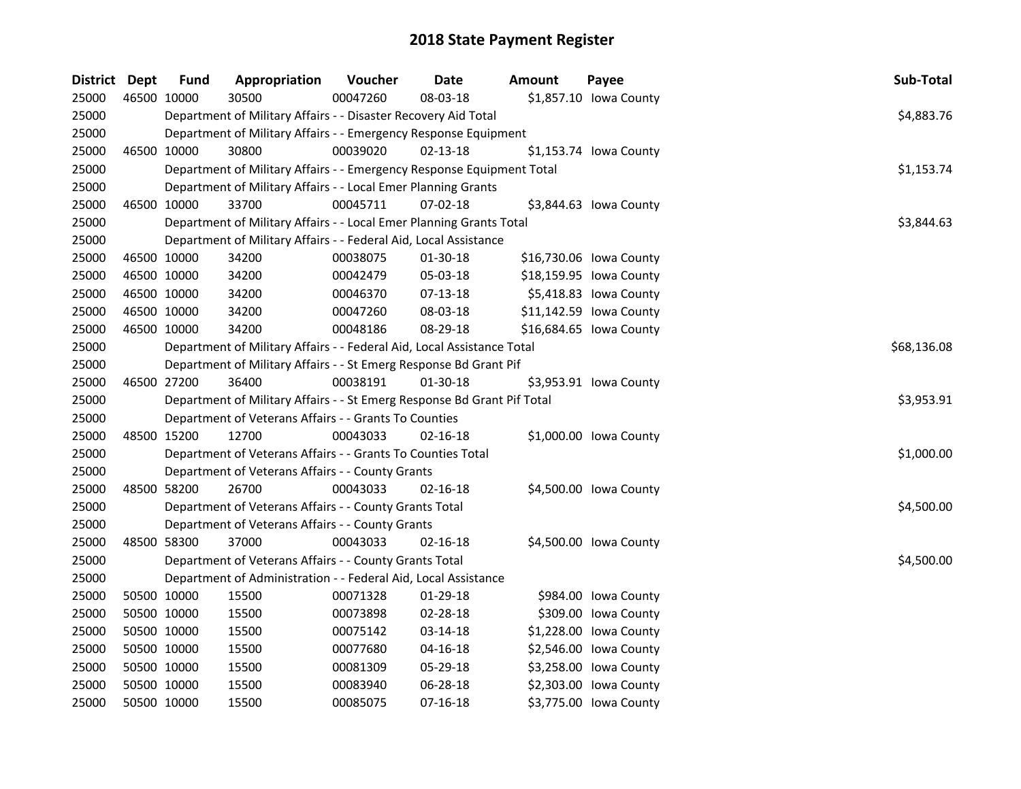| District Dept |             | <b>Fund</b> | Appropriation                                                           | Voucher  | <b>Date</b>    | Amount | Payee                   | Sub-Total   |
|---------------|-------------|-------------|-------------------------------------------------------------------------|----------|----------------|--------|-------------------------|-------------|
| 25000         | 46500 10000 |             | 30500                                                                   | 00047260 | 08-03-18       |        | \$1,857.10 Iowa County  |             |
| 25000         |             |             | Department of Military Affairs - - Disaster Recovery Aid Total          |          |                |        |                         | \$4,883.76  |
| 25000         |             |             | Department of Military Affairs - - Emergency Response Equipment         |          |                |        |                         |             |
| 25000         |             | 46500 10000 | 30800                                                                   | 00039020 | $02 - 13 - 18$ |        | \$1,153.74 Iowa County  |             |
| 25000         |             |             | Department of Military Affairs - - Emergency Response Equipment Total   |          |                |        |                         | \$1,153.74  |
| 25000         |             |             | Department of Military Affairs - - Local Emer Planning Grants           |          |                |        |                         |             |
| 25000         |             | 46500 10000 | 33700                                                                   | 00045711 | 07-02-18       |        | \$3,844.63 lowa County  |             |
| 25000         |             |             | Department of Military Affairs - - Local Emer Planning Grants Total     |          |                |        |                         | \$3,844.63  |
| 25000         |             |             | Department of Military Affairs - - Federal Aid, Local Assistance        |          |                |        |                         |             |
| 25000         |             | 46500 10000 | 34200                                                                   | 00038075 | 01-30-18       |        | \$16,730.06 Iowa County |             |
| 25000         | 46500 10000 |             | 34200                                                                   | 00042479 | 05-03-18       |        | \$18,159.95 Iowa County |             |
| 25000         | 46500 10000 |             | 34200                                                                   | 00046370 | 07-13-18       |        | \$5,418.83 Iowa County  |             |
| 25000         | 46500 10000 |             | 34200                                                                   | 00047260 | 08-03-18       |        | \$11,142.59 Iowa County |             |
| 25000         | 46500 10000 |             | 34200                                                                   | 00048186 | 08-29-18       |        | \$16,684.65 Iowa County |             |
| 25000         |             |             | Department of Military Affairs - - Federal Aid, Local Assistance Total  |          |                |        |                         | \$68,136.08 |
| 25000         |             |             | Department of Military Affairs - - St Emerg Response Bd Grant Pif       |          |                |        |                         |             |
| 25000         | 46500 27200 |             | 36400                                                                   | 00038191 | $01-30-18$     |        | \$3,953.91 Iowa County  |             |
| 25000         |             |             | Department of Military Affairs - - St Emerg Response Bd Grant Pif Total |          |                |        |                         | \$3,953.91  |
| 25000         |             |             | Department of Veterans Affairs - - Grants To Counties                   |          |                |        |                         |             |
| 25000         |             | 48500 15200 | 12700                                                                   | 00043033 | $02 - 16 - 18$ |        | \$1,000.00 Iowa County  |             |
| 25000         |             |             | Department of Veterans Affairs - - Grants To Counties Total             |          |                |        |                         | \$1,000.00  |
| 25000         |             |             | Department of Veterans Affairs - - County Grants                        |          |                |        |                         |             |
| 25000         | 48500 58200 |             | 26700                                                                   | 00043033 | 02-16-18       |        | \$4,500.00 Iowa County  |             |
| 25000         |             |             | Department of Veterans Affairs - - County Grants Total                  |          |                |        |                         | \$4,500.00  |
| 25000         |             |             | Department of Veterans Affairs - - County Grants                        |          |                |        |                         |             |
| 25000         | 48500 58300 |             | 37000                                                                   | 00043033 | 02-16-18       |        | \$4,500.00 Iowa County  |             |
| 25000         |             |             | Department of Veterans Affairs - - County Grants Total                  |          |                |        |                         | \$4,500.00  |
| 25000         |             |             | Department of Administration - - Federal Aid, Local Assistance          |          |                |        |                         |             |
| 25000         | 50500 10000 |             | 15500                                                                   | 00071328 | 01-29-18       |        | \$984.00 Iowa County    |             |
| 25000         | 50500 10000 |             | 15500                                                                   | 00073898 | 02-28-18       |        | \$309.00 Iowa County    |             |
| 25000         | 50500 10000 |             | 15500                                                                   | 00075142 | 03-14-18       |        | \$1,228.00 Iowa County  |             |
| 25000         | 50500 10000 |             | 15500                                                                   | 00077680 | $04 - 16 - 18$ |        | \$2,546.00 Iowa County  |             |
| 25000         | 50500 10000 |             | 15500                                                                   | 00081309 | 05-29-18       |        | \$3,258.00 Iowa County  |             |
| 25000         | 50500 10000 |             | 15500                                                                   | 00083940 | 06-28-18       |        | \$2,303.00 Iowa County  |             |
| 25000         | 50500 10000 |             | 15500                                                                   | 00085075 | 07-16-18       |        | \$3,775.00 Iowa County  |             |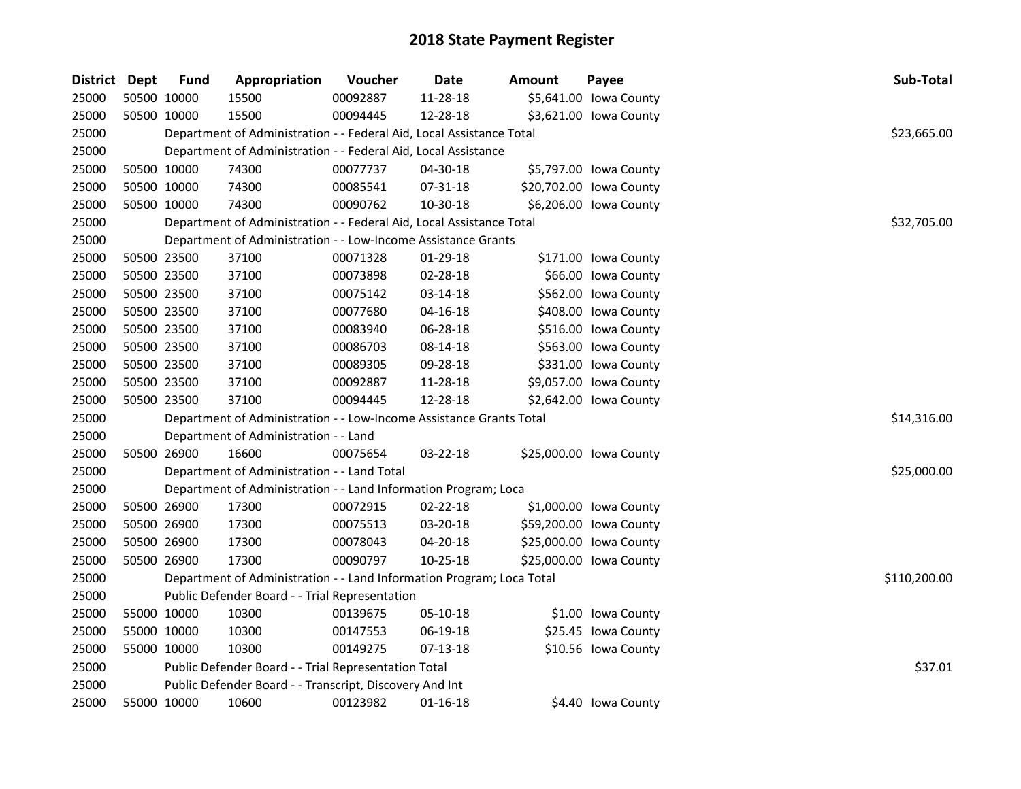| District Dept | <b>Fund</b> | Appropriation                                                         | Voucher  | <b>Date</b>    | <b>Amount</b> | Payee                   | Sub-Total    |
|---------------|-------------|-----------------------------------------------------------------------|----------|----------------|---------------|-------------------------|--------------|
| 25000         | 50500 10000 | 15500                                                                 | 00092887 | 11-28-18       |               | \$5,641.00 Iowa County  |              |
| 25000         | 50500 10000 | 15500                                                                 | 00094445 | 12-28-18       |               | \$3,621.00 Iowa County  |              |
| 25000         |             | Department of Administration - - Federal Aid, Local Assistance Total  |          |                |               |                         | \$23,665.00  |
| 25000         |             | Department of Administration - - Federal Aid, Local Assistance        |          |                |               |                         |              |
| 25000         | 50500 10000 | 74300                                                                 | 00077737 | 04-30-18       |               | \$5,797.00 Iowa County  |              |
| 25000         | 50500 10000 | 74300                                                                 | 00085541 | 07-31-18       |               | \$20,702.00 Iowa County |              |
| 25000         | 50500 10000 | 74300                                                                 | 00090762 | 10-30-18       |               | \$6,206.00 Iowa County  |              |
| 25000         |             | Department of Administration - - Federal Aid, Local Assistance Total  |          |                |               |                         | \$32,705.00  |
| 25000         |             | Department of Administration - - Low-Income Assistance Grants         |          |                |               |                         |              |
| 25000         | 50500 23500 | 37100                                                                 | 00071328 | 01-29-18       |               | \$171.00 Iowa County    |              |
| 25000         | 50500 23500 | 37100                                                                 | 00073898 | 02-28-18       |               | \$66.00 Iowa County     |              |
| 25000         | 50500 23500 | 37100                                                                 | 00075142 | 03-14-18       |               | \$562.00 Iowa County    |              |
| 25000         | 50500 23500 | 37100                                                                 | 00077680 | $04 - 16 - 18$ |               | \$408.00 Iowa County    |              |
| 25000         | 50500 23500 | 37100                                                                 | 00083940 | 06-28-18       |               | \$516.00 Iowa County    |              |
| 25000         | 50500 23500 | 37100                                                                 | 00086703 | 08-14-18       |               | \$563.00 Iowa County    |              |
| 25000         | 50500 23500 | 37100                                                                 | 00089305 | 09-28-18       |               | \$331.00 Iowa County    |              |
| 25000         | 50500 23500 | 37100                                                                 | 00092887 | 11-28-18       |               | \$9,057.00 Iowa County  |              |
| 25000         | 50500 23500 | 37100                                                                 | 00094445 | 12-28-18       |               | \$2,642.00 Iowa County  |              |
| 25000         |             | Department of Administration - - Low-Income Assistance Grants Total   |          |                |               |                         | \$14,316.00  |
| 25000         |             | Department of Administration - - Land                                 |          |                |               |                         |              |
| 25000         | 50500 26900 | 16600                                                                 | 00075654 | 03-22-18       |               | \$25,000.00 Iowa County |              |
| 25000         |             | Department of Administration - - Land Total                           |          |                |               |                         | \$25,000.00  |
| 25000         |             | Department of Administration - - Land Information Program; Loca       |          |                |               |                         |              |
| 25000         | 50500 26900 | 17300                                                                 | 00072915 | 02-22-18       |               | \$1,000.00 Iowa County  |              |
| 25000         | 50500 26900 | 17300                                                                 | 00075513 | 03-20-18       |               | \$59,200.00 Iowa County |              |
| 25000         | 50500 26900 | 17300                                                                 | 00078043 | 04-20-18       |               | \$25,000.00 Iowa County |              |
| 25000         | 50500 26900 | 17300                                                                 | 00090797 | $10 - 25 - 18$ |               | \$25,000.00 Iowa County |              |
| 25000         |             | Department of Administration - - Land Information Program; Loca Total |          |                |               |                         | \$110,200.00 |
| 25000         |             | Public Defender Board - - Trial Representation                        |          |                |               |                         |              |
| 25000         | 55000 10000 | 10300                                                                 | 00139675 | 05-10-18       |               | \$1.00 Iowa County      |              |
| 25000         | 55000 10000 | 10300                                                                 | 00147553 | 06-19-18       |               | \$25.45 Iowa County     |              |
| 25000         | 55000 10000 | 10300                                                                 | 00149275 | 07-13-18       |               | \$10.56 Iowa County     |              |
| 25000         |             | Public Defender Board - - Trial Representation Total                  |          |                |               |                         | \$37.01      |
| 25000         |             | Public Defender Board - - Transcript, Discovery And Int               |          |                |               |                         |              |
| 25000         | 55000 10000 | 10600                                                                 | 00123982 | $01 - 16 - 18$ |               | \$4.40 Iowa County      |              |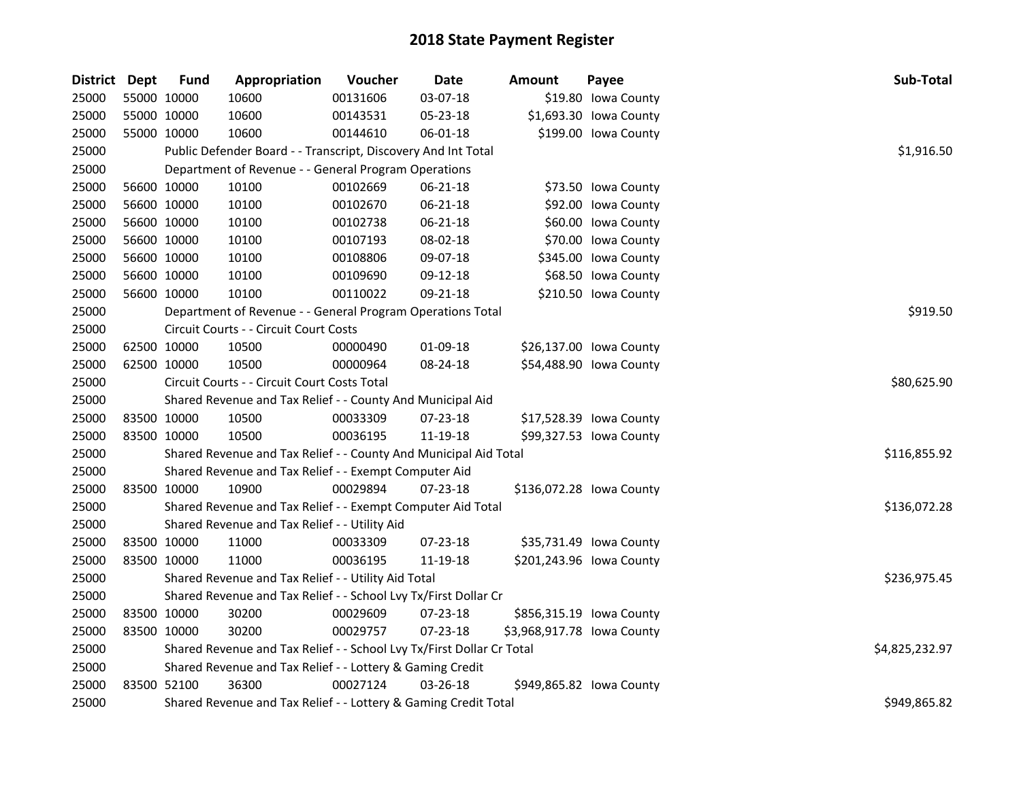| District Dept |             | <b>Fund</b> | Appropriation                                                         | Voucher  | <b>Date</b>    | Amount                     | Payee                    | Sub-Total      |
|---------------|-------------|-------------|-----------------------------------------------------------------------|----------|----------------|----------------------------|--------------------------|----------------|
| 25000         | 55000 10000 |             | 10600                                                                 | 00131606 | 03-07-18       |                            | \$19.80 Iowa County      |                |
| 25000         |             | 55000 10000 | 10600                                                                 | 00143531 | 05-23-18       |                            | \$1,693.30 Iowa County   |                |
| 25000         | 55000 10000 |             | 10600                                                                 | 00144610 | 06-01-18       |                            | \$199.00 lowa County     |                |
| 25000         |             |             | Public Defender Board - - Transcript, Discovery And Int Total         |          |                |                            |                          | \$1,916.50     |
| 25000         |             |             | Department of Revenue - - General Program Operations                  |          |                |                            |                          |                |
| 25000         |             | 56600 10000 | 10100                                                                 | 00102669 | 06-21-18       |                            | \$73.50 Iowa County      |                |
| 25000         |             | 56600 10000 | 10100                                                                 | 00102670 | 06-21-18       |                            | \$92.00 Iowa County      |                |
| 25000         |             | 56600 10000 | 10100                                                                 | 00102738 | 06-21-18       |                            | \$60.00 Iowa County      |                |
| 25000         |             | 56600 10000 | 10100                                                                 | 00107193 | 08-02-18       |                            | \$70.00 Iowa County      |                |
| 25000         |             | 56600 10000 | 10100                                                                 | 00108806 | 09-07-18       |                            | \$345.00 Iowa County     |                |
| 25000         | 56600 10000 |             | 10100                                                                 | 00109690 | 09-12-18       |                            | \$68.50 Iowa County      |                |
| 25000         | 56600 10000 |             | 10100                                                                 | 00110022 | 09-21-18       |                            | \$210.50 Iowa County     |                |
| 25000         |             |             | Department of Revenue - - General Program Operations Total            |          |                |                            |                          | \$919.50       |
| 25000         |             |             | Circuit Courts - - Circuit Court Costs                                |          |                |                            |                          |                |
| 25000         |             | 62500 10000 | 10500                                                                 | 00000490 | 01-09-18       |                            | \$26,137.00 Iowa County  |                |
| 25000         | 62500 10000 |             | 10500                                                                 | 00000964 | 08-24-18       |                            | \$54,488.90 Iowa County  |                |
| 25000         |             |             | Circuit Courts - - Circuit Court Costs Total                          |          | \$80,625.90    |                            |                          |                |
| 25000         |             |             | Shared Revenue and Tax Relief - - County And Municipal Aid            |          |                |                            |                          |                |
| 25000         |             | 83500 10000 | 10500                                                                 | 00033309 | 07-23-18       |                            | \$17,528.39 Iowa County  |                |
| 25000         |             | 83500 10000 | 10500                                                                 | 00036195 | 11-19-18       |                            | \$99,327.53 Iowa County  |                |
| 25000         |             |             | Shared Revenue and Tax Relief - - County And Municipal Aid Total      |          |                |                            |                          | \$116,855.92   |
| 25000         |             |             | Shared Revenue and Tax Relief - - Exempt Computer Aid                 |          |                |                            |                          |                |
| 25000         | 83500 10000 |             | 10900                                                                 | 00029894 | 07-23-18       |                            | \$136,072.28 Iowa County |                |
| 25000         |             |             | Shared Revenue and Tax Relief - - Exempt Computer Aid Total           |          |                |                            |                          | \$136,072.28   |
| 25000         |             |             | Shared Revenue and Tax Relief - - Utility Aid                         |          |                |                            |                          |                |
| 25000         |             | 83500 10000 | 11000                                                                 | 00033309 | 07-23-18       |                            | \$35,731.49 Iowa County  |                |
| 25000         | 83500 10000 |             | 11000                                                                 | 00036195 | 11-19-18       |                            | \$201,243.96 Iowa County |                |
| 25000         |             |             | Shared Revenue and Tax Relief - - Utility Aid Total                   |          |                |                            |                          | \$236,975.45   |
| 25000         |             |             | Shared Revenue and Tax Relief - - School Lvy Tx/First Dollar Cr       |          |                |                            |                          |                |
| 25000         |             | 83500 10000 | 30200                                                                 | 00029609 | 07-23-18       |                            | \$856,315.19 Iowa County |                |
| 25000         | 83500 10000 |             | 30200                                                                 | 00029757 | 07-23-18       | \$3,968,917.78 Iowa County |                          |                |
| 25000         |             |             | Shared Revenue and Tax Relief - - School Lvy Tx/First Dollar Cr Total |          |                |                            |                          | \$4,825,232.97 |
| 25000         |             |             | Shared Revenue and Tax Relief - - Lottery & Gaming Credit             |          |                |                            |                          |                |
| 25000         |             | 83500 52100 | 36300                                                                 | 00027124 | $03 - 26 - 18$ |                            | \$949,865.82 lowa County |                |
| 25000         |             |             | Shared Revenue and Tax Relief - - Lottery & Gaming Credit Total       |          |                |                            |                          | \$949,865.82   |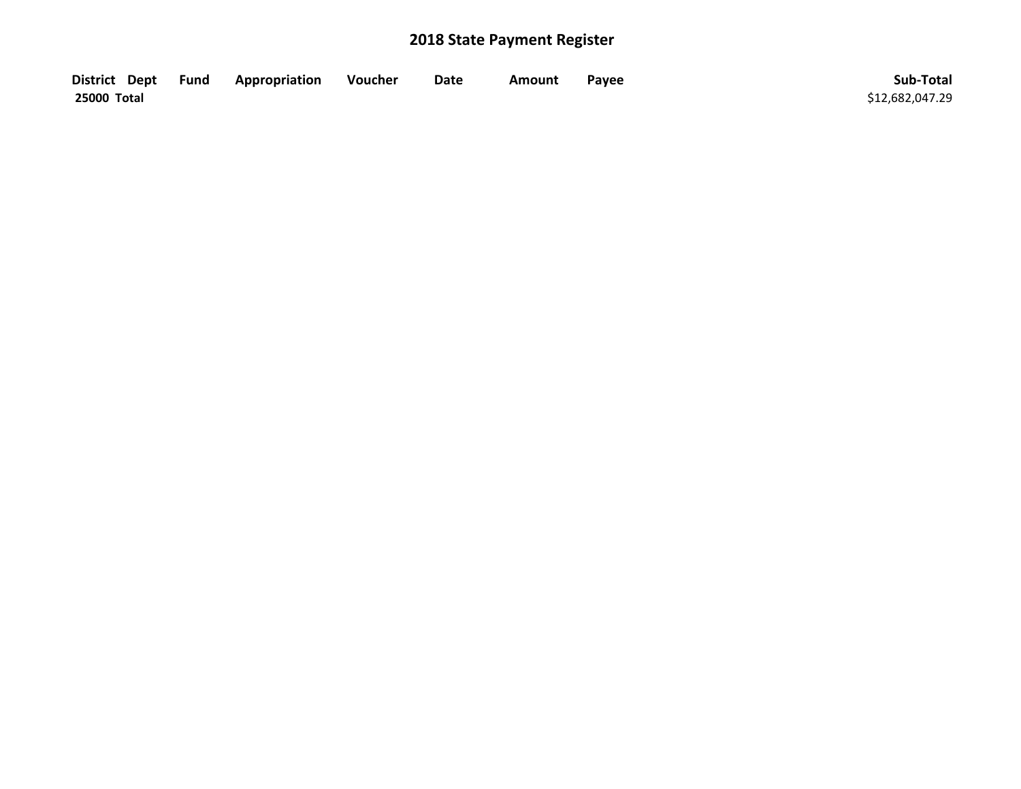| District Dept Fund | Appropriation | Voucher | Date | Amount | Payee | Sub-Total       |
|--------------------|---------------|---------|------|--------|-------|-----------------|
| 25000 Total        |               |         |      |        |       | \$12,682,047.29 |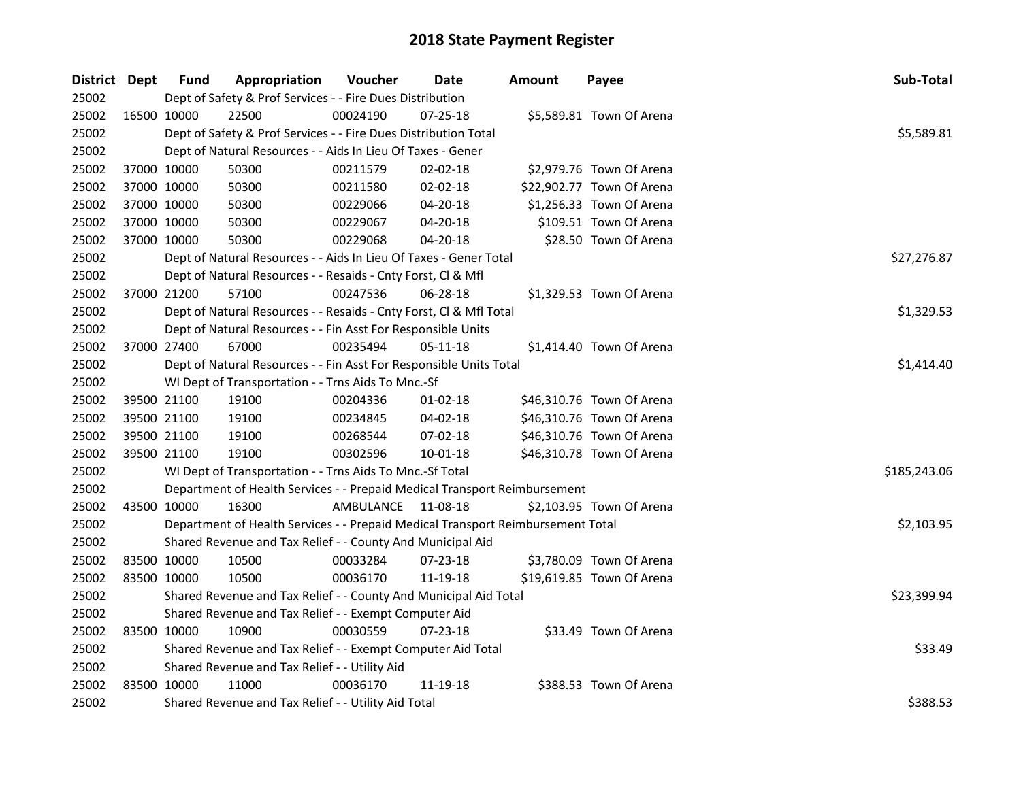| District Dept |             | <b>Fund</b> | Appropriation                                                                   | Voucher            | Date           | <b>Amount</b> | Payee                     | Sub-Total    |
|---------------|-------------|-------------|---------------------------------------------------------------------------------|--------------------|----------------|---------------|---------------------------|--------------|
| 25002         |             |             | Dept of Safety & Prof Services - - Fire Dues Distribution                       |                    |                |               |                           |              |
| 25002         |             | 16500 10000 | 22500                                                                           | 00024190           | 07-25-18       |               | \$5,589.81 Town Of Arena  |              |
| 25002         |             |             | Dept of Safety & Prof Services - - Fire Dues Distribution Total                 |                    |                |               |                           | \$5,589.81   |
| 25002         |             |             | Dept of Natural Resources - - Aids In Lieu Of Taxes - Gener                     |                    |                |               |                           |              |
| 25002         |             | 37000 10000 | 50300                                                                           | 00211579           | 02-02-18       |               | \$2,979.76 Town Of Arena  |              |
| 25002         | 37000 10000 |             | 50300                                                                           | 00211580           | $02 - 02 - 18$ |               | \$22,902.77 Town Of Arena |              |
| 25002         |             | 37000 10000 | 50300                                                                           | 00229066           | 04-20-18       |               | \$1,256.33 Town Of Arena  |              |
| 25002         |             | 37000 10000 | 50300                                                                           | 00229067           | 04-20-18       |               | \$109.51 Town Of Arena    |              |
| 25002         | 37000 10000 |             | 50300                                                                           | 00229068           | 04-20-18       |               | \$28.50 Town Of Arena     |              |
| 25002         |             |             | Dept of Natural Resources - - Aids In Lieu Of Taxes - Gener Total               |                    |                | \$27,276.87   |                           |              |
| 25002         |             |             | Dept of Natural Resources - - Resaids - Cnty Forst, Cl & Mfl                    |                    |                |               |                           |              |
| 25002         | 37000 21200 |             | 57100                                                                           | 00247536           | 06-28-18       |               | \$1,329.53 Town Of Arena  |              |
| 25002         |             |             | Dept of Natural Resources - - Resaids - Cnty Forst, Cl & Mfl Total              |                    |                |               |                           | \$1,329.53   |
| 25002         |             |             | Dept of Natural Resources - - Fin Asst For Responsible Units                    |                    |                |               |                           |              |
| 25002         | 37000 27400 |             | 67000                                                                           | 00235494           | 05-11-18       |               | \$1,414.40 Town Of Arena  |              |
| 25002         |             |             | Dept of Natural Resources - - Fin Asst For Responsible Units Total              | \$1,414.40         |                |               |                           |              |
| 25002         |             |             | WI Dept of Transportation - - Trns Aids To Mnc.-Sf                              |                    |                |               |                           |              |
| 25002         |             | 39500 21100 | 19100                                                                           | 00204336           | $01 - 02 - 18$ |               | \$46,310.76 Town Of Arena |              |
| 25002         |             | 39500 21100 | 19100                                                                           | 00234845           | $04 - 02 - 18$ |               | \$46,310.76 Town Of Arena |              |
| 25002         |             | 39500 21100 | 19100                                                                           | 00268544           | 07-02-18       |               | \$46,310.76 Town Of Arena |              |
| 25002         |             | 39500 21100 | 19100                                                                           | 00302596           | $10 - 01 - 18$ |               | \$46,310.78 Town Of Arena |              |
| 25002         |             |             | WI Dept of Transportation - - Trns Aids To Mnc.-Sf Total                        |                    |                |               |                           | \$185,243.06 |
| 25002         |             |             | Department of Health Services - - Prepaid Medical Transport Reimbursement       |                    |                |               |                           |              |
| 25002         | 43500 10000 |             | 16300                                                                           | AMBULANCE 11-08-18 |                |               | \$2,103.95 Town Of Arena  |              |
| 25002         |             |             | Department of Health Services - - Prepaid Medical Transport Reimbursement Total |                    |                |               |                           | \$2,103.95   |
| 25002         |             |             | Shared Revenue and Tax Relief - - County And Municipal Aid                      |                    |                |               |                           |              |
| 25002         |             | 83500 10000 | 10500                                                                           | 00033284           | 07-23-18       |               | \$3,780.09 Town Of Arena  |              |
| 25002         | 83500 10000 |             | 10500                                                                           | 00036170           | 11-19-18       |               | \$19,619.85 Town Of Arena |              |
| 25002         |             |             | Shared Revenue and Tax Relief - - County And Municipal Aid Total                | \$23,399.94        |                |               |                           |              |
| 25002         |             |             | Shared Revenue and Tax Relief - - Exempt Computer Aid                           |                    |                |               |                           |              |
| 25002         |             | 83500 10000 | 10900                                                                           | 00030559           | 07-23-18       |               | \$33.49 Town Of Arena     |              |
| 25002         |             |             | Shared Revenue and Tax Relief - - Exempt Computer Aid Total                     |                    |                |               |                           | \$33.49      |
| 25002         |             |             | Shared Revenue and Tax Relief - - Utility Aid                                   |                    |                |               |                           |              |
| 25002         | 83500 10000 |             | 11000                                                                           | 00036170           | 11-19-18       |               | \$388.53 Town Of Arena    |              |
| 25002         |             |             | Shared Revenue and Tax Relief - - Utility Aid Total                             |                    |                |               |                           | \$388.53     |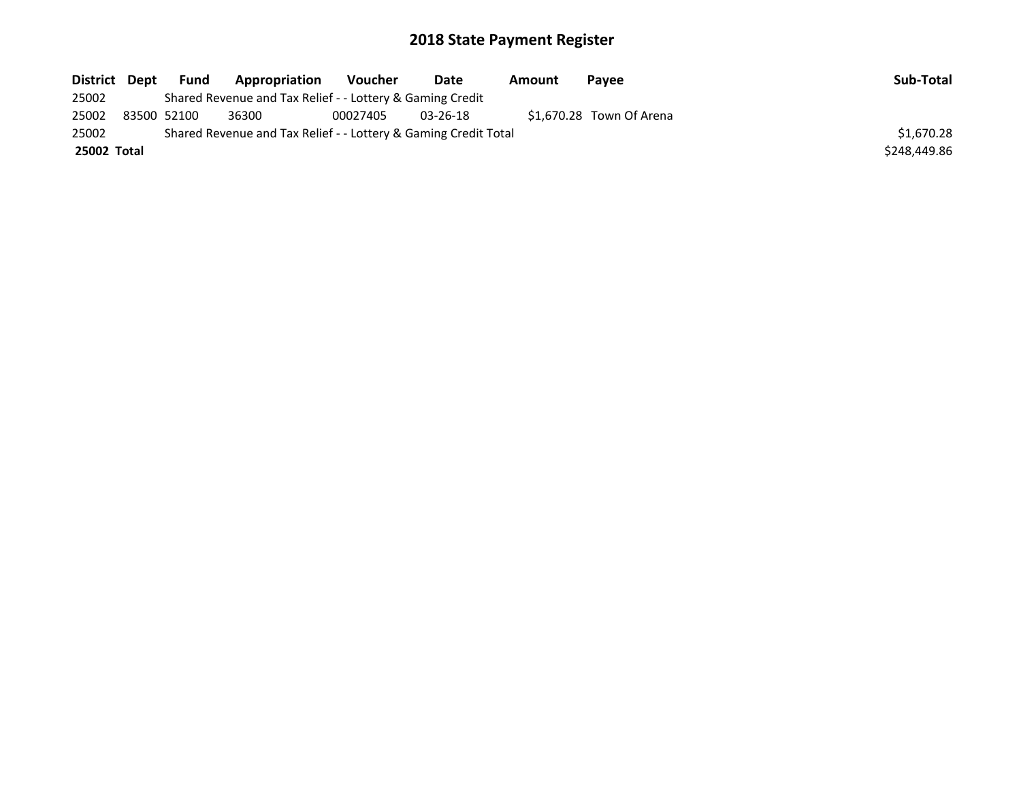| District Dept | Fund        | Appropriation                                                   | Voucher  | Date           | Amount | <b>Pavee</b>             | Sub-Total    |
|---------------|-------------|-----------------------------------------------------------------|----------|----------------|--------|--------------------------|--------------|
| 25002         |             | Shared Revenue and Tax Relief - - Lottery & Gaming Credit       |          |                |        |                          |              |
| 25002         | 83500 52100 | 36300                                                           | 00027405 | $03 - 26 - 18$ |        | \$1,670.28 Town Of Arena |              |
| 25002         |             | Shared Revenue and Tax Relief - - Lottery & Gaming Credit Total |          |                |        |                          | \$1,670.28   |
| 25002 Total   |             |                                                                 |          |                |        |                          | \$248,449.86 |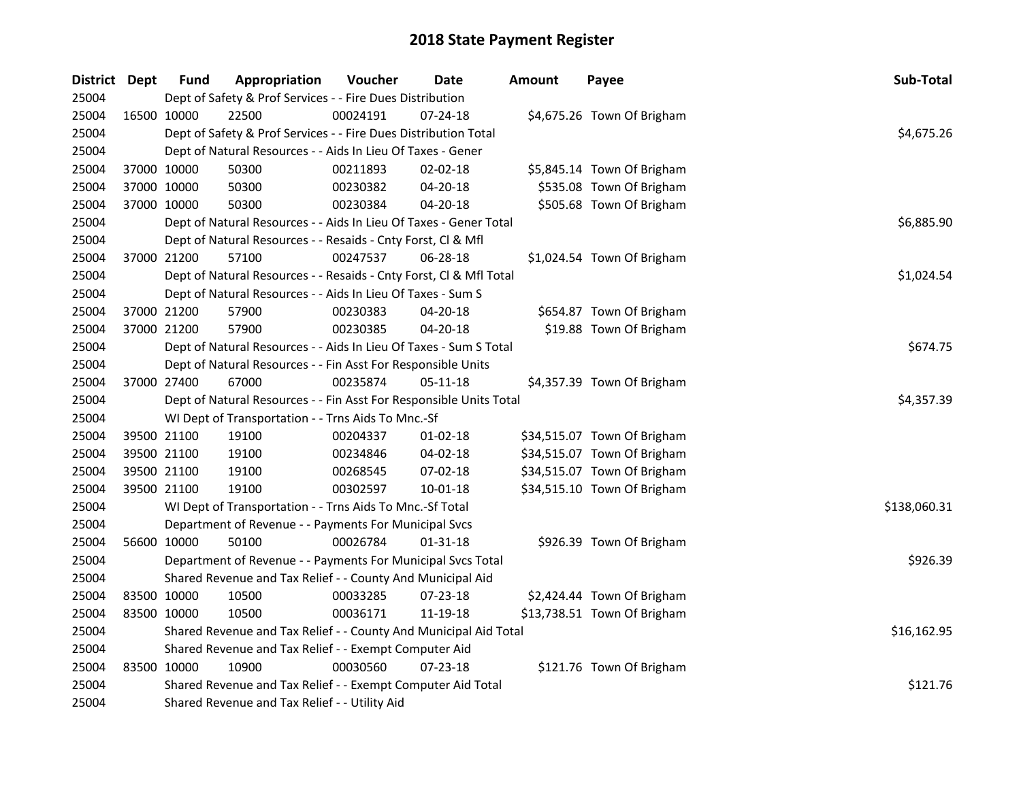| District Dept |             | <b>Fund</b> | Appropriation                                                      | Voucher    | Date           | <b>Amount</b> | Payee                       | Sub-Total    |
|---------------|-------------|-------------|--------------------------------------------------------------------|------------|----------------|---------------|-----------------------------|--------------|
| 25004         |             |             | Dept of Safety & Prof Services - - Fire Dues Distribution          |            |                |               |                             |              |
| 25004         | 16500 10000 |             | 22500                                                              | 00024191   | 07-24-18       |               | \$4,675.26 Town Of Brigham  |              |
| 25004         |             |             | Dept of Safety & Prof Services - - Fire Dues Distribution Total    |            |                |               |                             | \$4,675.26   |
| 25004         |             |             | Dept of Natural Resources - - Aids In Lieu Of Taxes - Gener        |            |                |               |                             |              |
| 25004         |             | 37000 10000 | 50300                                                              | 00211893   | 02-02-18       |               | \$5,845.14 Town Of Brigham  |              |
| 25004         |             | 37000 10000 | 50300                                                              | 00230382   | 04-20-18       |               | \$535.08 Town Of Brigham    |              |
| 25004         |             | 37000 10000 | 50300                                                              | 00230384   | 04-20-18       |               | \$505.68 Town Of Brigham    |              |
| 25004         |             |             | Dept of Natural Resources - - Aids In Lieu Of Taxes - Gener Total  |            |                |               |                             | \$6,885.90   |
| 25004         |             |             | Dept of Natural Resources - - Resaids - Cnty Forst, Cl & Mfl       |            |                |               |                             |              |
| 25004         |             | 37000 21200 | 57100                                                              | 00247537   | 06-28-18       |               | \$1,024.54 Town Of Brigham  |              |
| 25004         |             |             | Dept of Natural Resources - - Resaids - Cnty Forst, Cl & Mfl Total | \$1,024.54 |                |               |                             |              |
| 25004         |             |             | Dept of Natural Resources - - Aids In Lieu Of Taxes - Sum S        |            |                |               |                             |              |
| 25004         |             | 37000 21200 | 57900                                                              | 00230383   | 04-20-18       |               | \$654.87 Town Of Brigham    |              |
| 25004         |             | 37000 21200 | 57900                                                              | 00230385   | 04-20-18       |               | \$19.88 Town Of Brigham     |              |
| 25004         |             |             | Dept of Natural Resources - - Aids In Lieu Of Taxes - Sum S Total  |            |                |               |                             | \$674.75     |
| 25004         |             |             | Dept of Natural Resources - - Fin Asst For Responsible Units       |            |                |               |                             |              |
| 25004         |             | 37000 27400 | 67000                                                              | 00235874   | 05-11-18       |               | \$4,357.39 Town Of Brigham  |              |
| 25004         |             |             | Dept of Natural Resources - - Fin Asst For Responsible Units Total |            |                |               |                             | \$4,357.39   |
| 25004         |             |             | WI Dept of Transportation - - Trns Aids To Mnc.-Sf                 |            |                |               |                             |              |
| 25004         |             | 39500 21100 | 19100                                                              | 00204337   | $01-02-18$     |               | \$34,515.07 Town Of Brigham |              |
| 25004         |             | 39500 21100 | 19100                                                              | 00234846   | 04-02-18       |               | \$34,515.07 Town Of Brigham |              |
| 25004         |             | 39500 21100 | 19100                                                              | 00268545   | 07-02-18       |               | \$34,515.07 Town Of Brigham |              |
| 25004         |             | 39500 21100 | 19100                                                              | 00302597   | $10 - 01 - 18$ |               | \$34,515.10 Town Of Brigham |              |
| 25004         |             |             | WI Dept of Transportation - - Trns Aids To Mnc.-Sf Total           |            |                |               |                             | \$138,060.31 |
| 25004         |             |             | Department of Revenue - - Payments For Municipal Svcs              |            |                |               |                             |              |
| 25004         |             | 56600 10000 | 50100                                                              | 00026784   | 01-31-18       |               | \$926.39 Town Of Brigham    |              |
| 25004         |             |             | Department of Revenue - - Payments For Municipal Svcs Total        |            |                |               |                             | \$926.39     |
| 25004         |             |             | Shared Revenue and Tax Relief - - County And Municipal Aid         |            |                |               |                             |              |
| 25004         |             | 83500 10000 | 10500                                                              | 00033285   | 07-23-18       |               | \$2,424.44 Town Of Brigham  |              |
| 25004         |             | 83500 10000 | 10500                                                              | 00036171   | 11-19-18       |               | \$13,738.51 Town Of Brigham |              |
| 25004         |             |             | Shared Revenue and Tax Relief - - County And Municipal Aid Total   |            |                |               |                             | \$16,162.95  |
| 25004         |             |             | Shared Revenue and Tax Relief - - Exempt Computer Aid              |            |                |               |                             |              |
| 25004         |             | 83500 10000 | 10900                                                              | 00030560   | 07-23-18       |               | \$121.76 Town Of Brigham    |              |
| 25004         |             |             | Shared Revenue and Tax Relief - - Exempt Computer Aid Total        |            |                |               |                             | \$121.76     |
| 25004         |             |             | Shared Revenue and Tax Relief - - Utility Aid                      |            |                |               |                             |              |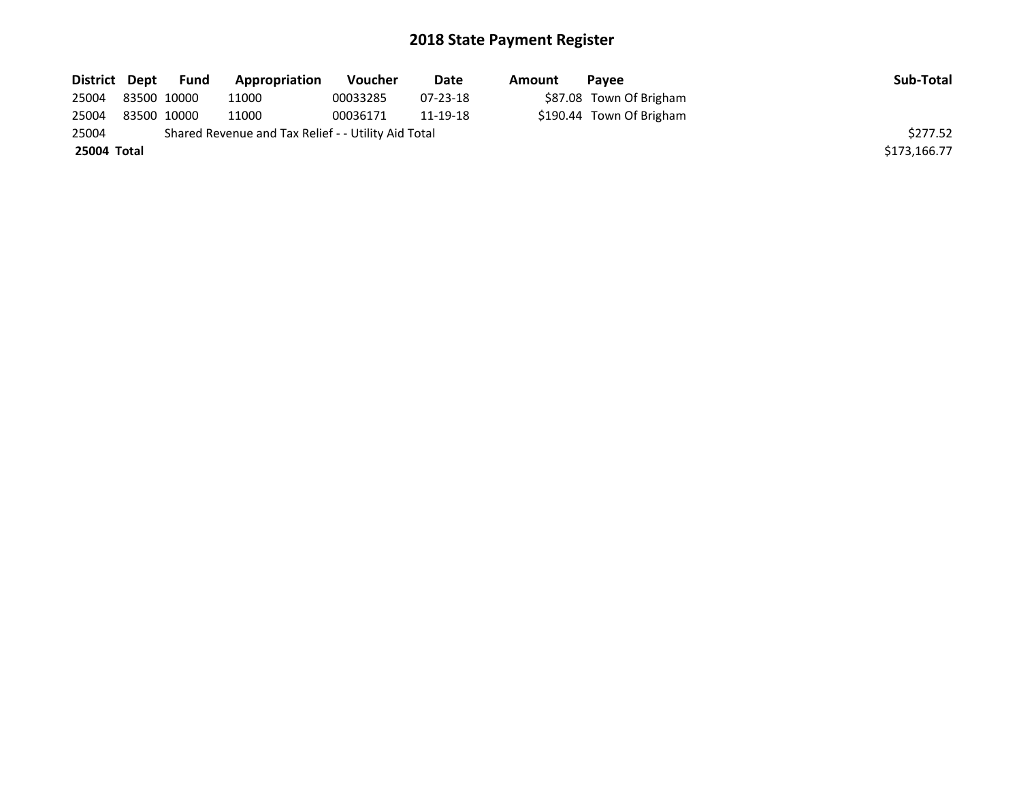| District Dept | Fund        | Appropriation                                       | <b>Voucher</b> | Date     | Amount | <b>Pavee</b>             | Sub-Total    |
|---------------|-------------|-----------------------------------------------------|----------------|----------|--------|--------------------------|--------------|
| 25004         | 83500 10000 | 11000                                               | 00033285       | 07-23-18 |        | \$87.08 Town Of Brigham  |              |
| 25004         | 83500 10000 | 11000                                               | 00036171       | 11-19-18 |        | \$190.44 Town Of Brigham |              |
| 25004         |             | Shared Revenue and Tax Relief - - Utility Aid Total |                |          |        |                          | \$277.52     |
| 25004 Total   |             |                                                     |                |          |        |                          | \$173,166.77 |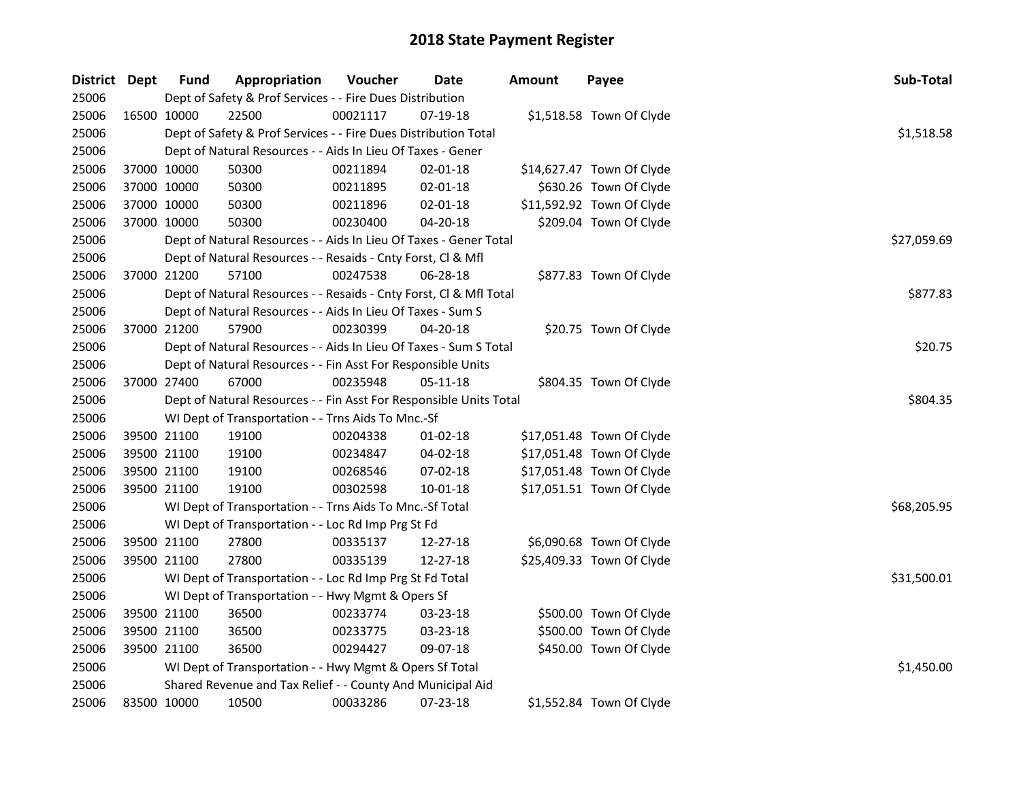| District Dept | <b>Fund</b> | Appropriation                                                      | Voucher  | <b>Date</b>    | <b>Amount</b> | Payee                     | Sub-Total   |
|---------------|-------------|--------------------------------------------------------------------|----------|----------------|---------------|---------------------------|-------------|
| 25006         |             | Dept of Safety & Prof Services - - Fire Dues Distribution          |          |                |               |                           |             |
| 25006         | 16500 10000 | 22500                                                              | 00021117 | 07-19-18       |               | \$1,518.58 Town Of Clyde  |             |
| 25006         |             | Dept of Safety & Prof Services - - Fire Dues Distribution Total    |          |                |               |                           | \$1,518.58  |
| 25006         |             | Dept of Natural Resources - - Aids In Lieu Of Taxes - Gener        |          |                |               |                           |             |
| 25006         | 37000 10000 | 50300                                                              | 00211894 | $02 - 01 - 18$ |               | \$14,627.47 Town Of Clyde |             |
| 25006         | 37000 10000 | 50300                                                              | 00211895 | $02 - 01 - 18$ |               | \$630.26 Town Of Clyde    |             |
| 25006         | 37000 10000 | 50300                                                              | 00211896 | 02-01-18       |               | \$11,592.92 Town Of Clyde |             |
| 25006         | 37000 10000 | 50300                                                              | 00230400 | 04-20-18       |               | \$209.04 Town Of Clyde    |             |
| 25006         |             | Dept of Natural Resources - - Aids In Lieu Of Taxes - Gener Total  |          |                |               |                           | \$27,059.69 |
| 25006         |             | Dept of Natural Resources - - Resaids - Cnty Forst, Cl & Mfl       |          |                |               |                           |             |
| 25006         | 37000 21200 | 57100                                                              | 00247538 | 06-28-18       |               | \$877.83 Town Of Clyde    |             |
| 25006         |             | Dept of Natural Resources - - Resaids - Cnty Forst, Cl & Mfl Total |          |                |               |                           | \$877.83    |
| 25006         |             | Dept of Natural Resources - - Aids In Lieu Of Taxes - Sum S        |          |                |               |                           |             |
| 25006         | 37000 21200 | 57900                                                              | 00230399 | 04-20-18       |               | \$20.75 Town Of Clyde     |             |
| 25006         |             | Dept of Natural Resources - - Aids In Lieu Of Taxes - Sum S Total  |          |                |               |                           | \$20.75     |
| 25006         |             | Dept of Natural Resources - - Fin Asst For Responsible Units       |          |                |               |                           |             |
| 25006         | 37000 27400 | 67000                                                              | 00235948 | 05-11-18       |               | \$804.35 Town Of Clyde    |             |
| 25006         |             | Dept of Natural Resources - - Fin Asst For Responsible Units Total |          |                |               |                           | \$804.35    |
| 25006         |             | WI Dept of Transportation - - Trns Aids To Mnc.-Sf                 |          |                |               |                           |             |
| 25006         | 39500 21100 | 19100                                                              | 00204338 | $01 - 02 - 18$ |               | \$17,051.48 Town Of Clyde |             |
| 25006         | 39500 21100 | 19100                                                              | 00234847 | 04-02-18       |               | \$17,051.48 Town Of Clyde |             |
| 25006         | 39500 21100 | 19100                                                              | 00268546 | 07-02-18       |               | \$17,051.48 Town Of Clyde |             |
| 25006         | 39500 21100 | 19100                                                              | 00302598 | $10 - 01 - 18$ |               | \$17,051.51 Town Of Clyde |             |
| 25006         |             | WI Dept of Transportation - - Trns Aids To Mnc.-Sf Total           |          |                |               |                           | \$68,205.95 |
| 25006         |             | WI Dept of Transportation - - Loc Rd Imp Prg St Fd                 |          |                |               |                           |             |
| 25006         | 39500 21100 | 27800                                                              | 00335137 | 12-27-18       |               | \$6,090.68 Town Of Clyde  |             |
| 25006         | 39500 21100 | 27800                                                              | 00335139 | 12-27-18       |               | \$25,409.33 Town Of Clyde |             |
| 25006         |             | WI Dept of Transportation - - Loc Rd Imp Prg St Fd Total           |          |                |               |                           | \$31,500.01 |
| 25006         |             | WI Dept of Transportation - - Hwy Mgmt & Opers Sf                  |          |                |               |                           |             |
| 25006         | 39500 21100 | 36500                                                              | 00233774 | 03-23-18       |               | \$500.00 Town Of Clyde    |             |
| 25006         | 39500 21100 | 36500                                                              | 00233775 | 03-23-18       |               | \$500.00 Town Of Clyde    |             |
| 25006         | 39500 21100 | 36500                                                              | 00294427 | 09-07-18       |               | \$450.00 Town Of Clyde    |             |
| 25006         |             | WI Dept of Transportation - - Hwy Mgmt & Opers Sf Total            |          |                |               |                           | \$1,450.00  |
| 25006         |             | Shared Revenue and Tax Relief - - County And Municipal Aid         |          |                |               |                           |             |
| 25006         | 83500 10000 | 10500                                                              | 00033286 | 07-23-18       |               | \$1,552.84 Town Of Clyde  |             |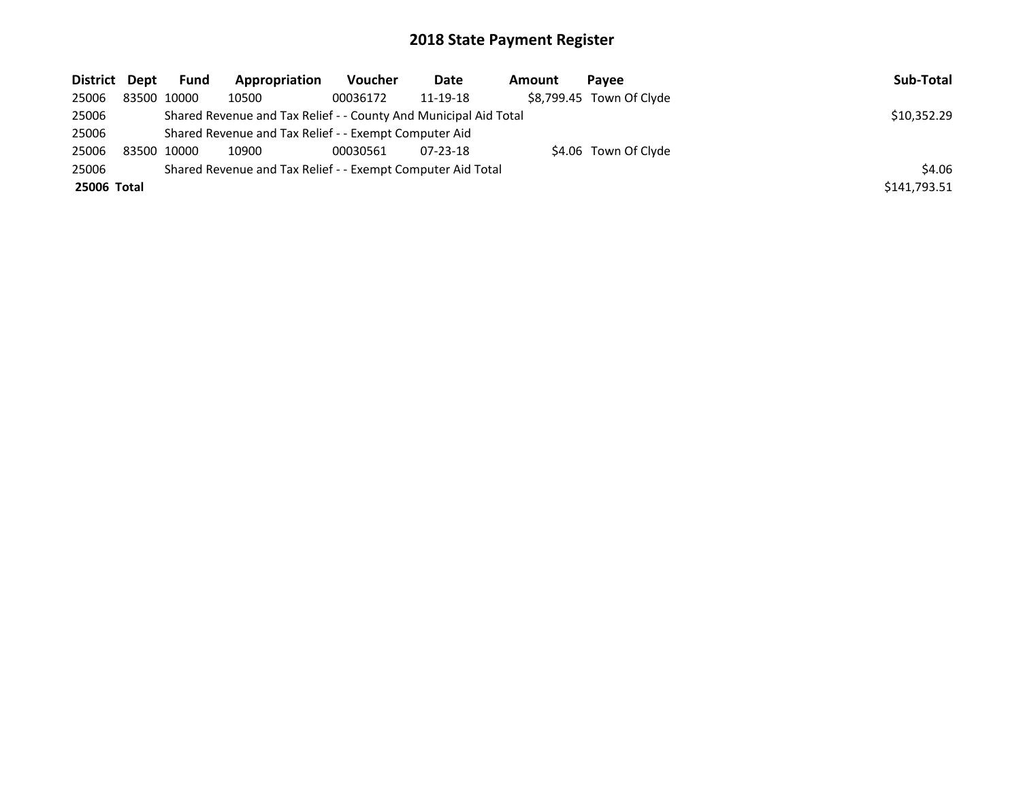| District Dept | Fund        | Appropriation                                                    | Voucher  | Date           | Amount | Pavee                    | Sub-Total    |
|---------------|-------------|------------------------------------------------------------------|----------|----------------|--------|--------------------------|--------------|
| 25006         | 83500 10000 | 10500                                                            | 00036172 | 11-19-18       |        | \$8,799.45 Town Of Clyde |              |
| 25006         |             | Shared Revenue and Tax Relief - - County And Municipal Aid Total |          |                |        |                          | \$10,352.29  |
| 25006         |             | Shared Revenue and Tax Relief - - Exempt Computer Aid            |          |                |        |                          |              |
| 25006         | 83500 10000 | 10900                                                            | 00030561 | $07 - 23 - 18$ |        | \$4.06 Town Of Clyde     |              |
| 25006         |             | Shared Revenue and Tax Relief - - Exempt Computer Aid Total      |          |                |        |                          | \$4.06       |
| 25006 Total   |             |                                                                  |          |                |        |                          | \$141,793.51 |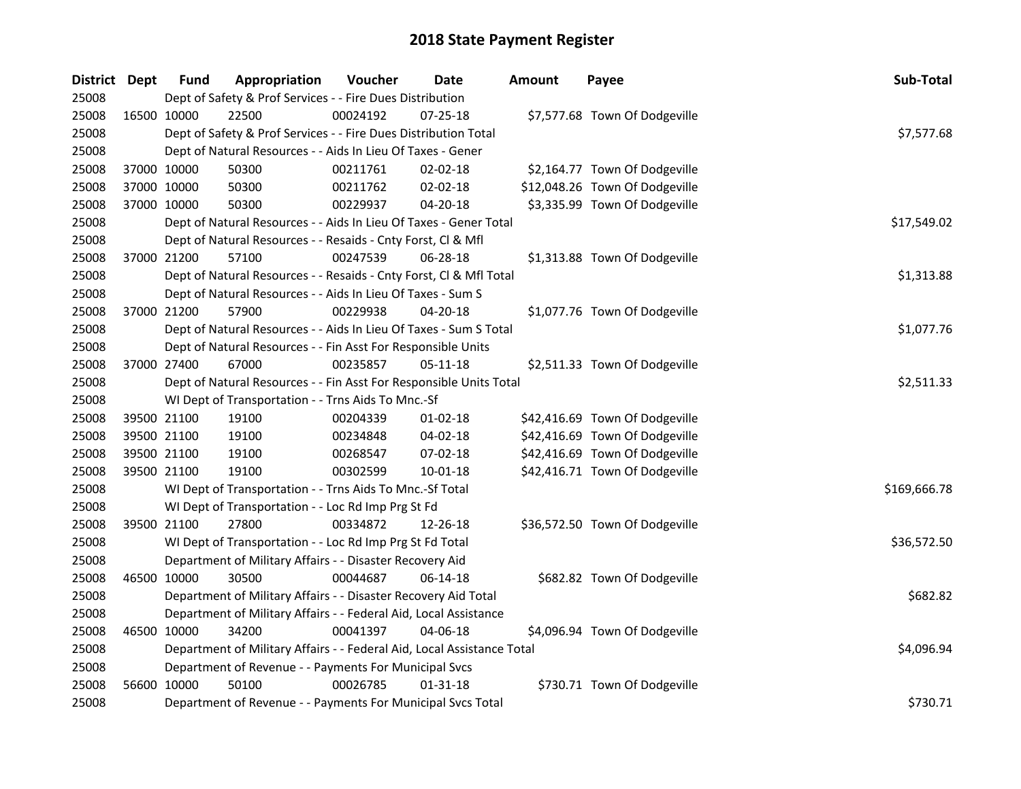| District Dept |             | <b>Fund</b> | Appropriation                                                          | Voucher    | <b>Date</b>    | <b>Amount</b> | Payee                          | Sub-Total    |
|---------------|-------------|-------------|------------------------------------------------------------------------|------------|----------------|---------------|--------------------------------|--------------|
| 25008         |             |             | Dept of Safety & Prof Services - - Fire Dues Distribution              |            |                |               |                                |              |
| 25008         | 16500 10000 |             | 22500                                                                  | 00024192   | 07-25-18       |               | \$7,577.68 Town Of Dodgeville  |              |
| 25008         |             |             | Dept of Safety & Prof Services - - Fire Dues Distribution Total        |            |                |               |                                | \$7,577.68   |
| 25008         |             |             | Dept of Natural Resources - - Aids In Lieu Of Taxes - Gener            |            |                |               |                                |              |
| 25008         | 37000 10000 |             | 50300                                                                  | 00211761   | 02-02-18       |               | \$2,164.77 Town Of Dodgeville  |              |
| 25008         | 37000 10000 |             | 50300                                                                  | 00211762   | 02-02-18       |               | \$12,048.26 Town Of Dodgeville |              |
| 25008         | 37000 10000 |             | 50300                                                                  | 00229937   | $04 - 20 - 18$ |               | \$3,335.99 Town Of Dodgeville  |              |
| 25008         |             |             | Dept of Natural Resources - - Aids In Lieu Of Taxes - Gener Total      |            |                |               |                                | \$17,549.02  |
| 25008         |             |             | Dept of Natural Resources - - Resaids - Cnty Forst, Cl & Mfl           |            |                |               |                                |              |
| 25008         | 37000 21200 |             | 57100                                                                  | 00247539   | 06-28-18       |               | \$1,313.88 Town Of Dodgeville  |              |
| 25008         |             |             | Dept of Natural Resources - - Resaids - Cnty Forst, Cl & Mfl Total     |            |                |               |                                | \$1,313.88   |
| 25008         |             |             | Dept of Natural Resources - - Aids In Lieu Of Taxes - Sum S            |            |                |               |                                |              |
| 25008         | 37000 21200 |             | 57900                                                                  | 00229938   | 04-20-18       |               | \$1,077.76 Town Of Dodgeville  |              |
| 25008         |             |             | Dept of Natural Resources - - Aids In Lieu Of Taxes - Sum S Total      |            |                |               |                                | \$1,077.76   |
| 25008         |             |             | Dept of Natural Resources - - Fin Asst For Responsible Units           |            |                |               |                                |              |
| 25008         | 37000 27400 |             | 67000                                                                  | 00235857   | 05-11-18       |               | \$2,511.33 Town Of Dodgeville  |              |
| 25008         |             |             | Dept of Natural Resources - - Fin Asst For Responsible Units Total     | \$2,511.33 |                |               |                                |              |
| 25008         |             |             | WI Dept of Transportation - - Trns Aids To Mnc.-Sf                     |            |                |               |                                |              |
| 25008         | 39500 21100 |             | 19100                                                                  | 00204339   | $01-02-18$     |               | \$42,416.69 Town Of Dodgeville |              |
| 25008         | 39500 21100 |             | 19100                                                                  | 00234848   | 04-02-18       |               | \$42,416.69 Town Of Dodgeville |              |
| 25008         | 39500 21100 |             | 19100                                                                  | 00268547   | 07-02-18       |               | \$42,416.69 Town Of Dodgeville |              |
| 25008         | 39500 21100 |             | 19100                                                                  | 00302599   | 10-01-18       |               | \$42,416.71 Town Of Dodgeville |              |
| 25008         |             |             | WI Dept of Transportation - - Trns Aids To Mnc.-Sf Total               |            |                |               |                                | \$169,666.78 |
| 25008         |             |             | WI Dept of Transportation - - Loc Rd Imp Prg St Fd                     |            |                |               |                                |              |
| 25008         | 39500 21100 |             | 27800                                                                  | 00334872   | 12-26-18       |               | \$36,572.50 Town Of Dodgeville |              |
| 25008         |             |             | WI Dept of Transportation - - Loc Rd Imp Prg St Fd Total               |            |                |               |                                | \$36,572.50  |
| 25008         |             |             | Department of Military Affairs - - Disaster Recovery Aid               |            |                |               |                                |              |
| 25008         | 46500 10000 |             | 30500                                                                  | 00044687   | 06-14-18       |               | \$682.82 Town Of Dodgeville    |              |
| 25008         |             |             | Department of Military Affairs - - Disaster Recovery Aid Total         |            |                |               |                                | \$682.82     |
| 25008         |             |             | Department of Military Affairs - - Federal Aid, Local Assistance       |            |                |               |                                |              |
| 25008         | 46500 10000 |             | 34200                                                                  | 00041397   | 04-06-18       |               | \$4,096.94 Town Of Dodgeville  |              |
| 25008         |             |             | Department of Military Affairs - - Federal Aid, Local Assistance Total |            |                |               |                                | \$4,096.94   |
| 25008         |             |             | Department of Revenue - - Payments For Municipal Svcs                  |            |                |               |                                |              |
| 25008         | 56600 10000 |             | 50100                                                                  | 00026785   | $01-31-18$     |               | \$730.71 Town Of Dodgeville    |              |
| 25008         |             |             | Department of Revenue - - Payments For Municipal Svcs Total            |            |                |               |                                | \$730.71     |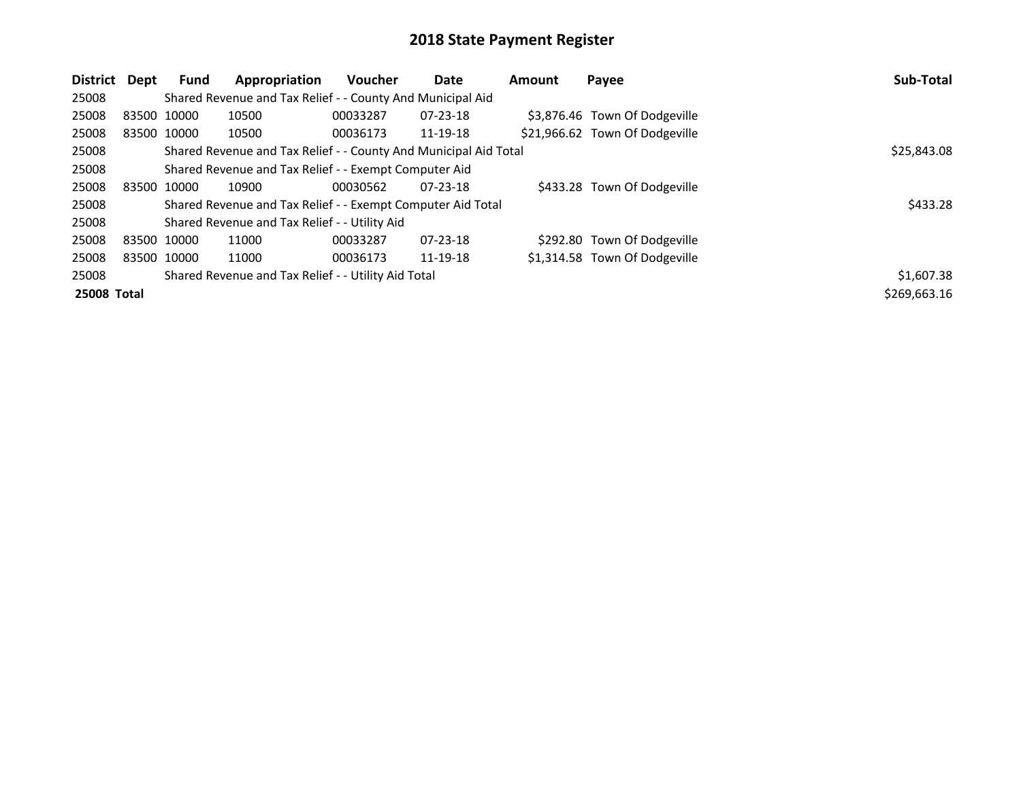| District Dept      |             | Fund                                                             | Appropriation                                               | <b>Voucher</b> | Date           | <b>Amount</b> | Payee                          | Sub-Total    |
|--------------------|-------------|------------------------------------------------------------------|-------------------------------------------------------------|----------------|----------------|---------------|--------------------------------|--------------|
| 25008              |             |                                                                  | Shared Revenue and Tax Relief - - County And Municipal Aid  |                |                |               |                                |              |
| 25008              |             | 83500 10000                                                      | 10500                                                       | 00033287       | $07 - 23 - 18$ |               | \$3,876.46 Town Of Dodgeville  |              |
| 25008              | 83500 10000 |                                                                  | 10500                                                       | 00036173       | 11-19-18       |               | \$21,966.62 Town Of Dodgeville |              |
| 25008              |             | Shared Revenue and Tax Relief - - County And Municipal Aid Total | \$25,843.08                                                 |                |                |               |                                |              |
| 25008              |             |                                                                  | Shared Revenue and Tax Relief - - Exempt Computer Aid       |                |                |               |                                |              |
| 25008              |             | 83500 10000                                                      | 10900                                                       | 00030562       | $07 - 23 - 18$ |               | \$433.28 Town Of Dodgeville    |              |
| 25008              |             |                                                                  | Shared Revenue and Tax Relief - - Exempt Computer Aid Total |                |                |               |                                | \$433.28     |
| 25008              |             |                                                                  | Shared Revenue and Tax Relief - - Utility Aid               |                |                |               |                                |              |
| 25008              | 83500 10000 |                                                                  | 11000                                                       | 00033287       | $07 - 23 - 18$ |               | \$292.80 Town Of Dodgeville    |              |
| 25008              |             | 83500 10000                                                      | 11000                                                       | 00036173       | 11-19-18       |               | \$1,314.58 Town Of Dodgeville  |              |
| 25008              |             | Shared Revenue and Tax Relief - - Utility Aid Total              | \$1,607.38                                                  |                |                |               |                                |              |
| <b>25008 Total</b> |             |                                                                  |                                                             |                |                |               |                                | \$269,663.16 |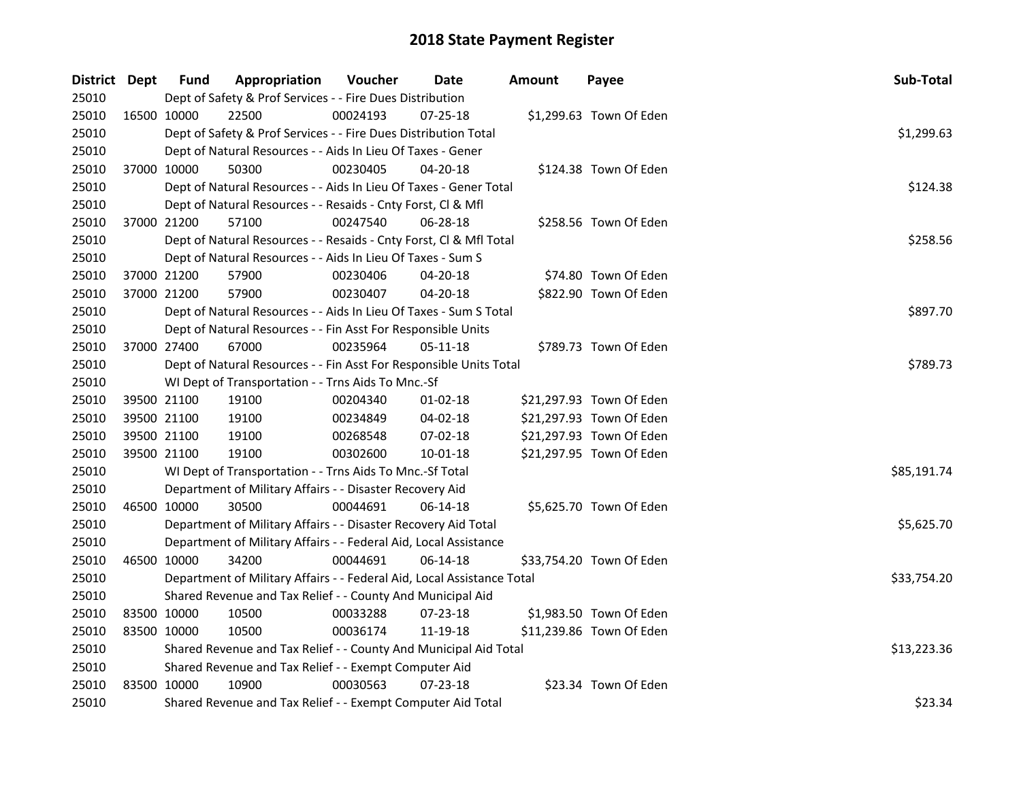| District Dept |             | <b>Fund</b> | Appropriation                                                          | Voucher  | Date           | <b>Amount</b> | Payee                    | Sub-Total   |
|---------------|-------------|-------------|------------------------------------------------------------------------|----------|----------------|---------------|--------------------------|-------------|
| 25010         |             |             | Dept of Safety & Prof Services - - Fire Dues Distribution              |          |                |               |                          |             |
| 25010         | 16500 10000 |             | 22500                                                                  | 00024193 | $07 - 25 - 18$ |               | \$1,299.63 Town Of Eden  |             |
| 25010         |             |             | Dept of Safety & Prof Services - - Fire Dues Distribution Total        |          |                |               |                          | \$1,299.63  |
| 25010         |             |             | Dept of Natural Resources - - Aids In Lieu Of Taxes - Gener            |          |                |               |                          |             |
| 25010         | 37000 10000 |             | 50300                                                                  | 00230405 | 04-20-18       |               | \$124.38 Town Of Eden    |             |
| 25010         |             |             | Dept of Natural Resources - - Aids In Lieu Of Taxes - Gener Total      |          |                |               |                          | \$124.38    |
| 25010         |             |             | Dept of Natural Resources - - Resaids - Cnty Forst, CI & Mfl           |          |                |               |                          |             |
| 25010         |             | 37000 21200 | 57100                                                                  | 00247540 | 06-28-18       |               | \$258.56 Town Of Eden    |             |
| 25010         |             |             | Dept of Natural Resources - - Resaids - Cnty Forst, Cl & Mfl Total     |          |                |               |                          | \$258.56    |
| 25010         |             |             | Dept of Natural Resources - - Aids In Lieu Of Taxes - Sum S            |          |                |               |                          |             |
| 25010         | 37000 21200 |             | 57900                                                                  | 00230406 | 04-20-18       |               | \$74.80 Town Of Eden     |             |
| 25010         | 37000 21200 |             | 57900                                                                  | 00230407 | 04-20-18       |               | \$822.90 Town Of Eden    |             |
| 25010         |             |             | Dept of Natural Resources - - Aids In Lieu Of Taxes - Sum S Total      |          |                |               |                          | \$897.70    |
| 25010         |             |             | Dept of Natural Resources - - Fin Asst For Responsible Units           |          |                |               |                          |             |
| 25010         | 37000 27400 |             | 67000                                                                  | 00235964 | 05-11-18       |               | \$789.73 Town Of Eden    |             |
| 25010         |             |             | Dept of Natural Resources - - Fin Asst For Responsible Units Total     | \$789.73 |                |               |                          |             |
| 25010         |             |             | WI Dept of Transportation - - Trns Aids To Mnc.-Sf                     |          |                |               |                          |             |
| 25010         | 39500 21100 |             | 19100                                                                  | 00204340 | $01 - 02 - 18$ |               | \$21,297.93 Town Of Eden |             |
| 25010         |             | 39500 21100 | 19100                                                                  | 00234849 | 04-02-18       |               | \$21,297.93 Town Of Eden |             |
| 25010         | 39500 21100 |             | 19100                                                                  | 00268548 | 07-02-18       |               | \$21,297.93 Town Of Eden |             |
| 25010         | 39500 21100 |             | 19100                                                                  | 00302600 | $10 - 01 - 18$ |               | \$21,297.95 Town Of Eden |             |
| 25010         |             |             | WI Dept of Transportation - - Trns Aids To Mnc.-Sf Total               |          |                |               |                          | \$85,191.74 |
| 25010         |             |             | Department of Military Affairs - - Disaster Recovery Aid               |          |                |               |                          |             |
| 25010         | 46500 10000 |             | 30500                                                                  | 00044691 | 06-14-18       |               | \$5,625.70 Town Of Eden  |             |
| 25010         |             |             | Department of Military Affairs - - Disaster Recovery Aid Total         |          |                |               |                          | \$5,625.70  |
| 25010         |             |             | Department of Military Affairs - - Federal Aid, Local Assistance       |          |                |               |                          |             |
| 25010         | 46500 10000 |             | 34200                                                                  | 00044691 | 06-14-18       |               | \$33,754.20 Town Of Eden |             |
| 25010         |             |             | Department of Military Affairs - - Federal Aid, Local Assistance Total |          |                |               |                          | \$33,754.20 |
| 25010         |             |             | Shared Revenue and Tax Relief - - County And Municipal Aid             |          |                |               |                          |             |
| 25010         | 83500 10000 |             | 10500                                                                  | 00033288 | 07-23-18       |               | \$1,983.50 Town Of Eden  |             |
| 25010         | 83500 10000 |             | 10500                                                                  | 00036174 | 11-19-18       |               | \$11,239.86 Town Of Eden |             |
| 25010         |             |             | Shared Revenue and Tax Relief - - County And Municipal Aid Total       |          |                |               |                          | \$13,223.36 |
| 25010         |             |             | Shared Revenue and Tax Relief - - Exempt Computer Aid                  |          |                |               |                          |             |
| 25010         | 83500 10000 |             | 10900                                                                  | 00030563 | $07 - 23 - 18$ |               | \$23.34 Town Of Eden     |             |
| 25010         |             |             | Shared Revenue and Tax Relief - - Exempt Computer Aid Total            |          |                |               |                          | \$23.34     |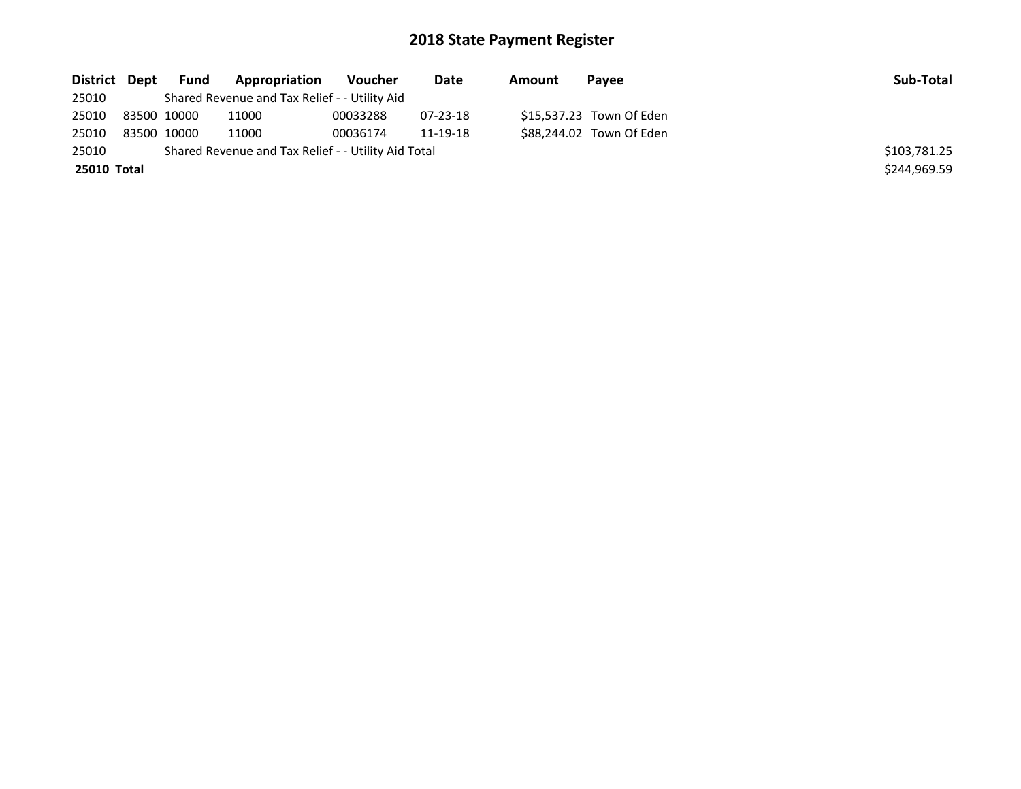| District Dept      | Fund        | Appropriation                                       | Voucher  | Date     | Amount | Pavee                    | Sub-Total    |
|--------------------|-------------|-----------------------------------------------------|----------|----------|--------|--------------------------|--------------|
| 25010              |             | Shared Revenue and Tax Relief - - Utility Aid       |          |          |        |                          |              |
| 25010              | 83500 10000 | 11000                                               | 00033288 | 07-23-18 |        | \$15,537.23 Town Of Eden |              |
| 25010              | 83500 10000 | 11000                                               | 00036174 | 11-19-18 |        | \$88,244.02 Town Of Eden |              |
| 25010              |             | Shared Revenue and Tax Relief - - Utility Aid Total |          |          |        |                          | \$103,781.25 |
| <b>25010 Total</b> |             |                                                     |          |          |        |                          | \$244.969.59 |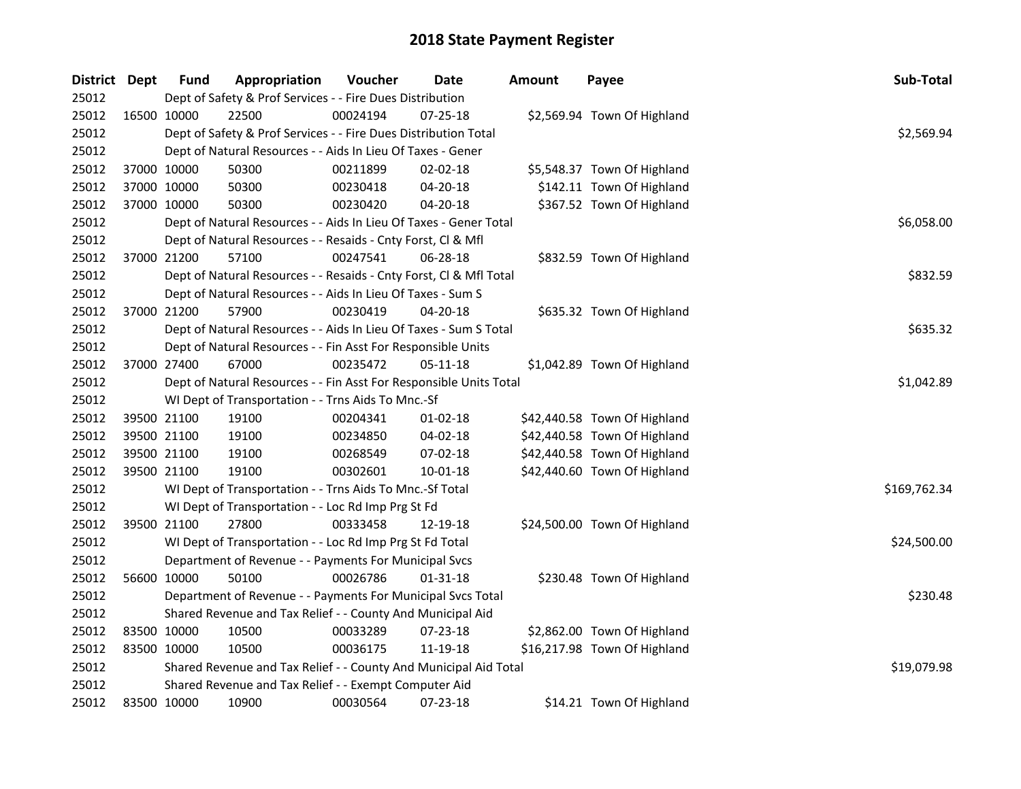| District Dept |             | <b>Fund</b> | Appropriation                                                      | Voucher    | Date           | <b>Amount</b> | Payee                        | Sub-Total    |
|---------------|-------------|-------------|--------------------------------------------------------------------|------------|----------------|---------------|------------------------------|--------------|
| 25012         |             |             | Dept of Safety & Prof Services - - Fire Dues Distribution          |            |                |               |                              |              |
| 25012         | 16500 10000 |             | 22500                                                              | 00024194   | $07 - 25 - 18$ |               | \$2,569.94 Town Of Highland  |              |
| 25012         |             |             | Dept of Safety & Prof Services - - Fire Dues Distribution Total    |            |                |               |                              | \$2,569.94   |
| 25012         |             |             | Dept of Natural Resources - - Aids In Lieu Of Taxes - Gener        |            |                |               |                              |              |
| 25012         |             | 37000 10000 | 50300                                                              | 00211899   | $02 - 02 - 18$ |               | \$5,548.37 Town Of Highland  |              |
| 25012         | 37000 10000 |             | 50300                                                              | 00230418   | 04-20-18       |               | \$142.11 Town Of Highland    |              |
| 25012         | 37000 10000 |             | 50300                                                              | 00230420   | 04-20-18       |               | \$367.52 Town Of Highland    |              |
| 25012         |             |             | Dept of Natural Resources - - Aids In Lieu Of Taxes - Gener Total  |            |                |               |                              | \$6,058.00   |
| 25012         |             |             | Dept of Natural Resources - - Resaids - Cnty Forst, Cl & Mfl       |            |                |               |                              |              |
| 25012         |             | 37000 21200 | 57100                                                              | 00247541   | 06-28-18       |               | \$832.59 Town Of Highland    |              |
| 25012         |             |             | Dept of Natural Resources - - Resaids - Cnty Forst, Cl & Mfl Total |            |                |               |                              | \$832.59     |
| 25012         |             |             | Dept of Natural Resources - - Aids In Lieu Of Taxes - Sum S        |            |                |               |                              |              |
| 25012         | 37000 21200 |             | 57900                                                              | 00230419   | 04-20-18       |               | \$635.32 Town Of Highland    |              |
| 25012         |             |             | Dept of Natural Resources - - Aids In Lieu Of Taxes - Sum S Total  |            |                |               |                              | \$635.32     |
| 25012         |             |             | Dept of Natural Resources - - Fin Asst For Responsible Units       |            |                |               |                              |              |
| 25012         |             | 37000 27400 | 67000                                                              | 00235472   | 05-11-18       |               | \$1,042.89 Town Of Highland  |              |
| 25012         |             |             | Dept of Natural Resources - - Fin Asst For Responsible Units Total | \$1,042.89 |                |               |                              |              |
| 25012         |             |             | WI Dept of Transportation - - Trns Aids To Mnc.-Sf                 |            |                |               |                              |              |
| 25012         |             | 39500 21100 | 19100                                                              | 00204341   | $01-02-18$     |               | \$42,440.58 Town Of Highland |              |
| 25012         | 39500 21100 |             | 19100                                                              | 00234850   | 04-02-18       |               | \$42,440.58 Town Of Highland |              |
| 25012         | 39500 21100 |             | 19100                                                              | 00268549   | 07-02-18       |               | \$42,440.58 Town Of Highland |              |
| 25012         |             | 39500 21100 | 19100                                                              | 00302601   | 10-01-18       |               | \$42,440.60 Town Of Highland |              |
| 25012         |             |             | WI Dept of Transportation - - Trns Aids To Mnc.-Sf Total           |            |                |               |                              | \$169,762.34 |
| 25012         |             |             | WI Dept of Transportation - - Loc Rd Imp Prg St Fd                 |            |                |               |                              |              |
| 25012         |             | 39500 21100 | 27800                                                              | 00333458   | 12-19-18       |               | \$24,500.00 Town Of Highland |              |
| 25012         |             |             | WI Dept of Transportation - - Loc Rd Imp Prg St Fd Total           |            |                |               |                              | \$24,500.00  |
| 25012         |             |             | Department of Revenue - - Payments For Municipal Svcs              |            |                |               |                              |              |
| 25012         | 56600 10000 |             | 50100                                                              | 00026786   | $01 - 31 - 18$ |               | \$230.48 Town Of Highland    |              |
| 25012         |             |             | Department of Revenue - - Payments For Municipal Svcs Total        |            |                |               |                              | \$230.48     |
| 25012         |             |             | Shared Revenue and Tax Relief - - County And Municipal Aid         |            |                |               |                              |              |
| 25012         | 83500 10000 |             | 10500                                                              | 00033289   | $07 - 23 - 18$ |               | \$2,862.00 Town Of Highland  |              |
| 25012         | 83500 10000 |             | 10500                                                              | 00036175   | 11-19-18       |               | \$16,217.98 Town Of Highland |              |
| 25012         |             |             | Shared Revenue and Tax Relief - - County And Municipal Aid Total   |            |                |               |                              | \$19,079.98  |
| 25012         |             |             | Shared Revenue and Tax Relief - - Exempt Computer Aid              |            |                |               |                              |              |
| 25012         | 83500 10000 |             | 10900                                                              | 00030564   | 07-23-18       |               | \$14.21 Town Of Highland     |              |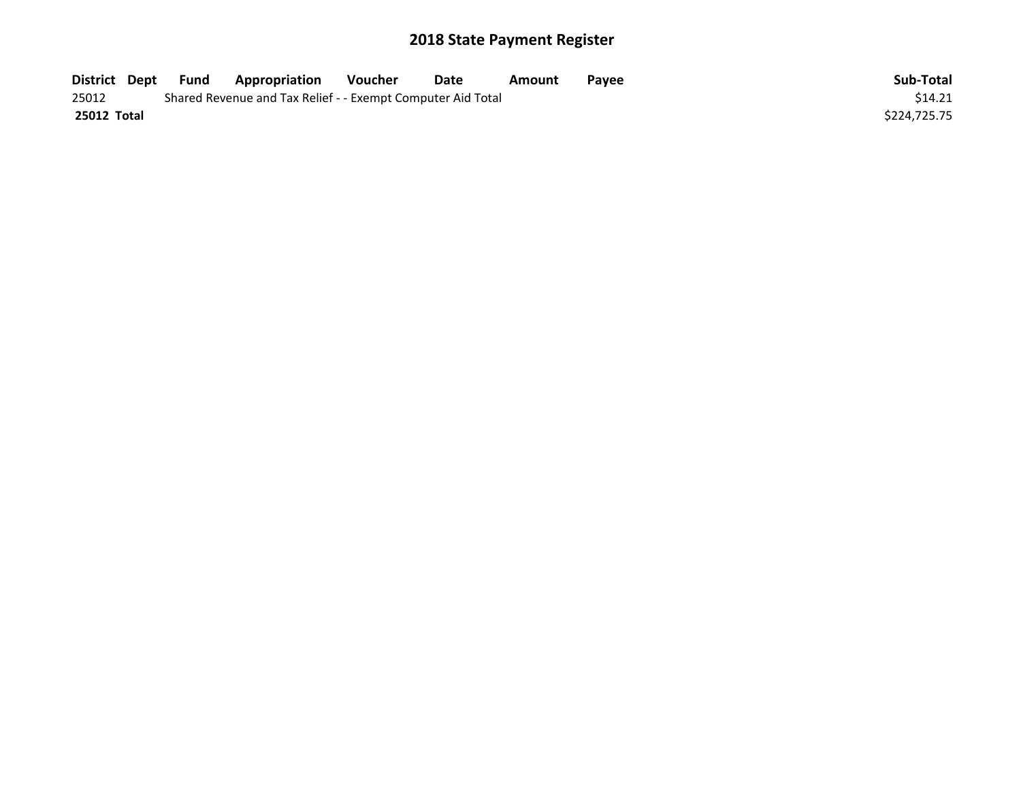| District Dept | Fund | <b>Appropriation</b>                                        | Voucher | Date | Amount | <b>Pavee</b> | Sub-Total    |
|---------------|------|-------------------------------------------------------------|---------|------|--------|--------------|--------------|
| 25012         |      | Shared Revenue and Tax Relief - - Exempt Computer Aid Total |         |      |        |              | \$14.21      |
| 25012 Total   |      |                                                             |         |      |        |              | \$224.725.75 |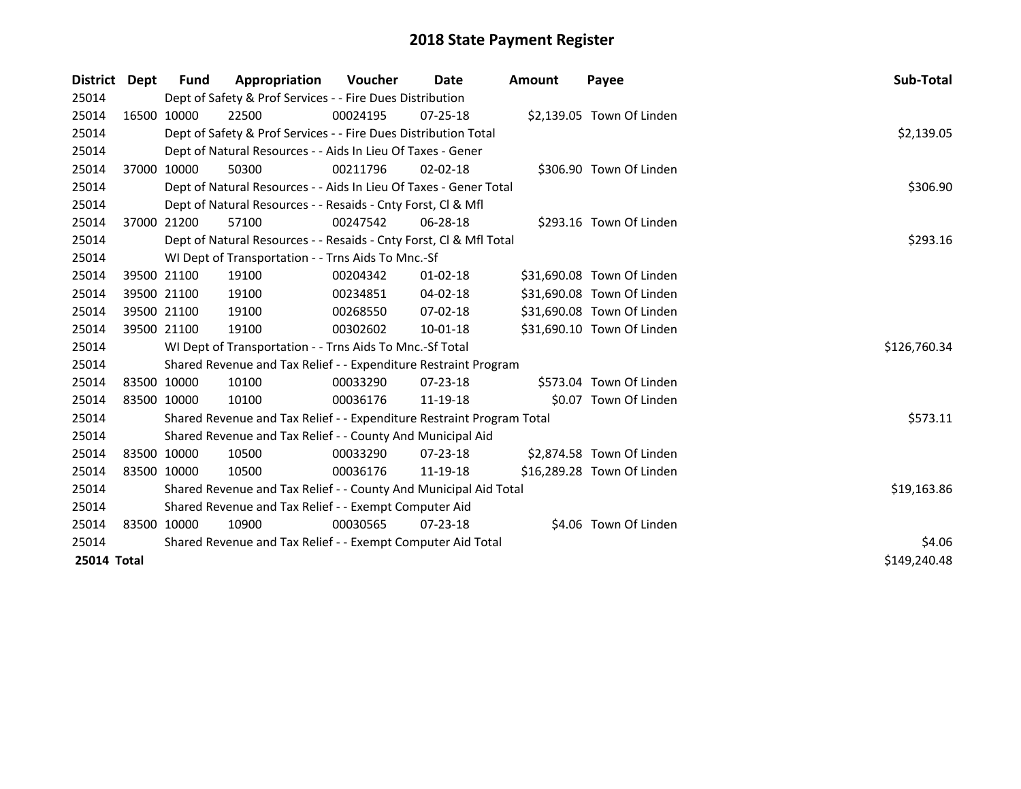| District Dept | <b>Fund</b> | Appropriation                                                         | <b>Voucher</b> | Date           | <b>Amount</b> | Payee                      | Sub-Total    |
|---------------|-------------|-----------------------------------------------------------------------|----------------|----------------|---------------|----------------------------|--------------|
| 25014         |             | Dept of Safety & Prof Services - - Fire Dues Distribution             |                |                |               |                            |              |
| 25014         | 16500 10000 | 22500                                                                 | 00024195       | $07 - 25 - 18$ |               | \$2,139.05 Town Of Linden  |              |
| 25014         |             | Dept of Safety & Prof Services - - Fire Dues Distribution Total       |                |                |               |                            | \$2,139.05   |
| 25014         |             | Dept of Natural Resources - - Aids In Lieu Of Taxes - Gener           |                |                |               |                            |              |
| 25014         | 37000 10000 | 50300                                                                 | 00211796       | $02 - 02 - 18$ |               | \$306.90 Town Of Linden    |              |
| 25014         |             | Dept of Natural Resources - - Aids In Lieu Of Taxes - Gener Total     | \$306.90       |                |               |                            |              |
| 25014         |             | Dept of Natural Resources - - Resaids - Cnty Forst, CI & Mfl          |                |                |               |                            |              |
| 25014         | 37000 21200 | 57100                                                                 | 00247542       | 06-28-18       |               | \$293.16 Town Of Linden    |              |
| 25014         |             | Dept of Natural Resources - - Resaids - Cnty Forst, CI & Mfl Total    |                |                |               |                            | \$293.16     |
| 25014         |             | WI Dept of Transportation - - Trns Aids To Mnc.-Sf                    |                |                |               |                            |              |
| 25014         | 39500 21100 | 19100                                                                 | 00204342       | $01 - 02 - 18$ |               | \$31,690.08 Town Of Linden |              |
| 25014         | 39500 21100 | 19100                                                                 | 00234851       | 04-02-18       |               | \$31,690.08 Town Of Linden |              |
| 25014         | 39500 21100 | 19100                                                                 | 00268550       | $07 - 02 - 18$ |               | \$31,690.08 Town Of Linden |              |
| 25014         | 39500 21100 | 19100                                                                 | 00302602       | $10 - 01 - 18$ |               | \$31,690.10 Town Of Linden |              |
| 25014         |             | WI Dept of Transportation - - Trns Aids To Mnc.-Sf Total              |                |                |               |                            | \$126,760.34 |
| 25014         |             | Shared Revenue and Tax Relief - - Expenditure Restraint Program       |                |                |               |                            |              |
| 25014         | 83500 10000 | 10100                                                                 | 00033290       | 07-23-18       |               | \$573.04 Town Of Linden    |              |
| 25014         | 83500 10000 | 10100                                                                 | 00036176       | 11-19-18       |               | \$0.07 Town Of Linden      |              |
| 25014         |             | Shared Revenue and Tax Relief - - Expenditure Restraint Program Total |                |                |               |                            | \$573.11     |
| 25014         |             | Shared Revenue and Tax Relief - - County And Municipal Aid            |                |                |               |                            |              |
| 25014         | 83500 10000 | 10500                                                                 | 00033290       | $07 - 23 - 18$ |               | \$2,874.58 Town Of Linden  |              |
| 25014         | 83500 10000 | 10500                                                                 | 00036176       | 11-19-18       |               | \$16,289.28 Town Of Linden |              |
| 25014         |             | Shared Revenue and Tax Relief - - County And Municipal Aid Total      | \$19,163.86    |                |               |                            |              |
| 25014         |             | Shared Revenue and Tax Relief - - Exempt Computer Aid                 |                |                |               |                            |              |
| 25014         | 83500 10000 | 10900                                                                 | 00030565       | $07 - 23 - 18$ |               | \$4.06 Town Of Linden      |              |
| 25014         |             | Shared Revenue and Tax Relief - - Exempt Computer Aid Total           | \$4.06         |                |               |                            |              |
| 25014 Total   |             |                                                                       |                |                |               |                            | \$149,240.48 |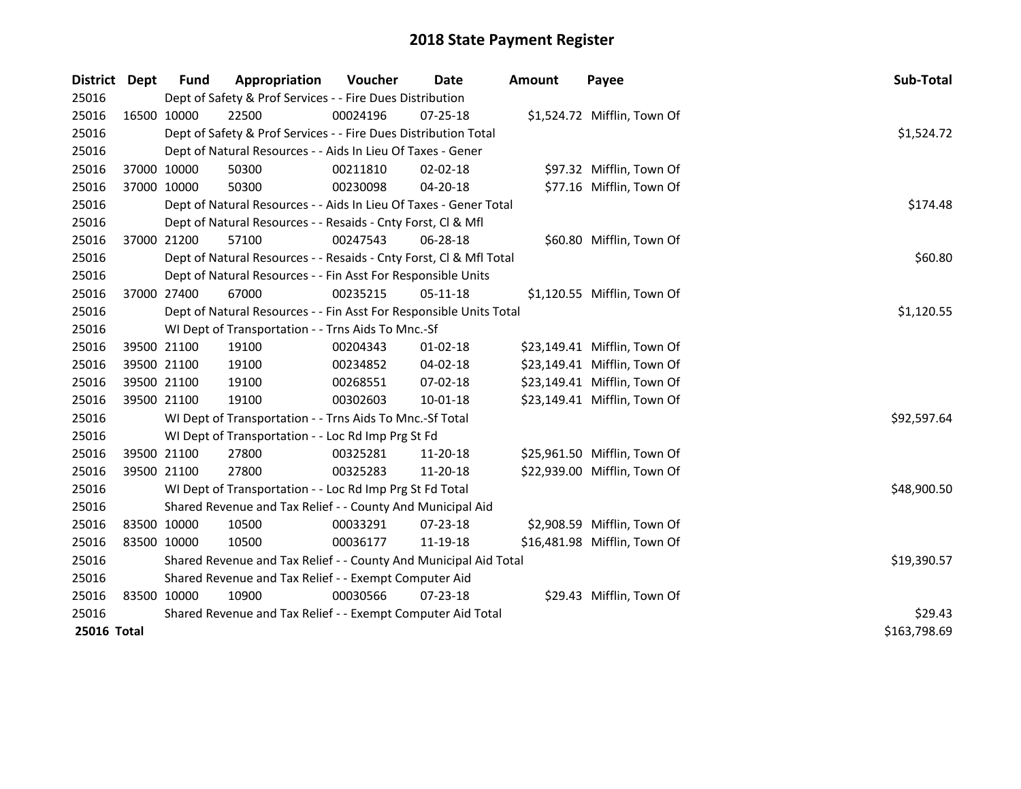| <b>District</b> | Dept        | <b>Fund</b>                                           | Appropriation                                                      | Voucher     | <b>Date</b>    | <b>Amount</b> | Payee                        | Sub-Total   |
|-----------------|-------------|-------------------------------------------------------|--------------------------------------------------------------------|-------------|----------------|---------------|------------------------------|-------------|
| 25016           |             |                                                       | Dept of Safety & Prof Services - - Fire Dues Distribution          |             |                |               |                              |             |
| 25016           |             | 16500 10000                                           | 22500                                                              | 00024196    | 07-25-18       |               | \$1,524.72 Mifflin, Town Of  |             |
| 25016           |             |                                                       | Dept of Safety & Prof Services - - Fire Dues Distribution Total    |             |                |               |                              | \$1,524.72  |
| 25016           |             |                                                       | Dept of Natural Resources - - Aids In Lieu Of Taxes - Gener        |             |                |               |                              |             |
| 25016           |             | 37000 10000                                           | 50300                                                              | 00211810    | 02-02-18       |               | \$97.32 Mifflin, Town Of     |             |
| 25016           |             | 37000 10000                                           | 50300                                                              | 00230098    | 04-20-18       |               | \$77.16 Mifflin, Town Of     |             |
| 25016           |             |                                                       | Dept of Natural Resources - - Aids In Lieu Of Taxes - Gener Total  | \$174.48    |                |               |                              |             |
| 25016           |             |                                                       | Dept of Natural Resources - - Resaids - Cnty Forst, CI & Mfl       |             |                |               |                              |             |
| 25016           |             | 37000 21200                                           | 57100                                                              | 00247543    | 06-28-18       |               | \$60.80 Mifflin, Town Of     |             |
| 25016           |             |                                                       | Dept of Natural Resources - - Resaids - Cnty Forst, CI & Mfl Total |             |                |               |                              | \$60.80     |
| 25016           |             |                                                       | Dept of Natural Resources - - Fin Asst For Responsible Units       |             |                |               |                              |             |
| 25016           |             | 37000 27400                                           | 67000                                                              | 00235215    | $05-11-18$     |               | \$1,120.55 Mifflin, Town Of  |             |
| 25016           |             |                                                       | Dept of Natural Resources - - Fin Asst For Responsible Units Total |             |                |               |                              | \$1,120.55  |
| 25016           |             |                                                       | WI Dept of Transportation - - Trns Aids To Mnc.-Sf                 |             |                |               |                              |             |
| 25016           |             | 39500 21100                                           | 19100                                                              | 00204343    | $01-02-18$     |               | \$23,149.41 Mifflin, Town Of |             |
| 25016           |             | 39500 21100                                           | 19100                                                              | 00234852    | 04-02-18       |               | \$23,149.41 Mifflin, Town Of |             |
| 25016           |             | 39500 21100                                           | 19100                                                              | 00268551    | $07 - 02 - 18$ |               | \$23,149.41 Mifflin, Town Of |             |
| 25016           | 39500 21100 |                                                       | 19100                                                              | 00302603    | $10 - 01 - 18$ |               | \$23,149.41 Mifflin, Town Of |             |
| 25016           |             |                                                       | WI Dept of Transportation - - Trns Aids To Mnc.-Sf Total           |             |                |               |                              | \$92,597.64 |
| 25016           |             |                                                       | WI Dept of Transportation - - Loc Rd Imp Prg St Fd                 |             |                |               |                              |             |
| 25016           |             | 39500 21100                                           | 27800                                                              | 00325281    | 11-20-18       |               | \$25,961.50 Mifflin, Town Of |             |
| 25016           | 39500 21100 |                                                       | 27800                                                              | 00325283    | 11-20-18       |               | \$22,939.00 Mifflin, Town Of |             |
| 25016           |             |                                                       | WI Dept of Transportation - - Loc Rd Imp Prg St Fd Total           |             |                |               |                              | \$48,900.50 |
| 25016           |             |                                                       | Shared Revenue and Tax Relief - - County And Municipal Aid         |             |                |               |                              |             |
| 25016           | 83500 10000 |                                                       | 10500                                                              | 00033291    | $07 - 23 - 18$ |               | \$2,908.59 Mifflin, Town Of  |             |
| 25016           | 83500 10000 |                                                       | 10500                                                              | 00036177    | 11-19-18       |               | \$16,481.98 Mifflin, Town Of |             |
| 25016           |             |                                                       | Shared Revenue and Tax Relief - - County And Municipal Aid Total   | \$19,390.57 |                |               |                              |             |
| 25016           |             | Shared Revenue and Tax Relief - - Exempt Computer Aid |                                                                    |             |                |               |                              |             |
| 25016           | 83500 10000 |                                                       | 10900                                                              | 00030566    | 07-23-18       |               | \$29.43 Mifflin, Town Of     |             |
| 25016           |             |                                                       | Shared Revenue and Tax Relief - - Exempt Computer Aid Total        | \$29.43     |                |               |                              |             |
| 25016 Total     |             | \$163,798.69                                          |                                                                    |             |                |               |                              |             |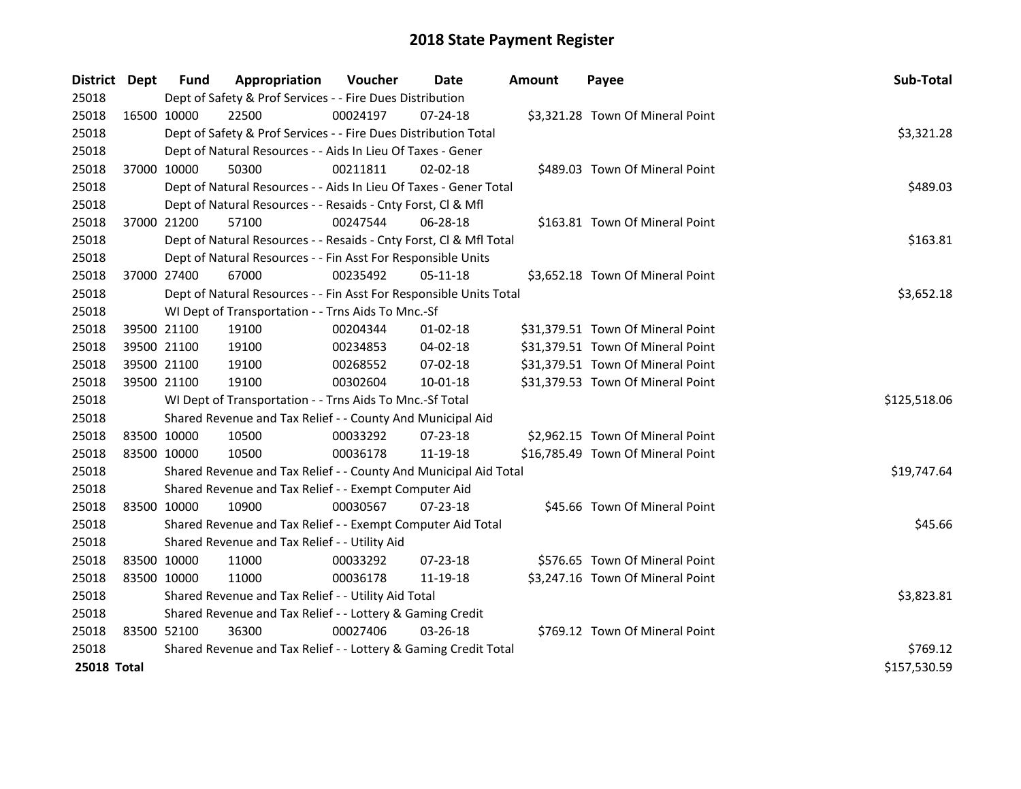| District Dept      | <b>Fund</b>                                                     | Appropriation                                                      | Voucher  | Date           | <b>Amount</b> | Payee                             | Sub-Total    |
|--------------------|-----------------------------------------------------------------|--------------------------------------------------------------------|----------|----------------|---------------|-----------------------------------|--------------|
| 25018              |                                                                 | Dept of Safety & Prof Services - - Fire Dues Distribution          |          |                |               |                                   |              |
| 25018              | 16500 10000                                                     | 22500                                                              | 00024197 | 07-24-18       |               | \$3,321.28 Town Of Mineral Point  |              |
| 25018              |                                                                 | Dept of Safety & Prof Services - - Fire Dues Distribution Total    |          |                |               |                                   | \$3,321.28   |
| 25018              |                                                                 | Dept of Natural Resources - - Aids In Lieu Of Taxes - Gener        |          |                |               |                                   |              |
| 25018              | 37000 10000                                                     | 50300                                                              | 00211811 | $02 - 02 - 18$ |               | \$489.03 Town Of Mineral Point    |              |
| 25018              |                                                                 | Dept of Natural Resources - - Aids In Lieu Of Taxes - Gener Total  | \$489.03 |                |               |                                   |              |
| 25018              |                                                                 | Dept of Natural Resources - - Resaids - Cnty Forst, Cl & Mfl       |          |                |               |                                   |              |
| 25018              | 37000 21200                                                     | 57100                                                              | 00247544 | 06-28-18       |               | \$163.81 Town Of Mineral Point    |              |
| 25018              |                                                                 | Dept of Natural Resources - - Resaids - Cnty Forst, Cl & Mfl Total |          |                |               |                                   | \$163.81     |
| 25018              |                                                                 | Dept of Natural Resources - - Fin Asst For Responsible Units       |          |                |               |                                   |              |
| 25018              | 37000 27400                                                     | 67000                                                              | 00235492 | $05-11-18$     |               | \$3,652.18 Town Of Mineral Point  |              |
| 25018              |                                                                 | Dept of Natural Resources - - Fin Asst For Responsible Units Total |          |                |               |                                   | \$3,652.18   |
| 25018              |                                                                 | WI Dept of Transportation - - Trns Aids To Mnc.-Sf                 |          |                |               |                                   |              |
| 25018              | 39500 21100                                                     | 19100                                                              | 00204344 | 01-02-18       |               | \$31,379.51 Town Of Mineral Point |              |
| 25018              | 39500 21100                                                     | 19100                                                              | 00234853 | 04-02-18       |               | \$31,379.51 Town Of Mineral Point |              |
| 25018              | 39500 21100                                                     | 19100                                                              | 00268552 | 07-02-18       |               | \$31,379.51 Town Of Mineral Point |              |
| 25018              | 39500 21100                                                     | 19100                                                              | 00302604 | $10 - 01 - 18$ |               | \$31,379.53 Town Of Mineral Point |              |
| 25018              |                                                                 | WI Dept of Transportation - - Trns Aids To Mnc.-Sf Total           |          |                |               |                                   | \$125,518.06 |
| 25018              |                                                                 | Shared Revenue and Tax Relief - - County And Municipal Aid         |          |                |               |                                   |              |
| 25018              | 83500 10000                                                     | 10500                                                              | 00033292 | 07-23-18       |               | \$2,962.15 Town Of Mineral Point  |              |
| 25018              | 83500 10000                                                     | 10500                                                              | 00036178 | 11-19-18       |               | \$16,785.49 Town Of Mineral Point |              |
| 25018              |                                                                 | Shared Revenue and Tax Relief - - County And Municipal Aid Total   |          |                |               |                                   | \$19,747.64  |
| 25018              |                                                                 | Shared Revenue and Tax Relief - - Exempt Computer Aid              |          |                |               |                                   |              |
| 25018              | 83500 10000                                                     | 10900                                                              | 00030567 | 07-23-18       |               | \$45.66 Town Of Mineral Point     |              |
| 25018              |                                                                 | Shared Revenue and Tax Relief - - Exempt Computer Aid Total        |          |                |               |                                   | \$45.66      |
| 25018              |                                                                 | Shared Revenue and Tax Relief - - Utility Aid                      |          |                |               |                                   |              |
| 25018              | 83500 10000                                                     | 11000                                                              | 00033292 | $07 - 23 - 18$ |               | \$576.65 Town Of Mineral Point    |              |
| 25018              | 83500 10000                                                     | 11000                                                              | 00036178 | 11-19-18       |               | \$3,247.16 Town Of Mineral Point  |              |
| 25018              | Shared Revenue and Tax Relief - - Utility Aid Total             | \$3,823.81                                                         |          |                |               |                                   |              |
| 25018              |                                                                 | Shared Revenue and Tax Relief - - Lottery & Gaming Credit          |          |                |               |                                   |              |
| 25018              | 83500 52100                                                     | 36300                                                              | 00027406 | $03 - 26 - 18$ |               | \$769.12 Town Of Mineral Point    |              |
| 25018              | Shared Revenue and Tax Relief - - Lottery & Gaming Credit Total | \$769.12                                                           |          |                |               |                                   |              |
| <b>25018 Total</b> |                                                                 |                                                                    |          |                |               |                                   | \$157,530.59 |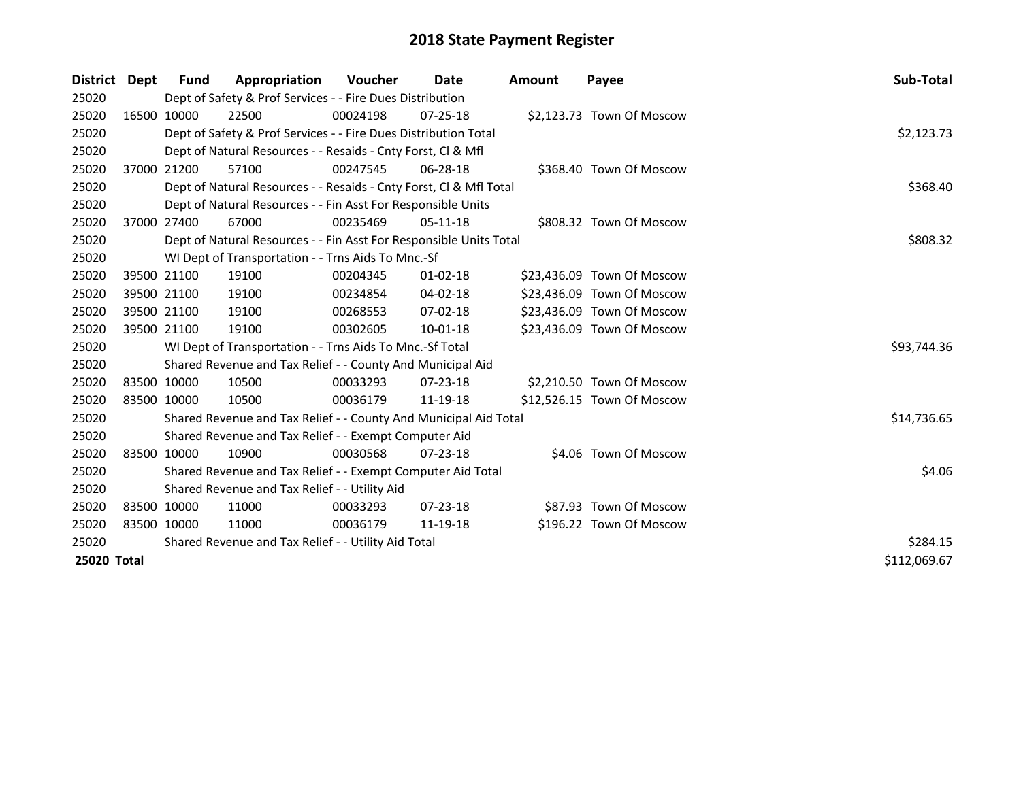| District Dept |             | Fund         | Appropriation                                                      | <b>Voucher</b> | Date           | <b>Amount</b> | Payee                      | Sub-Total   |
|---------------|-------------|--------------|--------------------------------------------------------------------|----------------|----------------|---------------|----------------------------|-------------|
| 25020         |             |              | Dept of Safety & Prof Services - - Fire Dues Distribution          |                |                |               |                            |             |
| 25020         |             | 16500 10000  | 22500                                                              | 00024198       | $07 - 25 - 18$ |               | \$2,123.73 Town Of Moscow  |             |
| 25020         |             |              | Dept of Safety & Prof Services - - Fire Dues Distribution Total    |                |                |               |                            | \$2,123.73  |
| 25020         |             |              | Dept of Natural Resources - - Resaids - Cnty Forst, Cl & Mfl       |                |                |               |                            |             |
| 25020         |             | 37000 21200  | 57100                                                              | 00247545       | 06-28-18       |               | \$368.40 Town Of Moscow    |             |
| 25020         |             |              | Dept of Natural Resources - - Resaids - Cnty Forst, Cl & Mfl Total |                |                |               |                            | \$368.40    |
| 25020         |             |              | Dept of Natural Resources - - Fin Asst For Responsible Units       |                |                |               |                            |             |
| 25020         |             | 37000 27400  | 67000                                                              | 00235469       | $05 - 11 - 18$ |               | \$808.32 Town Of Moscow    |             |
| 25020         |             |              | Dept of Natural Resources - - Fin Asst For Responsible Units Total |                |                |               |                            | \$808.32    |
| 25020         |             |              | WI Dept of Transportation - - Trns Aids To Mnc.-Sf                 |                |                |               |                            |             |
| 25020         |             | 39500 21100  | 19100                                                              | 00204345       | $01 - 02 - 18$ |               | \$23,436.09 Town Of Moscow |             |
| 25020         |             | 39500 21100  | 19100                                                              | 00234854       | 04-02-18       |               | \$23,436.09 Town Of Moscow |             |
| 25020         |             | 39500 21100  | 19100                                                              | 00268553       | $07-02-18$     |               | \$23,436.09 Town Of Moscow |             |
| 25020         |             | 39500 21100  | 19100                                                              | 00302605       | 10-01-18       |               | \$23,436.09 Town Of Moscow |             |
| 25020         |             |              | WI Dept of Transportation - - Trns Aids To Mnc.-Sf Total           |                |                |               |                            | \$93,744.36 |
| 25020         |             |              | Shared Revenue and Tax Relief - - County And Municipal Aid         |                |                |               |                            |             |
| 25020         |             | 83500 10000  | 10500                                                              | 00033293       | $07 - 23 - 18$ |               | \$2,210.50 Town Of Moscow  |             |
| 25020         | 83500 10000 |              | 10500                                                              | 00036179       | 11-19-18       |               | \$12,526.15 Town Of Moscow |             |
| 25020         |             |              | Shared Revenue and Tax Relief - - County And Municipal Aid Total   |                |                |               |                            | \$14,736.65 |
| 25020         |             |              | Shared Revenue and Tax Relief - - Exempt Computer Aid              |                |                |               |                            |             |
| 25020         |             | 83500 10000  | 10900                                                              | 00030568       | $07 - 23 - 18$ |               | \$4.06 Town Of Moscow      |             |
| 25020         |             |              | Shared Revenue and Tax Relief - - Exempt Computer Aid Total        |                |                |               |                            | \$4.06      |
| 25020         |             |              | Shared Revenue and Tax Relief - - Utility Aid                      |                |                |               |                            |             |
| 25020         |             | 83500 10000  | 11000                                                              | 00033293       | $07 - 23 - 18$ |               | \$87.93 Town Of Moscow     |             |
| 25020         |             | 83500 10000  | 11000                                                              | 00036179       | 11-19-18       |               | \$196.22 Town Of Moscow    |             |
| 25020         |             |              | Shared Revenue and Tax Relief - - Utility Aid Total                | \$284.15       |                |               |                            |             |
| 25020 Total   |             | \$112,069.67 |                                                                    |                |                |               |                            |             |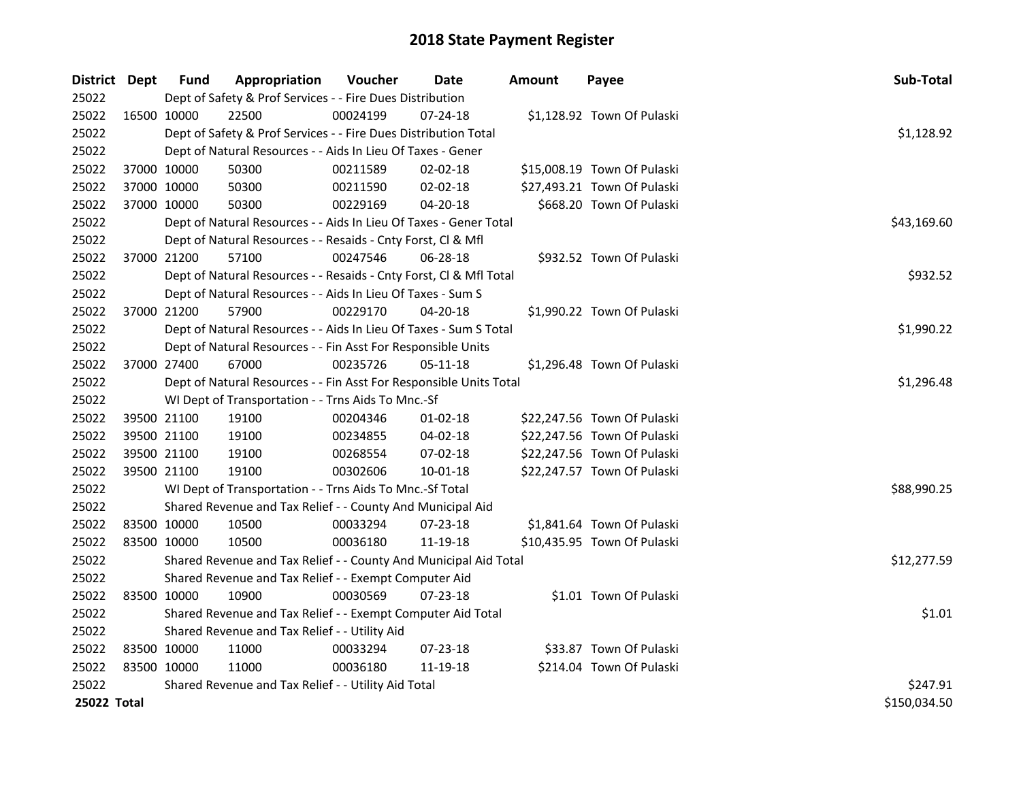| District Dept |             | <b>Fund</b> | Appropriation                                                      | Voucher    | <b>Date</b>    | <b>Amount</b> | Payee                       | Sub-Total    |
|---------------|-------------|-------------|--------------------------------------------------------------------|------------|----------------|---------------|-----------------------------|--------------|
| 25022         |             |             | Dept of Safety & Prof Services - - Fire Dues Distribution          |            |                |               |                             |              |
| 25022         | 16500 10000 |             | 22500                                                              | 00024199   | 07-24-18       |               | \$1,128.92 Town Of Pulaski  |              |
| 25022         |             |             | Dept of Safety & Prof Services - - Fire Dues Distribution Total    |            |                |               |                             | \$1,128.92   |
| 25022         |             |             | Dept of Natural Resources - - Aids In Lieu Of Taxes - Gener        |            |                |               |                             |              |
| 25022         | 37000 10000 |             | 50300                                                              | 00211589   | 02-02-18       |               | \$15,008.19 Town Of Pulaski |              |
| 25022         |             | 37000 10000 | 50300                                                              | 00211590   | 02-02-18       |               | \$27,493.21 Town Of Pulaski |              |
| 25022         | 37000 10000 |             | 50300                                                              | 00229169   | $04 - 20 - 18$ |               | \$668.20 Town Of Pulaski    |              |
| 25022         |             |             | Dept of Natural Resources - - Aids In Lieu Of Taxes - Gener Total  |            |                |               |                             | \$43,169.60  |
| 25022         |             |             | Dept of Natural Resources - - Resaids - Cnty Forst, Cl & Mfl       |            |                |               |                             |              |
| 25022         |             | 37000 21200 | 57100                                                              | 00247546   | 06-28-18       |               | \$932.52 Town Of Pulaski    |              |
| 25022         |             |             | Dept of Natural Resources - - Resaids - Cnty Forst, Cl & Mfl Total |            |                |               |                             | \$932.52     |
| 25022         |             |             | Dept of Natural Resources - - Aids In Lieu Of Taxes - Sum S        |            |                |               |                             |              |
| 25022         | 37000 21200 |             | 57900                                                              | 00229170   | 04-20-18       |               | \$1,990.22 Town Of Pulaski  |              |
| 25022         |             |             | Dept of Natural Resources - - Aids In Lieu Of Taxes - Sum S Total  |            |                |               |                             | \$1,990.22   |
| 25022         |             |             | Dept of Natural Resources - - Fin Asst For Responsible Units       |            |                |               |                             |              |
| 25022         | 37000 27400 |             | 67000                                                              | 00235726   | 05-11-18       |               | \$1,296.48 Town Of Pulaski  |              |
| 25022         |             |             | Dept of Natural Resources - - Fin Asst For Responsible Units Total | \$1,296.48 |                |               |                             |              |
| 25022         |             |             | WI Dept of Transportation - - Trns Aids To Mnc.-Sf                 |            |                |               |                             |              |
| 25022         |             | 39500 21100 | 19100                                                              | 00204346   | $01-02-18$     |               | \$22,247.56 Town Of Pulaski |              |
| 25022         |             | 39500 21100 | 19100                                                              | 00234855   | 04-02-18       |               | \$22,247.56 Town Of Pulaski |              |
| 25022         | 39500 21100 |             | 19100                                                              | 00268554   | 07-02-18       |               | \$22,247.56 Town Of Pulaski |              |
| 25022         | 39500 21100 |             | 19100                                                              | 00302606   | $10 - 01 - 18$ |               | \$22,247.57 Town Of Pulaski |              |
| 25022         |             |             | WI Dept of Transportation - - Trns Aids To Mnc.-Sf Total           |            |                |               |                             | \$88,990.25  |
| 25022         |             |             | Shared Revenue and Tax Relief - - County And Municipal Aid         |            |                |               |                             |              |
| 25022         |             | 83500 10000 | 10500                                                              | 00033294   | 07-23-18       |               | \$1,841.64 Town Of Pulaski  |              |
| 25022         | 83500 10000 |             | 10500                                                              | 00036180   | 11-19-18       |               | \$10,435.95 Town Of Pulaski |              |
| 25022         |             |             | Shared Revenue and Tax Relief - - County And Municipal Aid Total   |            |                |               |                             | \$12,277.59  |
| 25022         |             |             | Shared Revenue and Tax Relief - - Exempt Computer Aid              |            |                |               |                             |              |
| 25022         | 83500 10000 |             | 10900                                                              | 00030569   | 07-23-18       |               | \$1.01 Town Of Pulaski      |              |
| 25022         |             |             | Shared Revenue and Tax Relief - - Exempt Computer Aid Total        |            |                |               |                             | \$1.01       |
| 25022         |             |             | Shared Revenue and Tax Relief - - Utility Aid                      |            |                |               |                             |              |
| 25022         |             | 83500 10000 | 11000                                                              | 00033294   | $07 - 23 - 18$ |               | \$33.87 Town Of Pulaski     |              |
| 25022         | 83500 10000 |             | 11000                                                              | 00036180   | 11-19-18       |               | \$214.04 Town Of Pulaski    |              |
| 25022         |             |             | Shared Revenue and Tax Relief - - Utility Aid Total                |            |                |               |                             | \$247.91     |
| 25022 Total   |             |             |                                                                    |            |                |               |                             | \$150,034.50 |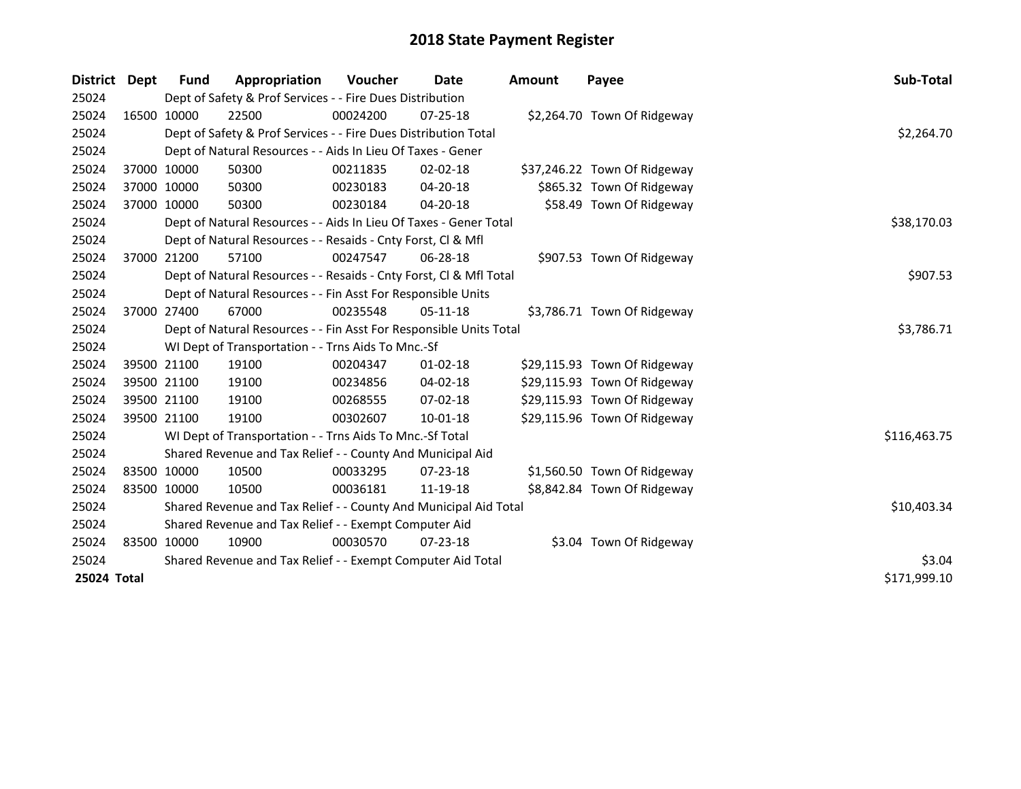| District Dept |             | Fund        | Appropriation                                                      | <b>Voucher</b> | Date           | Amount | Payee                        | Sub-Total    |
|---------------|-------------|-------------|--------------------------------------------------------------------|----------------|----------------|--------|------------------------------|--------------|
| 25024         |             |             | Dept of Safety & Prof Services - - Fire Dues Distribution          |                |                |        |                              |              |
| 25024         |             | 16500 10000 | 22500                                                              | 00024200       | $07 - 25 - 18$ |        | \$2,264.70 Town Of Ridgeway  |              |
| 25024         |             |             | Dept of Safety & Prof Services - - Fire Dues Distribution Total    |                |                |        |                              | \$2,264.70   |
| 25024         |             |             | Dept of Natural Resources - - Aids In Lieu Of Taxes - Gener        |                |                |        |                              |              |
| 25024         | 37000 10000 |             | 50300                                                              | 00211835       | $02 - 02 - 18$ |        | \$37,246.22 Town Of Ridgeway |              |
| 25024         | 37000 10000 |             | 50300                                                              | 00230183       | $04 - 20 - 18$ |        | \$865.32 Town Of Ridgeway    |              |
| 25024         | 37000 10000 |             | 50300                                                              | 00230184       | $04 - 20 - 18$ |        | \$58.49 Town Of Ridgeway     |              |
| 25024         |             |             | Dept of Natural Resources - - Aids In Lieu Of Taxes - Gener Total  | \$38,170.03    |                |        |                              |              |
| 25024         |             |             | Dept of Natural Resources - - Resaids - Cnty Forst, Cl & Mfl       |                |                |        |                              |              |
| 25024         |             | 37000 21200 | 57100                                                              | 00247547       | $06 - 28 - 18$ |        | \$907.53 Town Of Ridgeway    |              |
| 25024         |             |             | Dept of Natural Resources - - Resaids - Cnty Forst, Cl & Mfl Total |                |                |        |                              | \$907.53     |
| 25024         |             |             | Dept of Natural Resources - - Fin Asst For Responsible Units       |                |                |        |                              |              |
| 25024         | 37000 27400 |             | 67000                                                              | 00235548       | $05 - 11 - 18$ |        | \$3,786.71 Town Of Ridgeway  |              |
| 25024         |             |             | Dept of Natural Resources - - Fin Asst For Responsible Units Total | \$3,786.71     |                |        |                              |              |
| 25024         |             |             | WI Dept of Transportation - - Trns Aids To Mnc.-Sf                 |                |                |        |                              |              |
| 25024         |             | 39500 21100 | 19100                                                              | 00204347       | $01 - 02 - 18$ |        | \$29,115.93 Town Of Ridgeway |              |
| 25024         |             | 39500 21100 | 19100                                                              | 00234856       | 04-02-18       |        | \$29,115.93 Town Of Ridgeway |              |
| 25024         |             | 39500 21100 | 19100                                                              | 00268555       | 07-02-18       |        | \$29,115.93 Town Of Ridgeway |              |
| 25024         | 39500 21100 |             | 19100                                                              | 00302607       | 10-01-18       |        | \$29,115.96 Town Of Ridgeway |              |
| 25024         |             |             | WI Dept of Transportation - - Trns Aids To Mnc.-Sf Total           |                |                |        |                              | \$116,463.75 |
| 25024         |             |             | Shared Revenue and Tax Relief - - County And Municipal Aid         |                |                |        |                              |              |
| 25024         |             | 83500 10000 | 10500                                                              | 00033295       | 07-23-18       |        | \$1,560.50 Town Of Ridgeway  |              |
| 25024         | 83500 10000 |             | 10500                                                              | 00036181       | 11-19-18       |        | \$8,842.84 Town Of Ridgeway  |              |
| 25024         |             |             | Shared Revenue and Tax Relief - - County And Municipal Aid Total   |                |                |        |                              | \$10,403.34  |
| 25024         |             |             | Shared Revenue and Tax Relief - - Exempt Computer Aid              |                |                |        |                              |              |
| 25024         |             | 83500 10000 | 10900                                                              | 00030570       | $07 - 23 - 18$ |        | \$3.04 Town Of Ridgeway      |              |
| 25024         |             |             | Shared Revenue and Tax Relief - - Exempt Computer Aid Total        |                |                |        |                              | \$3.04       |
| 25024 Total   |             |             |                                                                    |                |                |        |                              | \$171,999.10 |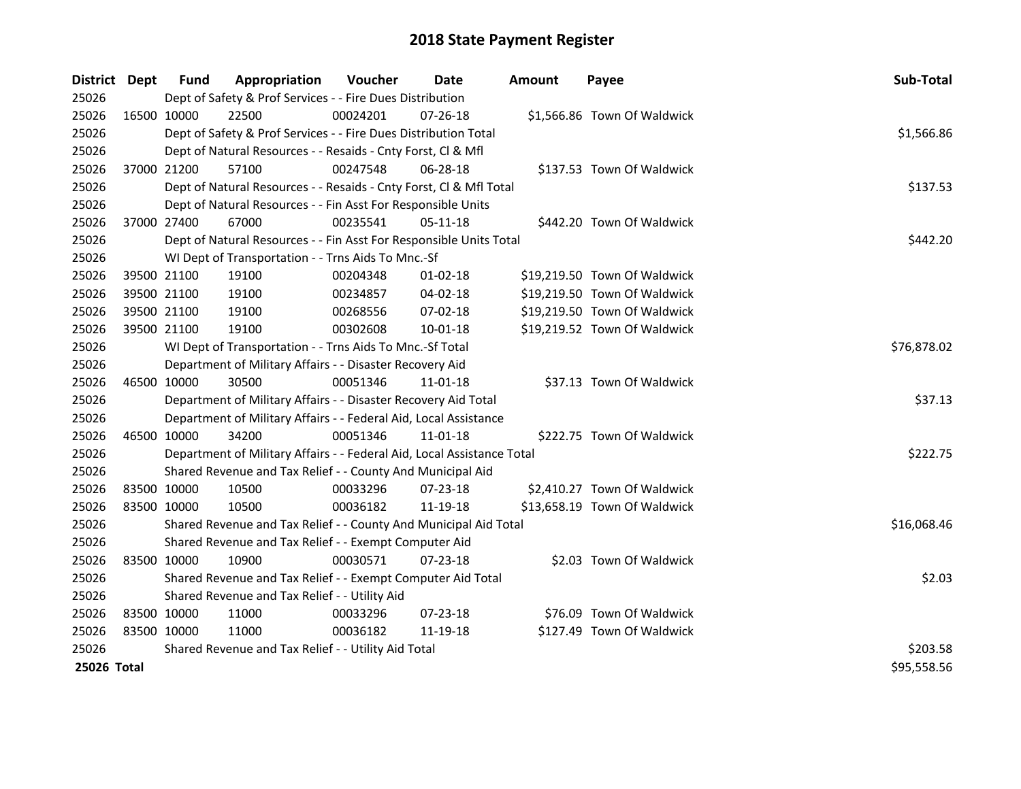| District Dept |             | <b>Fund</b>                                   | Appropriation                                                          | Voucher     | <b>Date</b>    | <b>Amount</b> | Payee                        | Sub-Total   |
|---------------|-------------|-----------------------------------------------|------------------------------------------------------------------------|-------------|----------------|---------------|------------------------------|-------------|
| 25026         |             |                                               | Dept of Safety & Prof Services - - Fire Dues Distribution              |             |                |               |                              |             |
| 25026         | 16500 10000 |                                               | 22500                                                                  | 00024201    | $07 - 26 - 18$ |               | \$1,566.86 Town Of Waldwick  |             |
| 25026         |             |                                               | Dept of Safety & Prof Services - - Fire Dues Distribution Total        |             |                |               |                              | \$1,566.86  |
| 25026         |             |                                               | Dept of Natural Resources - - Resaids - Cnty Forst, Cl & Mfl           |             |                |               |                              |             |
| 25026         |             | 37000 21200                                   | 57100                                                                  | 00247548    | 06-28-18       |               | \$137.53 Town Of Waldwick    |             |
| 25026         |             |                                               | Dept of Natural Resources - - Resaids - Cnty Forst, Cl & Mfl Total     |             |                |               |                              | \$137.53    |
| 25026         |             |                                               | Dept of Natural Resources - - Fin Asst For Responsible Units           |             |                |               |                              |             |
| 25026         |             | 37000 27400                                   | 67000                                                                  | 00235541    | $05 - 11 - 18$ |               | \$442.20 Town Of Waldwick    |             |
| 25026         |             |                                               | Dept of Natural Resources - - Fin Asst For Responsible Units Total     |             |                | \$442.20      |                              |             |
| 25026         |             |                                               | WI Dept of Transportation - - Trns Aids To Mnc.-Sf                     |             |                |               |                              |             |
| 25026         |             | 39500 21100                                   | 19100                                                                  | 00204348    | $01 - 02 - 18$ |               | \$19,219.50 Town Of Waldwick |             |
| 25026         |             | 39500 21100                                   | 19100                                                                  | 00234857    | 04-02-18       |               | \$19,219.50 Town Of Waldwick |             |
| 25026         |             | 39500 21100                                   | 19100                                                                  | 00268556    | 07-02-18       |               | \$19,219.50 Town Of Waldwick |             |
| 25026         |             | 39500 21100                                   | 19100                                                                  | 00302608    | 10-01-18       |               | \$19,219.52 Town Of Waldwick |             |
| 25026         |             |                                               | WI Dept of Transportation - - Trns Aids To Mnc.-Sf Total               | \$76,878.02 |                |               |                              |             |
| 25026         |             |                                               | Department of Military Affairs - - Disaster Recovery Aid               |             |                |               |                              |             |
| 25026         |             | 46500 10000                                   | 30500                                                                  | 00051346    | 11-01-18       |               | \$37.13 Town Of Waldwick     |             |
| 25026         |             |                                               | Department of Military Affairs - - Disaster Recovery Aid Total         |             |                |               |                              | \$37.13     |
| 25026         |             |                                               | Department of Military Affairs - - Federal Aid, Local Assistance       |             |                |               |                              |             |
| 25026         |             | 46500 10000                                   | 34200                                                                  | 00051346    | 11-01-18       |               | \$222.75 Town Of Waldwick    |             |
| 25026         |             |                                               | Department of Military Affairs - - Federal Aid, Local Assistance Total |             |                |               |                              | \$222.75    |
| 25026         |             |                                               | Shared Revenue and Tax Relief - - County And Municipal Aid             |             |                |               |                              |             |
| 25026         |             | 83500 10000                                   | 10500                                                                  | 00033296    | 07-23-18       |               | \$2,410.27 Town Of Waldwick  |             |
| 25026         | 83500 10000 |                                               | 10500                                                                  | 00036182    | 11-19-18       |               | \$13,658.19 Town Of Waldwick |             |
| 25026         |             |                                               | Shared Revenue and Tax Relief - - County And Municipal Aid Total       |             |                |               |                              | \$16,068.46 |
| 25026         |             |                                               | Shared Revenue and Tax Relief - - Exempt Computer Aid                  |             |                |               |                              |             |
| 25026         | 83500 10000 |                                               | 10900                                                                  | 00030571    | 07-23-18       |               | \$2.03 Town Of Waldwick      |             |
| 25026         |             |                                               | Shared Revenue and Tax Relief - - Exempt Computer Aid Total            |             |                |               |                              | \$2.03      |
| 25026         |             | Shared Revenue and Tax Relief - - Utility Aid |                                                                        |             |                |               |                              |             |
| 25026         | 83500 10000 |                                               | 11000                                                                  | 00033296    | 07-23-18       |               | \$76.09 Town Of Waldwick     |             |
| 25026         | 83500 10000 |                                               | 11000                                                                  | 00036182    | 11-19-18       |               | \$127.49 Town Of Waldwick    |             |
| 25026         |             |                                               | Shared Revenue and Tax Relief - - Utility Aid Total                    |             |                |               |                              | \$203.58    |
| 25026 Total   |             |                                               |                                                                        |             |                |               |                              | \$95,558.56 |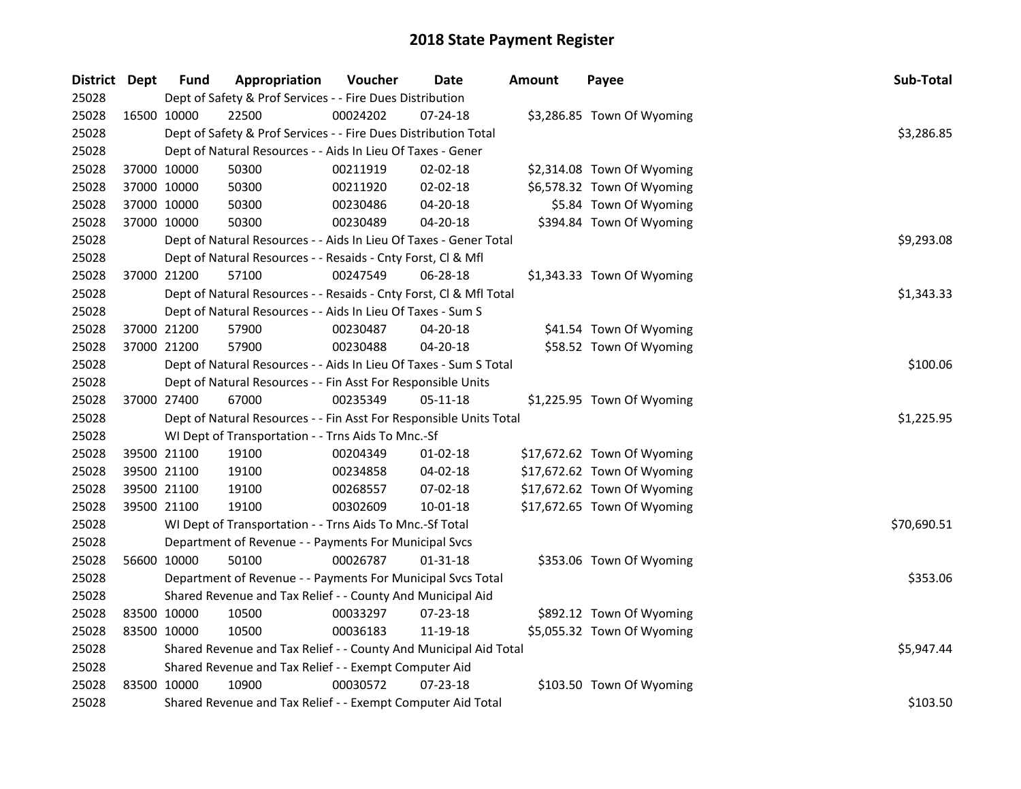| District Dept |             | <b>Fund</b>                                           | Appropriation                                                      | Voucher  | <b>Date</b>    | <b>Amount</b> | Payee                       | Sub-Total   |
|---------------|-------------|-------------------------------------------------------|--------------------------------------------------------------------|----------|----------------|---------------|-----------------------------|-------------|
| 25028         |             |                                                       | Dept of Safety & Prof Services - - Fire Dues Distribution          |          |                |               |                             |             |
| 25028         | 16500 10000 |                                                       | 22500                                                              | 00024202 | 07-24-18       |               | \$3,286.85 Town Of Wyoming  |             |
| 25028         |             |                                                       | Dept of Safety & Prof Services - - Fire Dues Distribution Total    |          |                |               |                             | \$3,286.85  |
| 25028         |             |                                                       | Dept of Natural Resources - - Aids In Lieu Of Taxes - Gener        |          |                |               |                             |             |
| 25028         | 37000 10000 |                                                       | 50300                                                              | 00211919 | 02-02-18       |               | \$2,314.08 Town Of Wyoming  |             |
| 25028         | 37000 10000 |                                                       | 50300                                                              | 00211920 | 02-02-18       |               | \$6,578.32 Town Of Wyoming  |             |
| 25028         | 37000 10000 |                                                       | 50300                                                              | 00230486 | 04-20-18       |               | \$5.84 Town Of Wyoming      |             |
| 25028         | 37000 10000 |                                                       | 50300                                                              | 00230489 | 04-20-18       |               | \$394.84 Town Of Wyoming    |             |
| 25028         |             |                                                       | Dept of Natural Resources - - Aids In Lieu Of Taxes - Gener Total  |          |                | \$9,293.08    |                             |             |
| 25028         |             |                                                       | Dept of Natural Resources - - Resaids - Cnty Forst, Cl & Mfl       |          |                |               |                             |             |
| 25028         | 37000 21200 |                                                       | 57100                                                              | 00247549 | 06-28-18       |               | \$1,343.33 Town Of Wyoming  |             |
| 25028         |             |                                                       | Dept of Natural Resources - - Resaids - Cnty Forst, Cl & Mfl Total |          |                |               |                             | \$1,343.33  |
| 25028         |             |                                                       | Dept of Natural Resources - - Aids In Lieu Of Taxes - Sum S        |          |                |               |                             |             |
| 25028         | 37000 21200 |                                                       | 57900                                                              | 00230487 | 04-20-18       |               | \$41.54 Town Of Wyoming     |             |
| 25028         | 37000 21200 |                                                       | 57900                                                              | 00230488 | 04-20-18       |               | \$58.52 Town Of Wyoming     |             |
| 25028         |             |                                                       | Dept of Natural Resources - - Aids In Lieu Of Taxes - Sum S Total  | \$100.06 |                |               |                             |             |
| 25028         |             |                                                       | Dept of Natural Resources - - Fin Asst For Responsible Units       |          |                |               |                             |             |
| 25028         | 37000 27400 |                                                       | 67000                                                              | 00235349 | $05 - 11 - 18$ |               | \$1,225.95 Town Of Wyoming  |             |
| 25028         |             |                                                       | Dept of Natural Resources - - Fin Asst For Responsible Units Total |          |                |               |                             | \$1,225.95  |
| 25028         |             |                                                       | WI Dept of Transportation - - Trns Aids To Mnc.-Sf                 |          |                |               |                             |             |
| 25028         | 39500 21100 |                                                       | 19100                                                              | 00204349 | $01 - 02 - 18$ |               | \$17,672.62 Town Of Wyoming |             |
| 25028         | 39500 21100 |                                                       | 19100                                                              | 00234858 | 04-02-18       |               | \$17,672.62 Town Of Wyoming |             |
| 25028         | 39500 21100 |                                                       | 19100                                                              | 00268557 | 07-02-18       |               | \$17,672.62 Town Of Wyoming |             |
| 25028         | 39500 21100 |                                                       | 19100                                                              | 00302609 | 10-01-18       |               | \$17,672.65 Town Of Wyoming |             |
| 25028         |             |                                                       | WI Dept of Transportation - - Trns Aids To Mnc.-Sf Total           |          |                |               |                             | \$70,690.51 |
| 25028         |             |                                                       | Department of Revenue - - Payments For Municipal Svcs              |          |                |               |                             |             |
| 25028         | 56600 10000 |                                                       | 50100                                                              | 00026787 | 01-31-18       |               | \$353.06 Town Of Wyoming    |             |
| 25028         |             |                                                       | Department of Revenue - - Payments For Municipal Svcs Total        |          |                |               |                             | \$353.06    |
| 25028         |             |                                                       | Shared Revenue and Tax Relief - - County And Municipal Aid         |          |                |               |                             |             |
| 25028         | 83500 10000 |                                                       | 10500                                                              | 00033297 | 07-23-18       |               | \$892.12 Town Of Wyoming    |             |
| 25028         | 83500 10000 |                                                       | 10500                                                              | 00036183 | 11-19-18       |               | \$5,055.32 Town Of Wyoming  |             |
| 25028         |             |                                                       | Shared Revenue and Tax Relief - - County And Municipal Aid Total   |          |                |               |                             | \$5,947.44  |
| 25028         |             | Shared Revenue and Tax Relief - - Exempt Computer Aid |                                                                    |          |                |               |                             |             |
| 25028         | 83500 10000 |                                                       | 10900                                                              | 00030572 | 07-23-18       |               | \$103.50 Town Of Wyoming    |             |
| 25028         |             |                                                       | Shared Revenue and Tax Relief - - Exempt Computer Aid Total        |          |                |               |                             | \$103.50    |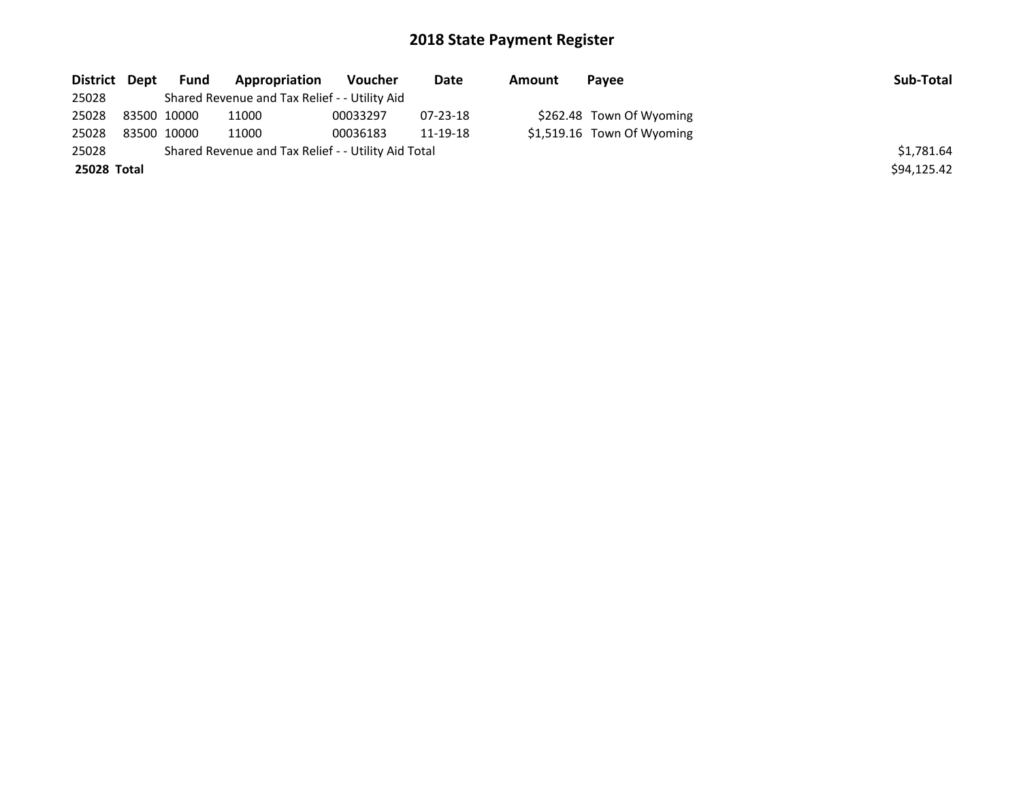| District Dept | Fund        | <b>Appropriation</b>                                | Voucher  | Date     | Amount | Payee                      | Sub-Total   |
|---------------|-------------|-----------------------------------------------------|----------|----------|--------|----------------------------|-------------|
| 25028         |             | Shared Revenue and Tax Relief - - Utility Aid       |          |          |        |                            |             |
| 25028         | 83500 10000 | 11000                                               | 00033297 | 07-23-18 |        | \$262.48 Town Of Wyoming   |             |
| 25028         | 83500 10000 | 11000                                               | 00036183 | 11-19-18 |        | \$1,519.16 Town Of Wyoming |             |
| 25028         |             | Shared Revenue and Tax Relief - - Utility Aid Total |          |          |        |                            | \$1.781.64  |
| 25028 Total   |             |                                                     |          |          |        |                            | \$94,125.42 |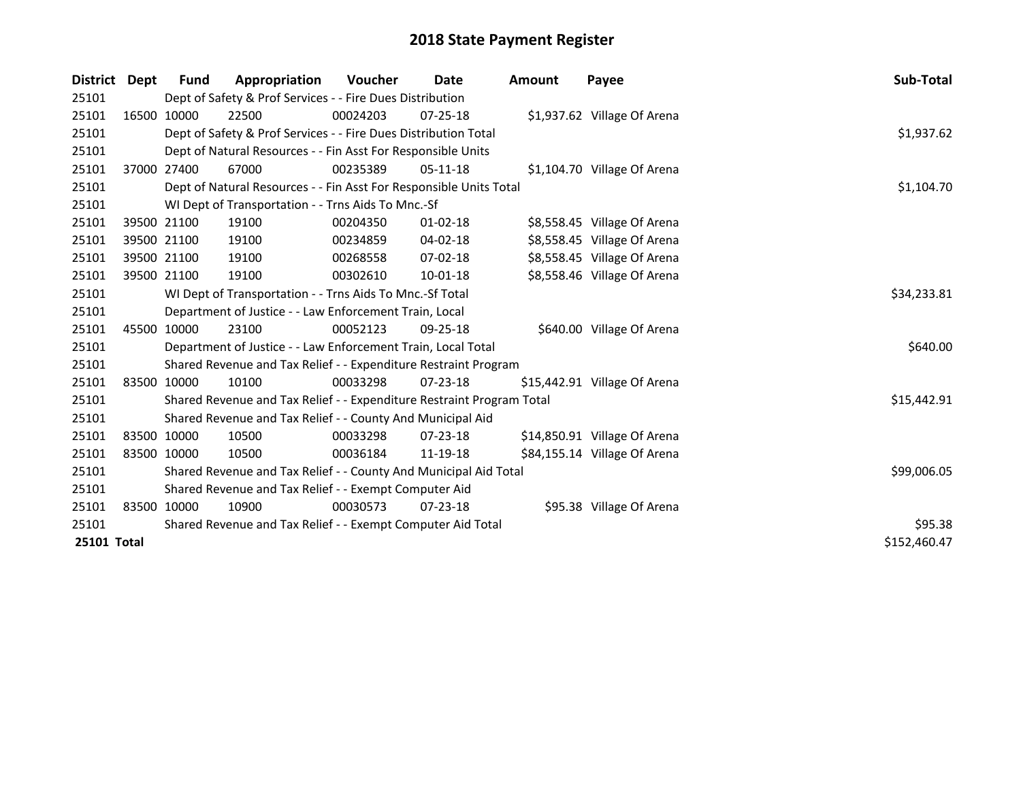| District           | Dept        | <b>Fund</b> | Appropriation                                                         | <b>Voucher</b> | Date           | Amount | Payee                        | Sub-Total    |
|--------------------|-------------|-------------|-----------------------------------------------------------------------|----------------|----------------|--------|------------------------------|--------------|
| 25101              |             |             | Dept of Safety & Prof Services - - Fire Dues Distribution             |                |                |        |                              |              |
| 25101              |             | 16500 10000 | 22500                                                                 | 00024203       | $07 - 25 - 18$ |        | \$1,937.62 Village Of Arena  |              |
| 25101              |             |             | Dept of Safety & Prof Services - - Fire Dues Distribution Total       |                |                |        |                              | \$1,937.62   |
| 25101              |             |             | Dept of Natural Resources - - Fin Asst For Responsible Units          |                |                |        |                              |              |
| 25101              |             | 37000 27400 | 67000                                                                 | 00235389       | $05-11-18$     |        | \$1,104.70 Village Of Arena  |              |
| 25101              |             |             | Dept of Natural Resources - - Fin Asst For Responsible Units Total    | \$1,104.70     |                |        |                              |              |
| 25101              |             |             | WI Dept of Transportation - - Trns Aids To Mnc.-Sf                    |                |                |        |                              |              |
| 25101              |             | 39500 21100 | 19100                                                                 | 00204350       | $01 - 02 - 18$ |        | \$8,558.45 Village Of Arena  |              |
| 25101              |             | 39500 21100 | 19100                                                                 | 00234859       | 04-02-18       |        | \$8,558.45 Village Of Arena  |              |
| 25101              |             | 39500 21100 | 19100                                                                 | 00268558       | 07-02-18       |        | \$8,558.45 Village Of Arena  |              |
| 25101              |             | 39500 21100 | 19100                                                                 | 00302610       | $10 - 01 - 18$ |        | \$8,558.46 Village Of Arena  |              |
| 25101              |             |             | WI Dept of Transportation - - Trns Aids To Mnc.-Sf Total              |                |                |        |                              | \$34,233.81  |
| 25101              |             |             | Department of Justice - - Law Enforcement Train, Local                |                |                |        |                              |              |
| 25101              |             | 45500 10000 | 23100                                                                 | 00052123       | $09 - 25 - 18$ |        | \$640.00 Village Of Arena    |              |
| 25101              |             |             | Department of Justice - - Law Enforcement Train, Local Total          |                |                |        |                              | \$640.00     |
| 25101              |             |             | Shared Revenue and Tax Relief - - Expenditure Restraint Program       |                |                |        |                              |              |
| 25101              |             | 83500 10000 | 10100                                                                 | 00033298       | 07-23-18       |        | \$15,442.91 Village Of Arena |              |
| 25101              |             |             | Shared Revenue and Tax Relief - - Expenditure Restraint Program Total |                |                |        |                              | \$15,442.91  |
| 25101              |             |             | Shared Revenue and Tax Relief - - County And Municipal Aid            |                |                |        |                              |              |
| 25101              |             | 83500 10000 | 10500                                                                 | 00033298       | $07 - 23 - 18$ |        | \$14,850.91 Village Of Arena |              |
| 25101              | 83500 10000 |             | 10500                                                                 | 00036184       | 11-19-18       |        | \$84,155.14 Village Of Arena |              |
| 25101              |             |             | Shared Revenue and Tax Relief - - County And Municipal Aid Total      |                |                |        |                              | \$99,006.05  |
| 25101              |             |             | Shared Revenue and Tax Relief - - Exempt Computer Aid                 |                |                |        |                              |              |
| 25101              |             | 83500 10000 | 10900                                                                 | 00030573       | $07 - 23 - 18$ |        | \$95.38 Village Of Arena     |              |
| 25101              |             |             | Shared Revenue and Tax Relief - - Exempt Computer Aid Total           | \$95.38        |                |        |                              |              |
| <b>25101 Total</b> |             |             |                                                                       |                |                |        |                              | \$152,460.47 |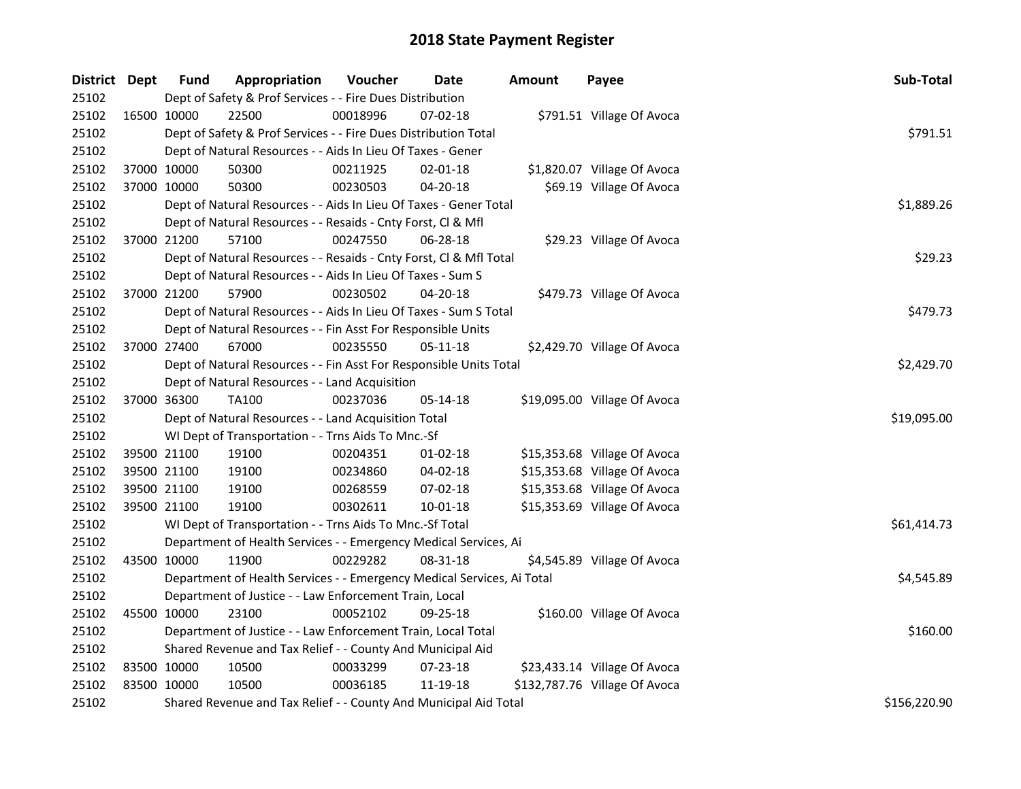| District Dept |             | <b>Fund</b>                                    | Appropriation                                                          | Voucher  | Date           | <b>Amount</b> | Payee                         | Sub-Total    |  |  |  |
|---------------|-------------|------------------------------------------------|------------------------------------------------------------------------|----------|----------------|---------------|-------------------------------|--------------|--|--|--|
| 25102         |             |                                                | Dept of Safety & Prof Services - - Fire Dues Distribution              |          |                |               |                               |              |  |  |  |
| 25102         | 16500 10000 |                                                | 22500                                                                  | 00018996 | 07-02-18       |               | \$791.51 Village Of Avoca     |              |  |  |  |
| 25102         |             |                                                | Dept of Safety & Prof Services - - Fire Dues Distribution Total        |          |                |               |                               | \$791.51     |  |  |  |
| 25102         |             |                                                | Dept of Natural Resources - - Aids In Lieu Of Taxes - Gener            |          |                |               |                               |              |  |  |  |
| 25102         | 37000 10000 |                                                | 50300                                                                  | 00211925 | $02 - 01 - 18$ |               | \$1,820.07 Village Of Avoca   |              |  |  |  |
| 25102         | 37000 10000 |                                                | 50300                                                                  | 00230503 | $04 - 20 - 18$ |               | \$69.19 Village Of Avoca      |              |  |  |  |
| 25102         |             |                                                | Dept of Natural Resources - - Aids In Lieu Of Taxes - Gener Total      |          |                |               |                               | \$1,889.26   |  |  |  |
| 25102         |             |                                                | Dept of Natural Resources - - Resaids - Cnty Forst, Cl & Mfl           |          |                |               |                               |              |  |  |  |
| 25102         | 37000 21200 |                                                | 57100                                                                  | 00247550 | 06-28-18       |               | \$29.23 Village Of Avoca      |              |  |  |  |
| 25102         |             |                                                | Dept of Natural Resources - - Resaids - Cnty Forst, Cl & Mfl Total     |          |                |               |                               | \$29.23      |  |  |  |
| 25102         |             |                                                | Dept of Natural Resources - - Aids In Lieu Of Taxes - Sum S            |          |                |               |                               |              |  |  |  |
| 25102         | 37000 21200 |                                                | 57900                                                                  | 00230502 | 04-20-18       |               | \$479.73 Village Of Avoca     |              |  |  |  |
| 25102         |             |                                                | Dept of Natural Resources - - Aids In Lieu Of Taxes - Sum S Total      |          |                |               |                               | \$479.73     |  |  |  |
| 25102         |             |                                                | Dept of Natural Resources - - Fin Asst For Responsible Units           |          |                |               |                               |              |  |  |  |
| 25102         | 37000 27400 |                                                | 67000                                                                  | 00235550 | 05-11-18       |               | \$2,429.70 Village Of Avoca   |              |  |  |  |
| 25102         |             |                                                | Dept of Natural Resources - - Fin Asst For Responsible Units Total     |          |                |               |                               |              |  |  |  |
| 25102         |             | Dept of Natural Resources - - Land Acquisition |                                                                        |          |                |               |                               |              |  |  |  |
| 25102         | 37000 36300 |                                                | <b>TA100</b>                                                           | 00237036 | 05-14-18       |               | \$19,095.00 Village Of Avoca  |              |  |  |  |
| 25102         |             |                                                | Dept of Natural Resources - - Land Acquisition Total                   |          |                |               |                               | \$19,095.00  |  |  |  |
| 25102         |             |                                                | WI Dept of Transportation - - Trns Aids To Mnc.-Sf                     |          |                |               |                               |              |  |  |  |
| 25102         | 39500 21100 |                                                | 19100                                                                  | 00204351 | $01-02-18$     |               | \$15,353.68 Village Of Avoca  |              |  |  |  |
| 25102         | 39500 21100 |                                                | 19100                                                                  | 00234860 | 04-02-18       |               | \$15,353.68 Village Of Avoca  |              |  |  |  |
| 25102         | 39500 21100 |                                                | 19100                                                                  | 00268559 | 07-02-18       |               | \$15,353.68 Village Of Avoca  |              |  |  |  |
| 25102         | 39500 21100 |                                                | 19100                                                                  | 00302611 | $10 - 01 - 18$ |               | \$15,353.69 Village Of Avoca  |              |  |  |  |
| 25102         |             |                                                | WI Dept of Transportation - - Trns Aids To Mnc.-Sf Total               |          |                |               |                               | \$61,414.73  |  |  |  |
| 25102         |             |                                                | Department of Health Services - - Emergency Medical Services, Ai       |          |                |               |                               |              |  |  |  |
| 25102         | 43500 10000 |                                                | 11900                                                                  | 00229282 | 08-31-18       |               | \$4,545.89 Village Of Avoca   |              |  |  |  |
| 25102         |             |                                                | Department of Health Services - - Emergency Medical Services, Ai Total |          |                |               |                               | \$4,545.89   |  |  |  |
| 25102         |             |                                                | Department of Justice - - Law Enforcement Train, Local                 |          |                |               |                               |              |  |  |  |
| 25102         | 45500 10000 |                                                | 23100                                                                  | 00052102 | 09-25-18       |               | \$160.00 Village Of Avoca     |              |  |  |  |
| 25102         |             |                                                | Department of Justice - - Law Enforcement Train, Local Total           |          |                |               |                               | \$160.00     |  |  |  |
| 25102         |             |                                                | Shared Revenue and Tax Relief - - County And Municipal Aid             |          |                |               |                               |              |  |  |  |
| 25102         | 83500 10000 |                                                | 10500                                                                  | 00033299 | 07-23-18       |               | \$23,433.14 Village Of Avoca  |              |  |  |  |
| 25102         | 83500 10000 |                                                | 10500                                                                  | 00036185 | 11-19-18       |               | \$132,787.76 Village Of Avoca |              |  |  |  |
| 25102         |             |                                                | Shared Revenue and Tax Relief - - County And Municipal Aid Total       |          |                |               |                               | \$156,220.90 |  |  |  |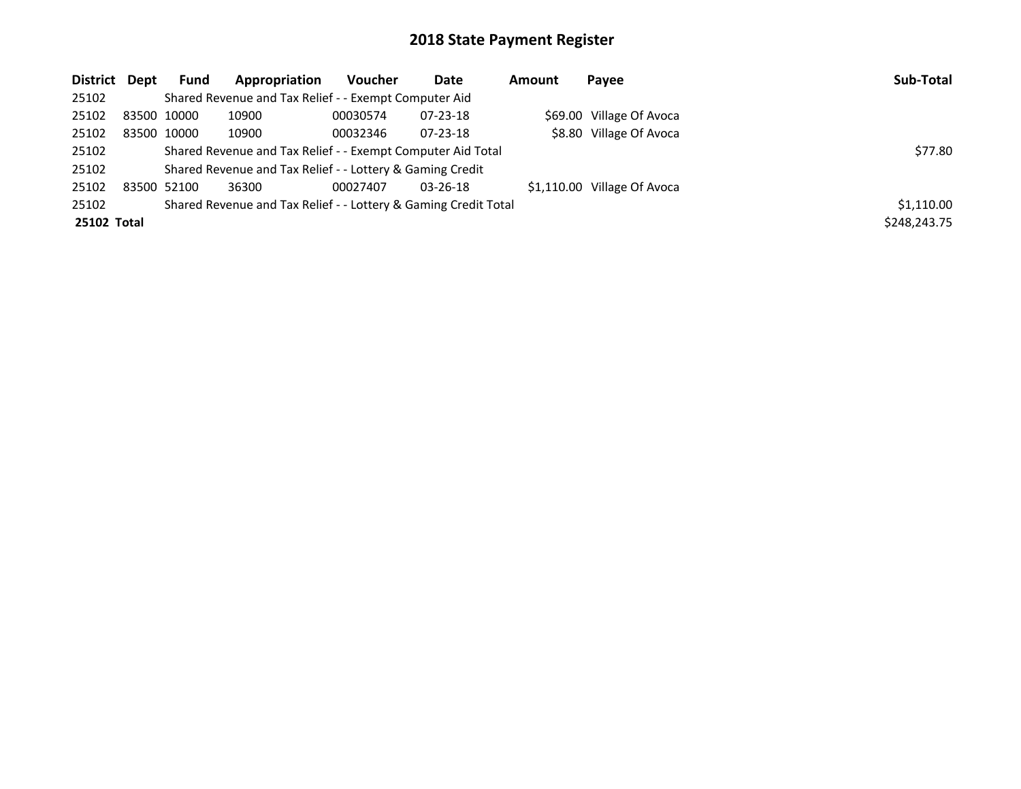| District Dept      | Fund                                                        | Appropriation                                                   | <b>Voucher</b> | Date           | Amount | Payee                       | Sub-Total    |
|--------------------|-------------------------------------------------------------|-----------------------------------------------------------------|----------------|----------------|--------|-----------------------------|--------------|
| 25102              |                                                             | Shared Revenue and Tax Relief - - Exempt Computer Aid           |                |                |        |                             |              |
| 25102              | 83500 10000                                                 | 10900                                                           | 00030574       | $07 - 23 - 18$ |        | \$69.00 Village Of Avoca    |              |
| 25102              | 83500 10000                                                 | 10900                                                           | 00032346       | $07 - 23 - 18$ |        | \$8.80 Village Of Avoca     |              |
| 25102              | Shared Revenue and Tax Relief - - Exempt Computer Aid Total | \$77.80                                                         |                |                |        |                             |              |
| 25102              |                                                             | Shared Revenue and Tax Relief - - Lottery & Gaming Credit       |                |                |        |                             |              |
| 25102              | 83500 52100                                                 | 36300                                                           | 00027407       | $03 - 26 - 18$ |        | \$1,110.00 Village Of Avoca |              |
| 25102              |                                                             | Shared Revenue and Tax Relief - - Lottery & Gaming Credit Total |                |                |        |                             | \$1,110.00   |
| <b>25102 Total</b> |                                                             |                                                                 |                |                |        |                             | \$248,243.75 |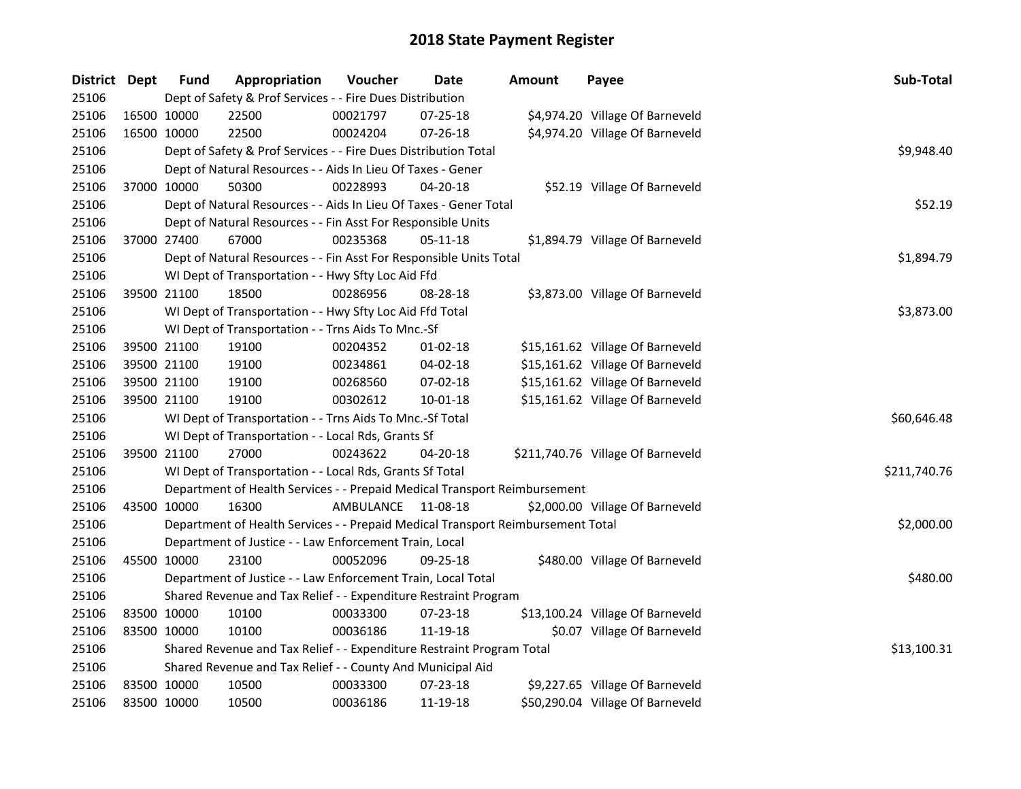| District Dept |             | <b>Fund</b> | Appropriation                                                                   | Voucher            | <b>Date</b>    | <b>Amount</b> | Payee                             | Sub-Total    |  |  |
|---------------|-------------|-------------|---------------------------------------------------------------------------------|--------------------|----------------|---------------|-----------------------------------|--------------|--|--|
| 25106         |             |             | Dept of Safety & Prof Services - - Fire Dues Distribution                       |                    |                |               |                                   |              |  |  |
| 25106         | 16500 10000 |             | 22500                                                                           | 00021797           | 07-25-18       |               | \$4,974.20 Village Of Barneveld   |              |  |  |
| 25106         | 16500 10000 |             | 22500                                                                           | 00024204           | 07-26-18       |               | \$4,974.20 Village Of Barneveld   |              |  |  |
| 25106         |             |             | Dept of Safety & Prof Services - - Fire Dues Distribution Total                 |                    |                |               |                                   | \$9,948.40   |  |  |
| 25106         |             |             | Dept of Natural Resources - - Aids In Lieu Of Taxes - Gener                     |                    |                |               |                                   |              |  |  |
| 25106         |             | 37000 10000 | 50300                                                                           | 00228993           | $04 - 20 - 18$ |               | \$52.19 Village Of Barneveld      |              |  |  |
| 25106         |             |             | Dept of Natural Resources - - Aids In Lieu Of Taxes - Gener Total               |                    |                |               |                                   | \$52.19      |  |  |
| 25106         |             |             | Dept of Natural Resources - - Fin Asst For Responsible Units                    |                    |                |               |                                   |              |  |  |
| 25106         | 37000 27400 |             | 67000                                                                           | 00235368           | 05-11-18       |               | \$1,894.79 Village Of Barneveld   |              |  |  |
| 25106         |             |             | Dept of Natural Resources - - Fin Asst For Responsible Units Total              |                    |                |               |                                   | \$1,894.79   |  |  |
| 25106         |             |             | WI Dept of Transportation - - Hwy Sfty Loc Aid Ffd                              |                    |                |               |                                   |              |  |  |
| 25106         | 39500 21100 |             | 18500                                                                           | 00286956           | 08-28-18       |               | \$3,873.00 Village Of Barneveld   |              |  |  |
| 25106         |             |             | WI Dept of Transportation - - Hwy Sfty Loc Aid Ffd Total                        |                    |                |               |                                   | \$3,873.00   |  |  |
| 25106         |             |             | WI Dept of Transportation - - Trns Aids To Mnc.-Sf                              |                    |                |               |                                   |              |  |  |
| 25106         | 39500 21100 |             | 19100                                                                           | 00204352           | 01-02-18       |               | \$15,161.62 Village Of Barneveld  |              |  |  |
| 25106         |             | 39500 21100 | 19100                                                                           | 00234861           | $04 - 02 - 18$ |               | \$15,161.62 Village Of Barneveld  |              |  |  |
| 25106         | 39500 21100 |             | 19100                                                                           | 00268560           | 07-02-18       |               | \$15,161.62 Village Of Barneveld  |              |  |  |
| 25106         | 39500 21100 |             | 19100                                                                           | 00302612           | $10 - 01 - 18$ |               | \$15,161.62 Village Of Barneveld  |              |  |  |
| 25106         |             |             | WI Dept of Transportation - - Trns Aids To Mnc.-Sf Total                        |                    |                |               |                                   | \$60,646.48  |  |  |
| 25106         |             |             | WI Dept of Transportation - - Local Rds, Grants Sf                              |                    |                |               |                                   |              |  |  |
| 25106         | 39500 21100 |             | 27000                                                                           | 00243622           | 04-20-18       |               | \$211,740.76 Village Of Barneveld |              |  |  |
| 25106         |             |             | WI Dept of Transportation - - Local Rds, Grants Sf Total                        |                    |                |               |                                   | \$211,740.76 |  |  |
| 25106         |             |             | Department of Health Services - - Prepaid Medical Transport Reimbursement       |                    |                |               |                                   |              |  |  |
| 25106         | 43500 10000 |             | 16300                                                                           | AMBULANCE 11-08-18 |                |               | \$2,000.00 Village Of Barneveld   |              |  |  |
| 25106         |             |             | Department of Health Services - - Prepaid Medical Transport Reimbursement Total |                    |                |               |                                   | \$2,000.00   |  |  |
| 25106         |             |             | Department of Justice - - Law Enforcement Train, Local                          |                    |                |               |                                   |              |  |  |
| 25106         | 45500 10000 |             | 23100                                                                           | 00052096           | 09-25-18       |               | \$480.00 Village Of Barneveld     |              |  |  |
| 25106         |             |             | Department of Justice - - Law Enforcement Train, Local Total                    |                    |                |               |                                   | \$480.00     |  |  |
| 25106         |             |             | Shared Revenue and Tax Relief - - Expenditure Restraint Program                 |                    |                |               |                                   |              |  |  |
| 25106         | 83500 10000 |             | 10100                                                                           | 00033300           | 07-23-18       |               | \$13,100.24 Village Of Barneveld  |              |  |  |
| 25106         | 83500 10000 |             | 10100                                                                           | 00036186           | 11-19-18       |               | \$0.07 Village Of Barneveld       |              |  |  |
| 25106         |             |             | Shared Revenue and Tax Relief - - Expenditure Restraint Program Total           |                    |                |               |                                   | \$13,100.31  |  |  |
| 25106         |             |             | Shared Revenue and Tax Relief - - County And Municipal Aid                      |                    |                |               |                                   |              |  |  |
| 25106         |             | 83500 10000 | 10500                                                                           | 00033300           | 07-23-18       |               | \$9,227.65 Village Of Barneveld   |              |  |  |
| 25106         | 83500 10000 |             | 10500                                                                           | 00036186           | 11-19-18       |               | \$50,290.04 Village Of Barneveld  |              |  |  |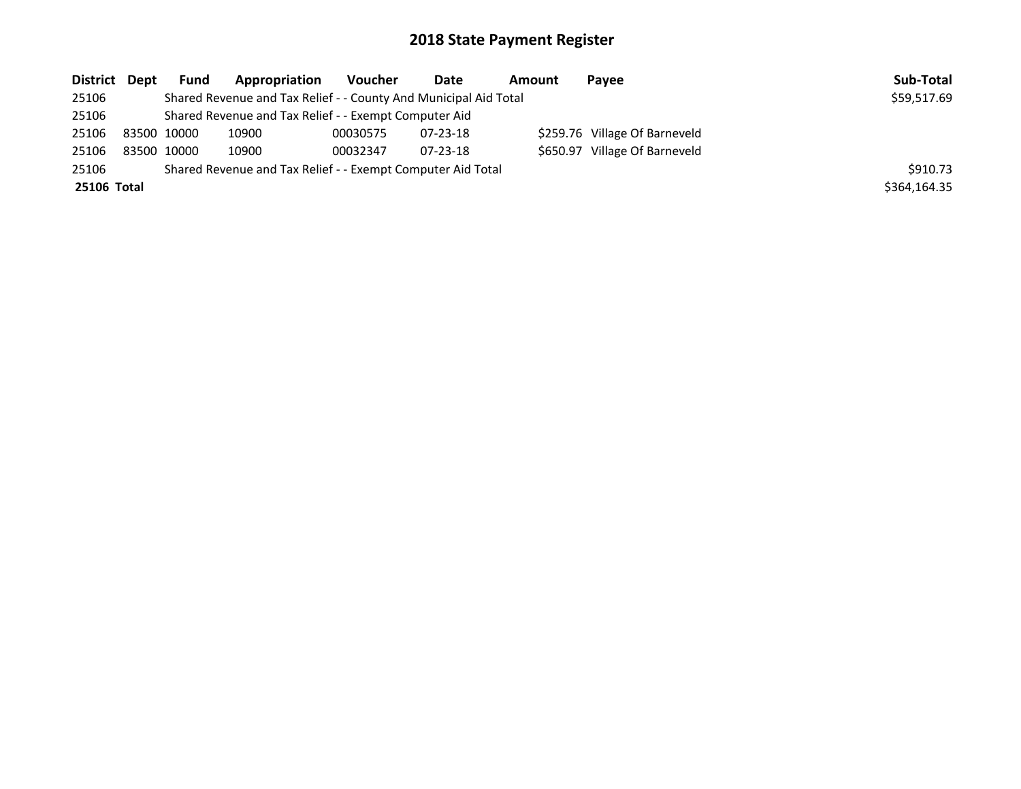| District Dept |             | <b>Fund</b> | Appropriation                                                    | Voucher  | Date     | Amount | Payee                         | Sub-Total    |
|---------------|-------------|-------------|------------------------------------------------------------------|----------|----------|--------|-------------------------------|--------------|
| 25106         |             |             | Shared Revenue and Tax Relief - - County And Municipal Aid Total |          |          |        |                               | \$59,517.69  |
| 25106         |             |             | Shared Revenue and Tax Relief - - Exempt Computer Aid            |          |          |        |                               |              |
| 25106         | 83500 10000 |             | 10900                                                            | 00030575 | 07-23-18 |        | \$259.76 Village Of Barneveld |              |
| 25106         | 83500 10000 |             | 10900                                                            | 00032347 | 07-23-18 |        | \$650.97 Village Of Barneveld |              |
| 25106         |             |             | Shared Revenue and Tax Relief - - Exempt Computer Aid Total      |          |          |        |                               | \$910.73     |
| 25106 Total   |             |             |                                                                  |          |          |        |                               | \$364,164.35 |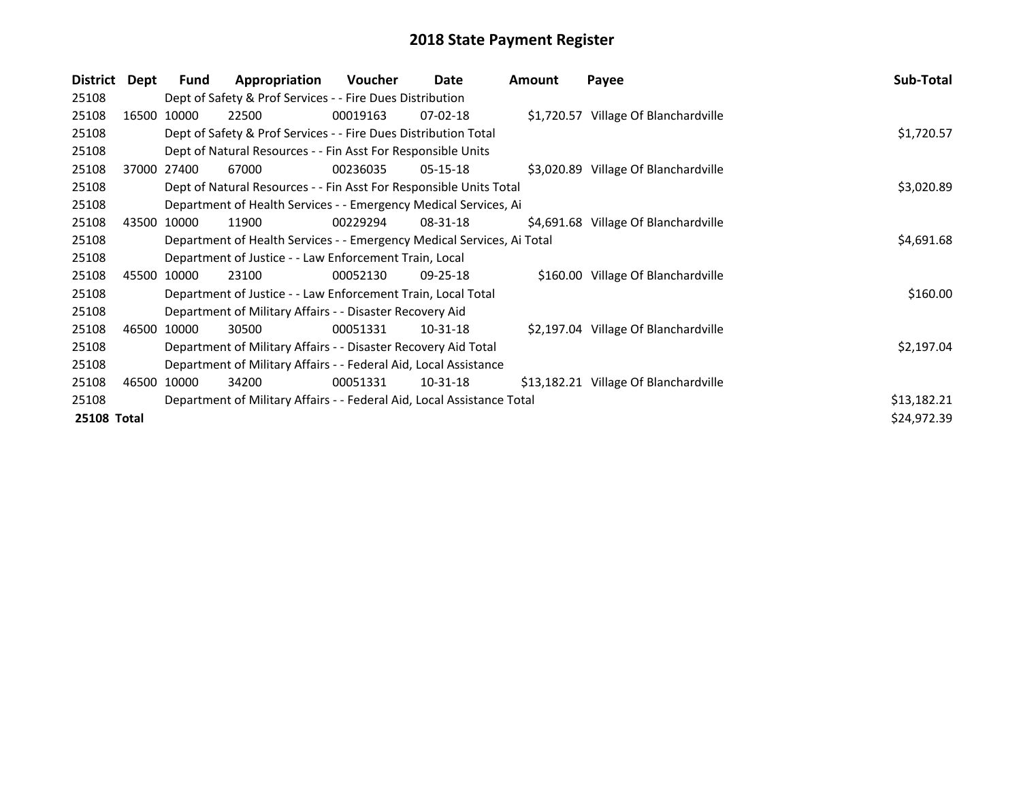| <b>District</b> | Dept | Fund                                                             | Appropriation                                                                        | Voucher  | Date           | <b>Amount</b> | Payee                                 | Sub-Total   |  |  |
|-----------------|------|------------------------------------------------------------------|--------------------------------------------------------------------------------------|----------|----------------|---------------|---------------------------------------|-------------|--|--|
| 25108           |      |                                                                  | Dept of Safety & Prof Services - - Fire Dues Distribution                            |          |                |               |                                       |             |  |  |
| 25108           |      | 16500 10000                                                      | 22500                                                                                | 00019163 | $07-02-18$     |               | \$1,720.57 Village Of Blanchardville  |             |  |  |
| 25108           |      |                                                                  | Dept of Safety & Prof Services - - Fire Dues Distribution Total                      |          |                |               |                                       | \$1,720.57  |  |  |
| 25108           |      |                                                                  | Dept of Natural Resources - - Fin Asst For Responsible Units                         |          |                |               |                                       |             |  |  |
| 25108           |      | 37000 27400                                                      | 67000                                                                                | 00236035 | $05 - 15 - 18$ |               | \$3,020.89 Village Of Blanchardville  |             |  |  |
| 25108           |      |                                                                  | Dept of Natural Resources - - Fin Asst For Responsible Units Total                   |          |                |               |                                       | \$3,020.89  |  |  |
| 25108           |      |                                                                  | Department of Health Services - - Emergency Medical Services, Ai                     |          |                |               |                                       |             |  |  |
| 25108           |      | 43500 10000                                                      | 11900                                                                                | 00229294 | 08-31-18       |               | \$4,691.68 Village Of Blanchardville  |             |  |  |
| 25108           |      |                                                                  | \$4,691.68<br>Department of Health Services - - Emergency Medical Services, Ai Total |          |                |               |                                       |             |  |  |
| 25108           |      |                                                                  | Department of Justice - - Law Enforcement Train, Local                               |          |                |               |                                       |             |  |  |
| 25108           |      | 45500 10000                                                      | 23100                                                                                | 00052130 | 09-25-18       |               | \$160.00 Village Of Blanchardville    |             |  |  |
| 25108           |      |                                                                  | Department of Justice - - Law Enforcement Train, Local Total                         |          |                |               |                                       | \$160.00    |  |  |
| 25108           |      |                                                                  | Department of Military Affairs - - Disaster Recovery Aid                             |          |                |               |                                       |             |  |  |
| 25108           |      | 46500 10000                                                      | 30500                                                                                | 00051331 | 10-31-18       |               | \$2,197.04 Village Of Blanchardville  |             |  |  |
| 25108           |      |                                                                  | Department of Military Affairs - - Disaster Recovery Aid Total                       |          |                |               |                                       | \$2,197.04  |  |  |
| 25108           |      | Department of Military Affairs - - Federal Aid, Local Assistance |                                                                                      |          |                |               |                                       |             |  |  |
| 25108           |      | 46500 10000                                                      | 34200                                                                                | 00051331 | 10-31-18       |               | \$13,182.21 Village Of Blanchardville |             |  |  |
| 25108           |      |                                                                  | Department of Military Affairs - - Federal Aid, Local Assistance Total               |          |                |               |                                       | \$13,182.21 |  |  |
| 25108 Total     |      |                                                                  |                                                                                      |          |                |               |                                       | \$24,972.39 |  |  |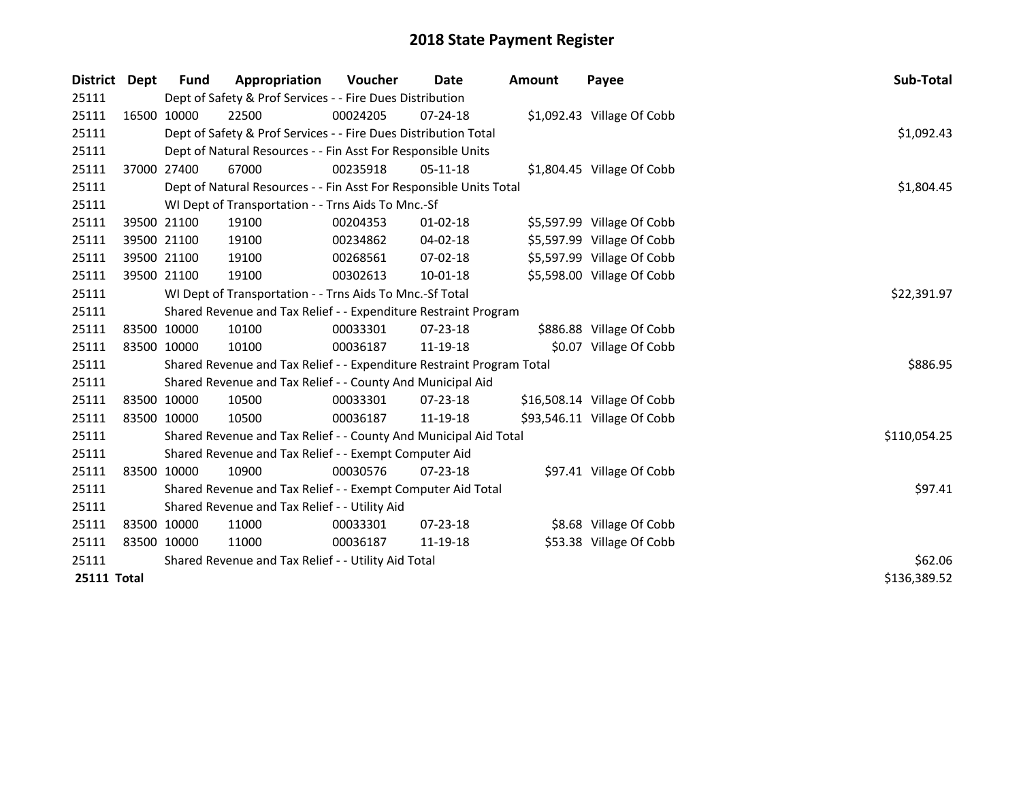| District           | Dept | Fund        | Appropriation                                                         | <b>Voucher</b> | Date           | <b>Amount</b> | Payee                       | Sub-Total    |
|--------------------|------|-------------|-----------------------------------------------------------------------|----------------|----------------|---------------|-----------------------------|--------------|
| 25111              |      |             | Dept of Safety & Prof Services - - Fire Dues Distribution             |                |                |               |                             |              |
| 25111              |      | 16500 10000 | 22500                                                                 | 00024205       | $07 - 24 - 18$ |               | \$1,092.43 Village Of Cobb  |              |
| 25111              |      |             | Dept of Safety & Prof Services - - Fire Dues Distribution Total       |                |                |               |                             | \$1,092.43   |
| 25111              |      |             | Dept of Natural Resources - - Fin Asst For Responsible Units          |                |                |               |                             |              |
| 25111              |      | 37000 27400 | 67000                                                                 | 00235918       | $05-11-18$     |               | \$1,804.45 Village Of Cobb  |              |
| 25111              |      |             | Dept of Natural Resources - - Fin Asst For Responsible Units Total    | \$1,804.45     |                |               |                             |              |
| 25111              |      |             | WI Dept of Transportation - - Trns Aids To Mnc.-Sf                    |                |                |               |                             |              |
| 25111              |      | 39500 21100 | 19100                                                                 | 00204353       | 01-02-18       |               | \$5,597.99 Village Of Cobb  |              |
| 25111              |      | 39500 21100 | 19100                                                                 | 00234862       | $04 - 02 - 18$ |               | \$5,597.99 Village Of Cobb  |              |
| 25111              |      | 39500 21100 | 19100                                                                 | 00268561       | $07 - 02 - 18$ |               | \$5,597.99 Village Of Cobb  |              |
| 25111              |      | 39500 21100 | 19100                                                                 | 00302613       | $10 - 01 - 18$ |               | \$5,598.00 Village Of Cobb  |              |
| 25111              |      |             | WI Dept of Transportation - - Trns Aids To Mnc.-Sf Total              |                |                |               |                             | \$22,391.97  |
| 25111              |      |             | Shared Revenue and Tax Relief - - Expenditure Restraint Program       |                |                |               |                             |              |
| 25111              |      | 83500 10000 | 10100                                                                 | 00033301       | 07-23-18       |               | \$886.88 Village Of Cobb    |              |
| 25111              |      | 83500 10000 | 10100                                                                 | 00036187       | 11-19-18       |               | \$0.07 Village Of Cobb      |              |
| 25111              |      |             | Shared Revenue and Tax Relief - - Expenditure Restraint Program Total |                |                |               |                             | \$886.95     |
| 25111              |      |             | Shared Revenue and Tax Relief - - County And Municipal Aid            |                |                |               |                             |              |
| 25111              |      | 83500 10000 | 10500                                                                 | 00033301       | $07 - 23 - 18$ |               | \$16,508.14 Village Of Cobb |              |
| 25111              |      | 83500 10000 | 10500                                                                 | 00036187       | 11-19-18       |               | \$93,546.11 Village Of Cobb |              |
| 25111              |      |             | Shared Revenue and Tax Relief - - County And Municipal Aid Total      |                |                |               |                             | \$110,054.25 |
| 25111              |      |             | Shared Revenue and Tax Relief - - Exempt Computer Aid                 |                |                |               |                             |              |
| 25111              |      | 83500 10000 | 10900                                                                 | 00030576       | $07 - 23 - 18$ |               | \$97.41 Village Of Cobb     |              |
| 25111              |      |             | Shared Revenue and Tax Relief - - Exempt Computer Aid Total           | \$97.41        |                |               |                             |              |
| 25111              |      |             | Shared Revenue and Tax Relief - - Utility Aid                         |                |                |               |                             |              |
| 25111              |      | 83500 10000 | 11000                                                                 | 00033301       | $07 - 23 - 18$ |               | \$8.68 Village Of Cobb      |              |
| 25111              |      | 83500 10000 | 11000                                                                 | 00036187       | 11-19-18       |               | \$53.38 Village Of Cobb     |              |
| 25111              |      |             | Shared Revenue and Tax Relief - - Utility Aid Total                   | \$62.06        |                |               |                             |              |
| <b>25111 Total</b> |      |             |                                                                       |                |                |               |                             | \$136,389.52 |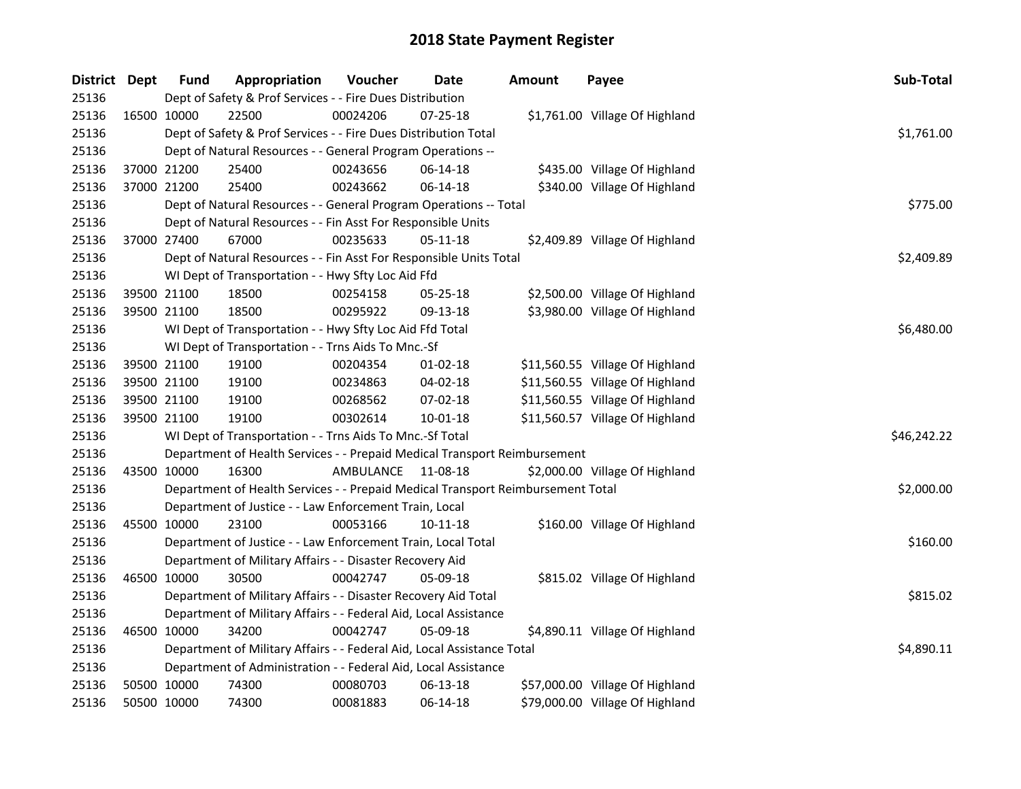| District Dept |             | <b>Fund</b> | Appropriation                                                                   | Voucher   | Date     | <b>Amount</b> | Payee                           | Sub-Total   |  |  |
|---------------|-------------|-------------|---------------------------------------------------------------------------------|-----------|----------|---------------|---------------------------------|-------------|--|--|
| 25136         |             |             | Dept of Safety & Prof Services - - Fire Dues Distribution                       |           |          |               |                                 |             |  |  |
| 25136         | 16500 10000 |             | 22500                                                                           | 00024206  | 07-25-18 |               | \$1,761.00 Village Of Highland  |             |  |  |
| 25136         |             |             | Dept of Safety & Prof Services - - Fire Dues Distribution Total                 |           |          |               |                                 | \$1,761.00  |  |  |
| 25136         |             |             | Dept of Natural Resources - - General Program Operations --                     |           |          |               |                                 |             |  |  |
| 25136         | 37000 21200 |             | 25400                                                                           | 00243656  | 06-14-18 |               | \$435.00 Village Of Highland    |             |  |  |
| 25136         | 37000 21200 |             | 25400                                                                           | 00243662  | 06-14-18 |               | \$340.00 Village Of Highland    |             |  |  |
| 25136         |             |             | Dept of Natural Resources - - General Program Operations -- Total               | \$775.00  |          |               |                                 |             |  |  |
| 25136         |             |             | Dept of Natural Resources - - Fin Asst For Responsible Units                    |           |          |               |                                 |             |  |  |
| 25136         | 37000 27400 |             | 67000                                                                           | 00235633  | 05-11-18 |               | \$2,409.89 Village Of Highland  |             |  |  |
| 25136         |             |             | Dept of Natural Resources - - Fin Asst For Responsible Units Total              |           |          |               |                                 | \$2,409.89  |  |  |
| 25136         |             |             | WI Dept of Transportation - - Hwy Sfty Loc Aid Ffd                              |           |          |               |                                 |             |  |  |
| 25136         | 39500 21100 |             | 18500                                                                           | 00254158  | 05-25-18 |               | \$2,500.00 Village Of Highland  |             |  |  |
| 25136         |             | 39500 21100 | 18500                                                                           | 00295922  | 09-13-18 |               | \$3,980.00 Village Of Highland  |             |  |  |
| 25136         |             |             | WI Dept of Transportation - - Hwy Sfty Loc Aid Ffd Total                        |           |          |               |                                 | \$6,480.00  |  |  |
| 25136         |             |             | WI Dept of Transportation - - Trns Aids To Mnc.-Sf                              |           |          |               |                                 |             |  |  |
| 25136         | 39500 21100 |             | 19100                                                                           | 00204354  | 01-02-18 |               | \$11,560.55 Village Of Highland |             |  |  |
| 25136         | 39500 21100 |             | 19100                                                                           | 00234863  | 04-02-18 |               | \$11,560.55 Village Of Highland |             |  |  |
| 25136         | 39500 21100 |             | 19100                                                                           | 00268562  | 07-02-18 |               | \$11,560.55 Village Of Highland |             |  |  |
| 25136         | 39500 21100 |             | 19100                                                                           | 00302614  | 10-01-18 |               | \$11,560.57 Village Of Highland |             |  |  |
| 25136         |             |             | WI Dept of Transportation - - Trns Aids To Mnc.-Sf Total                        |           |          |               |                                 | \$46,242.22 |  |  |
| 25136         |             |             | Department of Health Services - - Prepaid Medical Transport Reimbursement       |           |          |               |                                 |             |  |  |
| 25136         | 43500 10000 |             | 16300                                                                           | AMBULANCE | 11-08-18 |               | \$2,000.00 Village Of Highland  |             |  |  |
| 25136         |             |             | Department of Health Services - - Prepaid Medical Transport Reimbursement Total |           |          |               |                                 | \$2,000.00  |  |  |
| 25136         |             |             | Department of Justice - - Law Enforcement Train, Local                          |           |          |               |                                 |             |  |  |
| 25136         | 45500 10000 |             | 23100                                                                           | 00053166  | 10-11-18 |               | \$160.00 Village Of Highland    |             |  |  |
| 25136         |             |             | Department of Justice - - Law Enforcement Train, Local Total                    |           |          |               |                                 | \$160.00    |  |  |
| 25136         |             |             | Department of Military Affairs - - Disaster Recovery Aid                        |           |          |               |                                 |             |  |  |
| 25136         | 46500 10000 |             | 30500                                                                           | 00042747  | 05-09-18 |               | \$815.02 Village Of Highland    |             |  |  |
| 25136         |             |             | Department of Military Affairs - - Disaster Recovery Aid Total                  |           |          |               |                                 | \$815.02    |  |  |
| 25136         |             |             | Department of Military Affairs - - Federal Aid, Local Assistance                |           |          |               |                                 |             |  |  |
| 25136         | 46500 10000 |             | 34200                                                                           | 00042747  | 05-09-18 |               | \$4,890.11 Village Of Highland  |             |  |  |
| 25136         |             |             | Department of Military Affairs - - Federal Aid, Local Assistance Total          |           |          |               |                                 | \$4,890.11  |  |  |
| 25136         |             |             | Department of Administration - - Federal Aid, Local Assistance                  |           |          |               |                                 |             |  |  |
| 25136         | 50500 10000 |             | 74300                                                                           | 00080703  | 06-13-18 |               | \$57,000.00 Village Of Highland |             |  |  |
| 25136         | 50500 10000 |             | 74300                                                                           | 00081883  | 06-14-18 |               | \$79,000.00 Village Of Highland |             |  |  |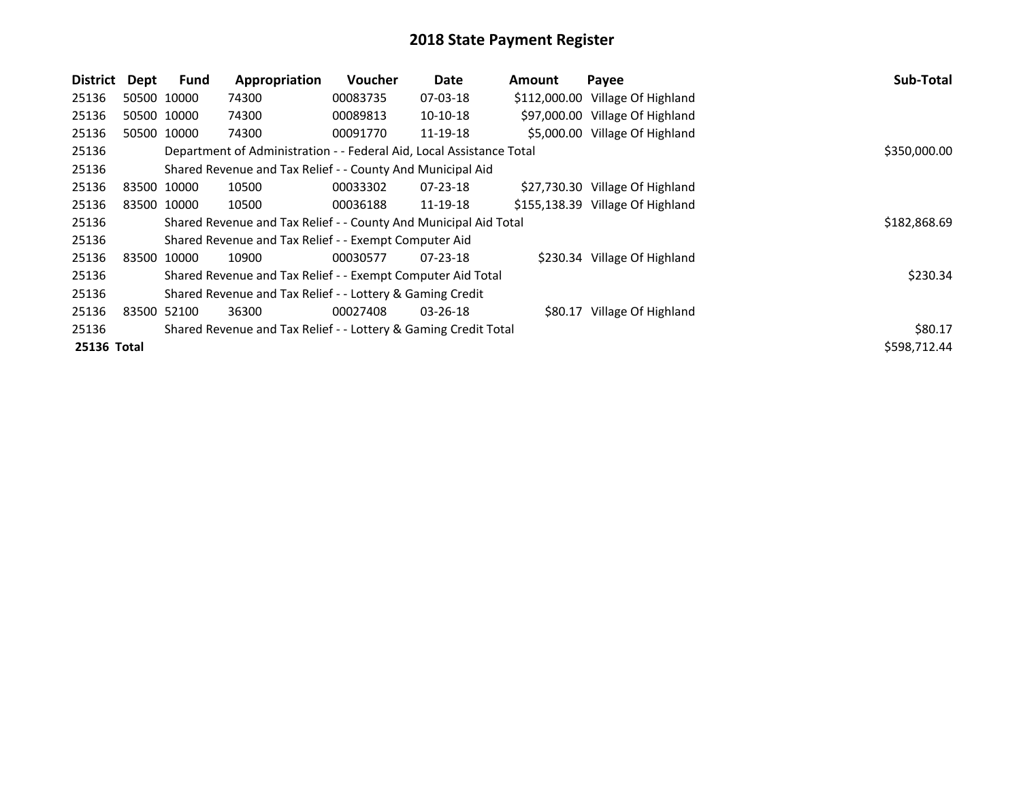| <b>District</b> | Dept | <b>Fund</b> | Appropriation                                                        | <b>Voucher</b> | Date           | Amount | Payee                            | Sub-Total    |
|-----------------|------|-------------|----------------------------------------------------------------------|----------------|----------------|--------|----------------------------------|--------------|
| 25136           |      | 50500 10000 | 74300                                                                | 00083735       | 07-03-18       |        | \$112,000.00 Village Of Highland |              |
| 25136           |      | 50500 10000 | 74300                                                                | 00089813       | 10-10-18       |        | \$97,000.00 Village Of Highland  |              |
| 25136           |      | 50500 10000 | 74300                                                                | 00091770       | 11-19-18       |        | \$5,000.00 Village Of Highland   |              |
| 25136           |      |             | Department of Administration - - Federal Aid, Local Assistance Total |                |                |        |                                  | \$350,000.00 |
| 25136           |      |             | Shared Revenue and Tax Relief - - County And Municipal Aid           |                |                |        |                                  |              |
| 25136           |      | 83500 10000 | 10500                                                                | 00033302       | $07 - 23 - 18$ |        | \$27,730.30 Village Of Highland  |              |
| 25136           |      | 83500 10000 | 10500                                                                | 00036188       | 11-19-18       |        | \$155,138.39 Village Of Highland |              |
| 25136           |      |             | Shared Revenue and Tax Relief - - County And Municipal Aid Total     |                |                |        |                                  | \$182,868.69 |
| 25136           |      |             | Shared Revenue and Tax Relief - - Exempt Computer Aid                |                |                |        |                                  |              |
| 25136           |      | 83500 10000 | 10900                                                                | 00030577       | 07-23-18       |        | \$230.34 Village Of Highland     |              |
| 25136           |      |             | Shared Revenue and Tax Relief - - Exempt Computer Aid Total          |                |                |        |                                  | \$230.34     |
| 25136           |      |             | Shared Revenue and Tax Relief - - Lottery & Gaming Credit            |                |                |        |                                  |              |
| 25136           |      | 83500 52100 | 36300                                                                | 00027408       | $03 - 26 - 18$ |        | \$80.17 Village Of Highland      |              |
| 25136           |      |             | Shared Revenue and Tax Relief - - Lottery & Gaming Credit Total      |                |                |        |                                  | \$80.17      |
| 25136 Total     |      |             |                                                                      |                |                |        |                                  | \$598,712.44 |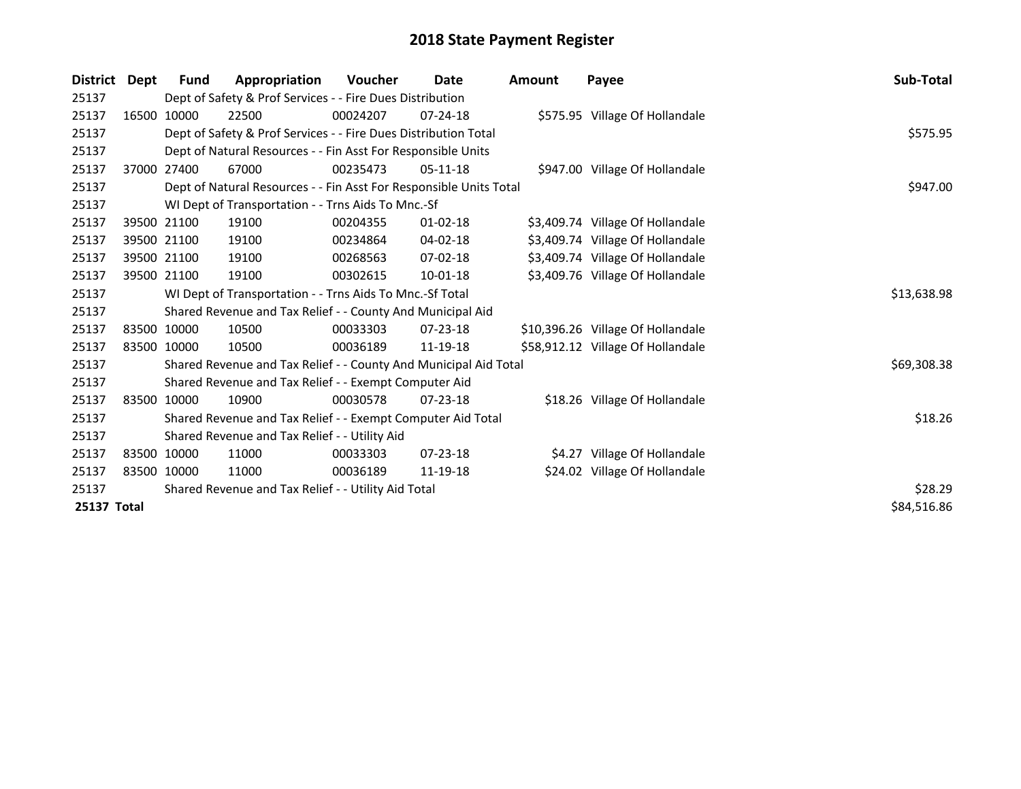| <b>District</b> | Dept | <b>Fund</b>                                         | Appropriation                                                      | <b>Voucher</b> | Date           | Amount | Payee                             | Sub-Total   |
|-----------------|------|-----------------------------------------------------|--------------------------------------------------------------------|----------------|----------------|--------|-----------------------------------|-------------|
| 25137           |      |                                                     | Dept of Safety & Prof Services - - Fire Dues Distribution          |                |                |        |                                   |             |
| 25137           |      | 16500 10000                                         | 22500                                                              | 00024207       | 07-24-18       |        | \$575.95 Village Of Hollandale    |             |
| 25137           |      |                                                     | Dept of Safety & Prof Services - - Fire Dues Distribution Total    |                |                |        |                                   | \$575.95    |
| 25137           |      |                                                     | Dept of Natural Resources - - Fin Asst For Responsible Units       |                |                |        |                                   |             |
| 25137           |      | 37000 27400                                         | 67000                                                              | 00235473       | $05-11-18$     |        | \$947.00 Village Of Hollandale    |             |
| 25137           |      |                                                     | Dept of Natural Resources - - Fin Asst For Responsible Units Total | \$947.00       |                |        |                                   |             |
| 25137           |      |                                                     | WI Dept of Transportation - - Trns Aids To Mnc.-Sf                 |                |                |        |                                   |             |
| 25137           |      | 39500 21100                                         | 19100                                                              | 00204355       | $01 - 02 - 18$ |        | \$3,409.74 Village Of Hollandale  |             |
| 25137           |      | 39500 21100                                         | 19100                                                              | 00234864       | 04-02-18       |        | \$3,409.74 Village Of Hollandale  |             |
| 25137           |      | 39500 21100                                         | 19100                                                              | 00268563       | 07-02-18       |        | \$3,409.74 Village Of Hollandale  |             |
| 25137           |      | 39500 21100                                         | 19100                                                              | 00302615       | 10-01-18       |        | \$3,409.76 Village Of Hollandale  |             |
| 25137           |      |                                                     | WI Dept of Transportation - - Trns Aids To Mnc.-Sf Total           |                |                |        |                                   | \$13,638.98 |
| 25137           |      |                                                     | Shared Revenue and Tax Relief - - County And Municipal Aid         |                |                |        |                                   |             |
| 25137           |      | 83500 10000                                         | 10500                                                              | 00033303       | $07 - 23 - 18$ |        | \$10,396.26 Village Of Hollandale |             |
| 25137           |      | 83500 10000                                         | 10500                                                              | 00036189       | 11-19-18       |        | \$58,912.12 Village Of Hollandale |             |
| 25137           |      |                                                     | Shared Revenue and Tax Relief - - County And Municipal Aid Total   |                |                |        |                                   | \$69,308.38 |
| 25137           |      |                                                     | Shared Revenue and Tax Relief - - Exempt Computer Aid              |                |                |        |                                   |             |
| 25137           |      | 83500 10000                                         | 10900                                                              | 00030578       | $07 - 23 - 18$ |        | \$18.26 Village Of Hollandale     |             |
| 25137           |      |                                                     | Shared Revenue and Tax Relief - - Exempt Computer Aid Total        |                |                |        |                                   | \$18.26     |
| 25137           |      |                                                     | Shared Revenue and Tax Relief - - Utility Aid                      |                |                |        |                                   |             |
| 25137           |      | 83500 10000                                         | 11000                                                              | 00033303       | $07 - 23 - 18$ |        | \$4.27 Village Of Hollandale      |             |
| 25137           |      | 83500 10000                                         | 11000                                                              | 00036189       | 11-19-18       |        | \$24.02 Village Of Hollandale     |             |
| 25137           |      | Shared Revenue and Tax Relief - - Utility Aid Total | \$28.29                                                            |                |                |        |                                   |             |
| 25137 Total     |      |                                                     |                                                                    |                |                |        |                                   | \$84,516.86 |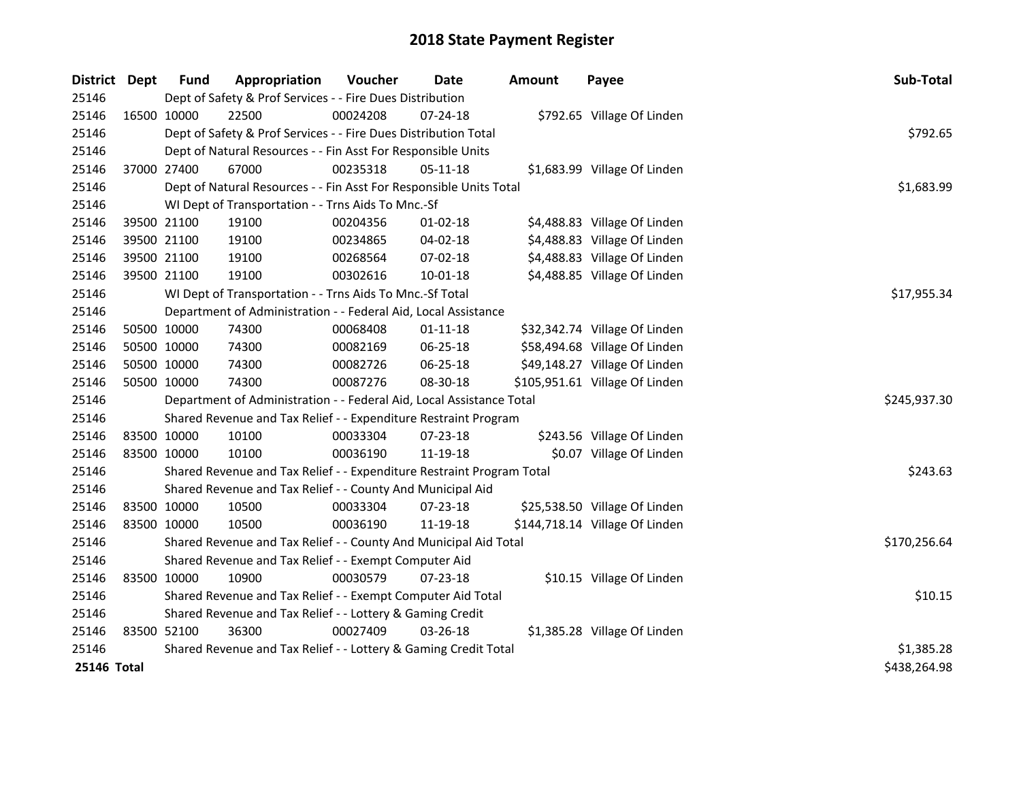| District Dept      |             | <b>Fund</b>                                                 | Appropriation                                                         | Voucher    | Date           | <b>Amount</b> | Payee                          | Sub-Total    |  |
|--------------------|-------------|-------------------------------------------------------------|-----------------------------------------------------------------------|------------|----------------|---------------|--------------------------------|--------------|--|
| 25146              |             |                                                             | Dept of Safety & Prof Services - - Fire Dues Distribution             |            |                |               |                                |              |  |
| 25146              |             | 16500 10000                                                 | 22500                                                                 | 00024208   | 07-24-18       |               | \$792.65 Village Of Linden     |              |  |
| 25146              |             |                                                             | Dept of Safety & Prof Services - - Fire Dues Distribution Total       |            |                |               |                                | \$792.65     |  |
| 25146              |             |                                                             | Dept of Natural Resources - - Fin Asst For Responsible Units          |            |                |               |                                |              |  |
| 25146              |             | 37000 27400                                                 | 67000                                                                 | 00235318   | 05-11-18       |               | \$1,683.99 Village Of Linden   |              |  |
| 25146              |             |                                                             | Dept of Natural Resources - - Fin Asst For Responsible Units Total    | \$1,683.99 |                |               |                                |              |  |
| 25146              |             |                                                             | WI Dept of Transportation - - Trns Aids To Mnc.-Sf                    |            |                |               |                                |              |  |
| 25146              |             | 39500 21100                                                 | 19100                                                                 | 00204356   | 01-02-18       |               | \$4,488.83 Village Of Linden   |              |  |
| 25146              |             | 39500 21100                                                 | 19100                                                                 | 00234865   | 04-02-18       |               | \$4,488.83 Village Of Linden   |              |  |
| 25146              |             | 39500 21100                                                 | 19100                                                                 | 00268564   | 07-02-18       |               | \$4,488.83 Village Of Linden   |              |  |
| 25146              |             | 39500 21100                                                 | 19100                                                                 | 00302616   | 10-01-18       |               | \$4,488.85 Village Of Linden   |              |  |
| 25146              |             |                                                             | WI Dept of Transportation - - Trns Aids To Mnc.-Sf Total              |            |                |               |                                | \$17,955.34  |  |
| 25146              |             |                                                             | Department of Administration - - Federal Aid, Local Assistance        |            |                |               |                                |              |  |
| 25146              |             | 50500 10000                                                 | 74300                                                                 | 00068408   | $01 - 11 - 18$ |               | \$32,342.74 Village Of Linden  |              |  |
| 25146              |             | 50500 10000                                                 | 74300                                                                 | 00082169   | 06-25-18       |               | \$58,494.68 Village Of Linden  |              |  |
| 25146              |             | 50500 10000                                                 | 74300                                                                 | 00082726   | 06-25-18       |               | \$49,148.27 Village Of Linden  |              |  |
| 25146              |             | 50500 10000                                                 | 74300                                                                 | 00087276   | 08-30-18       |               | \$105,951.61 Village Of Linden |              |  |
| 25146              |             |                                                             | Department of Administration - - Federal Aid, Local Assistance Total  |            |                |               |                                | \$245,937.30 |  |
| 25146              |             |                                                             | Shared Revenue and Tax Relief - - Expenditure Restraint Program       |            |                |               |                                |              |  |
| 25146              |             | 83500 10000                                                 | 10100                                                                 | 00033304   | 07-23-18       |               | \$243.56 Village Of Linden     |              |  |
| 25146              | 83500 10000 |                                                             | 10100                                                                 | 00036190   | 11-19-18       |               | \$0.07 Village Of Linden       |              |  |
| 25146              |             |                                                             | Shared Revenue and Tax Relief - - Expenditure Restraint Program Total |            |                |               |                                | \$243.63     |  |
| 25146              |             |                                                             | Shared Revenue and Tax Relief - - County And Municipal Aid            |            |                |               |                                |              |  |
| 25146              |             | 83500 10000                                                 | 10500                                                                 | 00033304   | 07-23-18       |               | \$25,538.50 Village Of Linden  |              |  |
| 25146              | 83500 10000 |                                                             | 10500                                                                 | 00036190   | 11-19-18       |               | \$144,718.14 Village Of Linden |              |  |
| 25146              |             |                                                             | Shared Revenue and Tax Relief - - County And Municipal Aid Total      |            |                |               |                                | \$170,256.64 |  |
| 25146              |             |                                                             | Shared Revenue and Tax Relief - - Exempt Computer Aid                 |            |                |               |                                |              |  |
| 25146              |             | 83500 10000                                                 | 10900                                                                 | 00030579   | 07-23-18       |               | \$10.15 Village Of Linden      |              |  |
| 25146              |             | Shared Revenue and Tax Relief - - Exempt Computer Aid Total |                                                                       |            |                |               |                                |              |  |
| 25146              |             | Shared Revenue and Tax Relief - - Lottery & Gaming Credit   |                                                                       |            |                |               |                                |              |  |
| 25146              | 83500 52100 |                                                             | 36300                                                                 | 00027409   | 03-26-18       |               | \$1,385.28 Village Of Linden   |              |  |
| 25146              |             |                                                             | Shared Revenue and Tax Relief - - Lottery & Gaming Credit Total       |            |                |               |                                | \$1,385.28   |  |
| <b>25146 Total</b> |             |                                                             |                                                                       |            |                |               |                                | \$438,264.98 |  |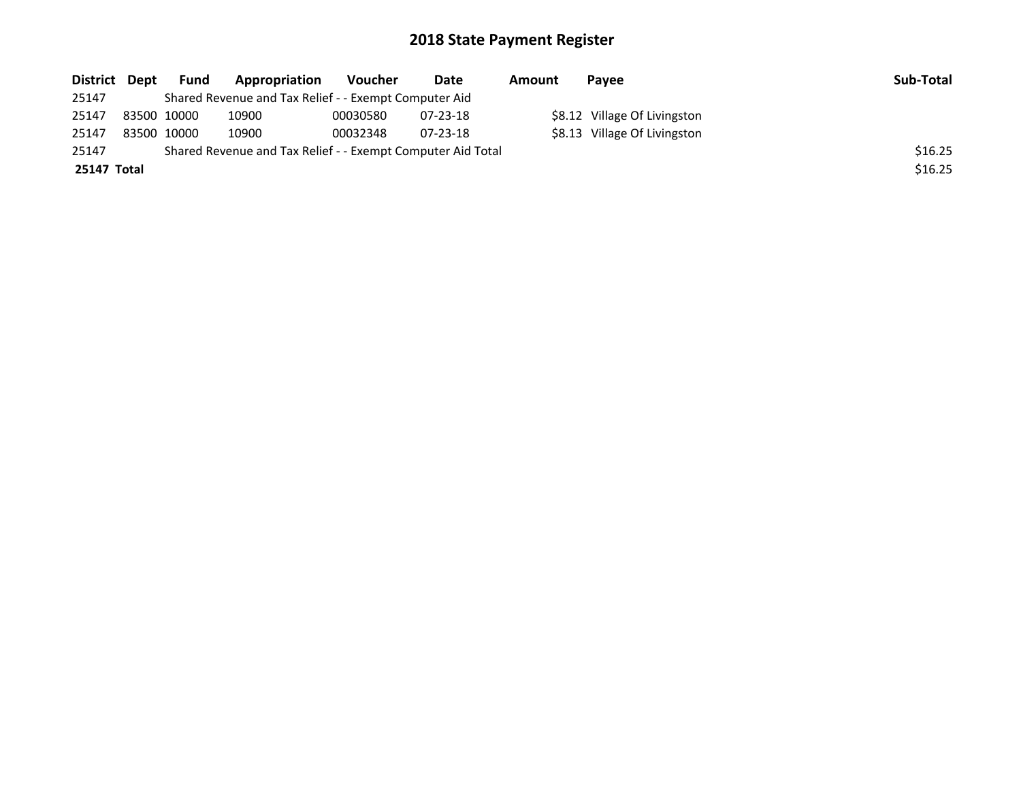| District Dept | <b>Fund</b> | Appropriation                                               | Voucher  | Date     | Amount | Payee                        | Sub-Total |
|---------------|-------------|-------------------------------------------------------------|----------|----------|--------|------------------------------|-----------|
| 25147         |             | Shared Revenue and Tax Relief - - Exempt Computer Aid       |          |          |        |                              |           |
| 25147         | 83500 10000 | 10900                                                       | 00030580 | 07-23-18 |        | \$8.12 Village Of Livingston |           |
| 25147         | 83500 10000 | 10900                                                       | 00032348 | 07-23-18 |        | \$8.13 Village Of Livingston |           |
| 25147         |             | Shared Revenue and Tax Relief - - Exempt Computer Aid Total |          |          |        |                              | \$16.25   |
| 25147 Total   |             |                                                             |          |          |        |                              | \$16.25   |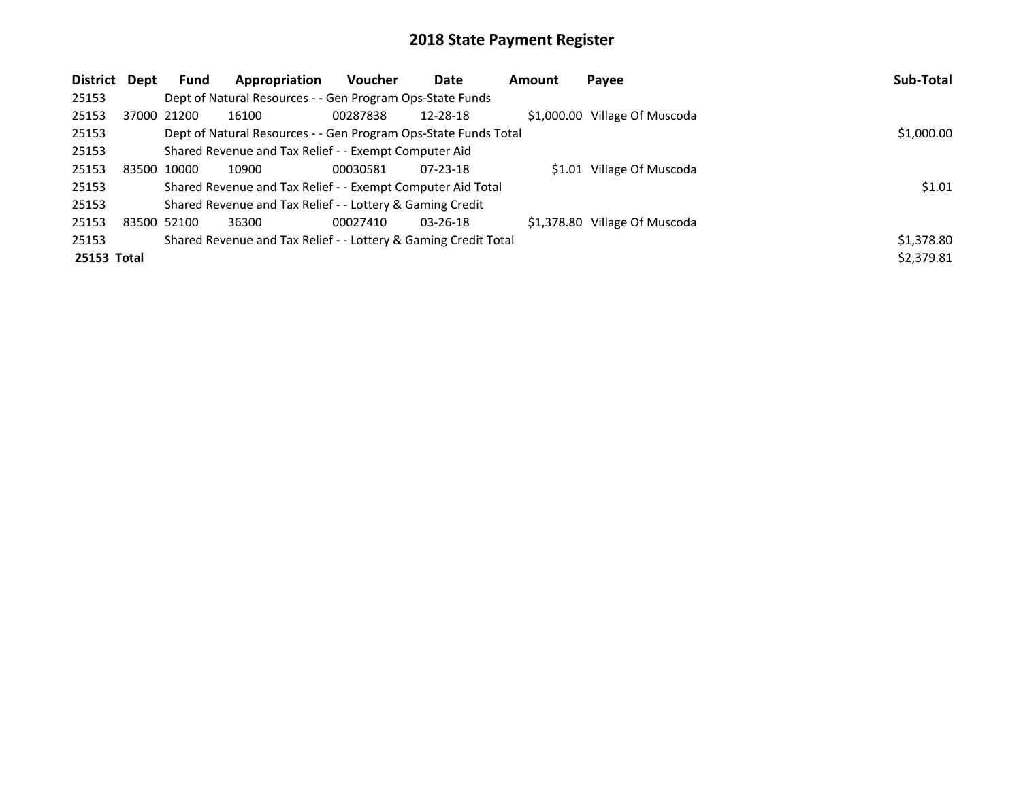| <b>District</b> | Dept | <b>Fund</b> | Appropriation                                                   | <b>Voucher</b> | Date           | Amount | Payee                         | Sub-Total  |
|-----------------|------|-------------|-----------------------------------------------------------------|----------------|----------------|--------|-------------------------------|------------|
| 25153           |      |             | Dept of Natural Resources - - Gen Program Ops-State Funds       |                |                |        |                               |            |
| 25153           |      | 37000 21200 | 16100                                                           | 00287838       | 12-28-18       |        | \$1,000.00 Village Of Muscoda |            |
| 25153           |      |             | Dept of Natural Resources - - Gen Program Ops-State Funds Total |                |                |        |                               | \$1,000.00 |
| 25153           |      |             | Shared Revenue and Tax Relief - - Exempt Computer Aid           |                |                |        |                               |            |
| 25153           |      | 83500 10000 | 10900                                                           | 00030581       | $07 - 23 - 18$ |        | \$1.01 Village Of Muscoda     |            |
| 25153           |      |             | Shared Revenue and Tax Relief - - Exempt Computer Aid Total     |                |                |        |                               | \$1.01     |
| 25153           |      |             | Shared Revenue and Tax Relief - - Lottery & Gaming Credit       |                |                |        |                               |            |
| 25153           |      | 83500 52100 | 36300                                                           | 00027410       | $03 - 26 - 18$ |        | \$1,378.80 Village Of Muscoda |            |
| 25153           |      |             | Shared Revenue and Tax Relief - - Lottery & Gaming Credit Total |                |                |        |                               | \$1,378.80 |
| 25153 Total     |      |             |                                                                 |                |                |        |                               | \$2,379.81 |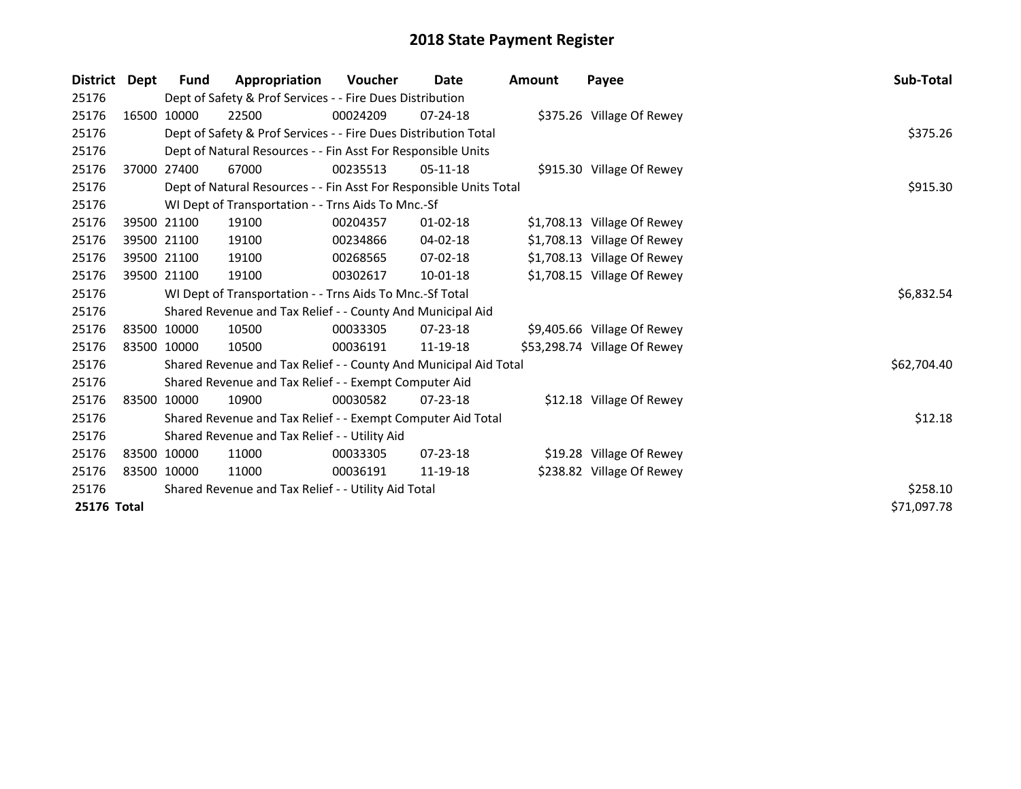| <b>District</b> | Dept        | Fund        | Appropriation                                                      | <b>Voucher</b> | Date           | <b>Amount</b> | Payee                        | Sub-Total   |
|-----------------|-------------|-------------|--------------------------------------------------------------------|----------------|----------------|---------------|------------------------------|-------------|
| 25176           |             |             | Dept of Safety & Prof Services - - Fire Dues Distribution          |                |                |               |                              |             |
| 25176           |             | 16500 10000 | 22500                                                              | 00024209       | $07 - 24 - 18$ |               | \$375.26 Village Of Rewey    |             |
| 25176           |             |             | Dept of Safety & Prof Services - - Fire Dues Distribution Total    |                |                |               |                              | \$375.26    |
| 25176           |             |             | Dept of Natural Resources - - Fin Asst For Responsible Units       |                |                |               |                              |             |
| 25176           |             | 37000 27400 | 67000                                                              | 00235513       | $05-11-18$     |               | \$915.30 Village Of Rewey    |             |
| 25176           |             |             | Dept of Natural Resources - - Fin Asst For Responsible Units Total | \$915.30       |                |               |                              |             |
| 25176           |             |             | WI Dept of Transportation - - Trns Aids To Mnc.-Sf                 |                |                |               |                              |             |
| 25176           |             | 39500 21100 | 19100                                                              | 00204357       | 01-02-18       |               | \$1,708.13 Village Of Rewey  |             |
| 25176           |             | 39500 21100 | 19100                                                              | 00234866       | 04-02-18       |               | \$1,708.13 Village Of Rewey  |             |
| 25176           |             | 39500 21100 | 19100                                                              | 00268565       | 07-02-18       |               | \$1,708.13 Village Of Rewey  |             |
| 25176           | 39500 21100 |             | 19100                                                              | 00302617       | 10-01-18       |               | \$1,708.15 Village Of Rewey  |             |
| 25176           |             |             | WI Dept of Transportation - - Trns Aids To Mnc.-Sf Total           |                |                |               |                              | \$6,832.54  |
| 25176           |             |             | Shared Revenue and Tax Relief - - County And Municipal Aid         |                |                |               |                              |             |
| 25176           |             | 83500 10000 | 10500                                                              | 00033305       | 07-23-18       |               | \$9,405.66 Village Of Rewey  |             |
| 25176           | 83500 10000 |             | 10500                                                              | 00036191       | 11-19-18       |               | \$53,298.74 Village Of Rewey |             |
| 25176           |             |             | Shared Revenue and Tax Relief - - County And Municipal Aid Total   |                |                |               |                              | \$62,704.40 |
| 25176           |             |             | Shared Revenue and Tax Relief - - Exempt Computer Aid              |                |                |               |                              |             |
| 25176           |             | 83500 10000 | 10900                                                              | 00030582       | $07 - 23 - 18$ |               | \$12.18 Village Of Rewey     |             |
| 25176           |             |             | Shared Revenue and Tax Relief - - Exempt Computer Aid Total        |                |                |               |                              | \$12.18     |
| 25176           |             |             | Shared Revenue and Tax Relief - - Utility Aid                      |                |                |               |                              |             |
| 25176           |             | 83500 10000 | 11000                                                              | 00033305       | 07-23-18       |               | \$19.28 Village Of Rewey     |             |
| 25176           |             | 83500 10000 | 11000                                                              | 00036191       | 11-19-18       |               | \$238.82 Village Of Rewey    |             |
| 25176           |             |             | Shared Revenue and Tax Relief - - Utility Aid Total                | \$258.10       |                |               |                              |             |
| 25176 Total     |             |             |                                                                    |                |                |               |                              | \$71,097.78 |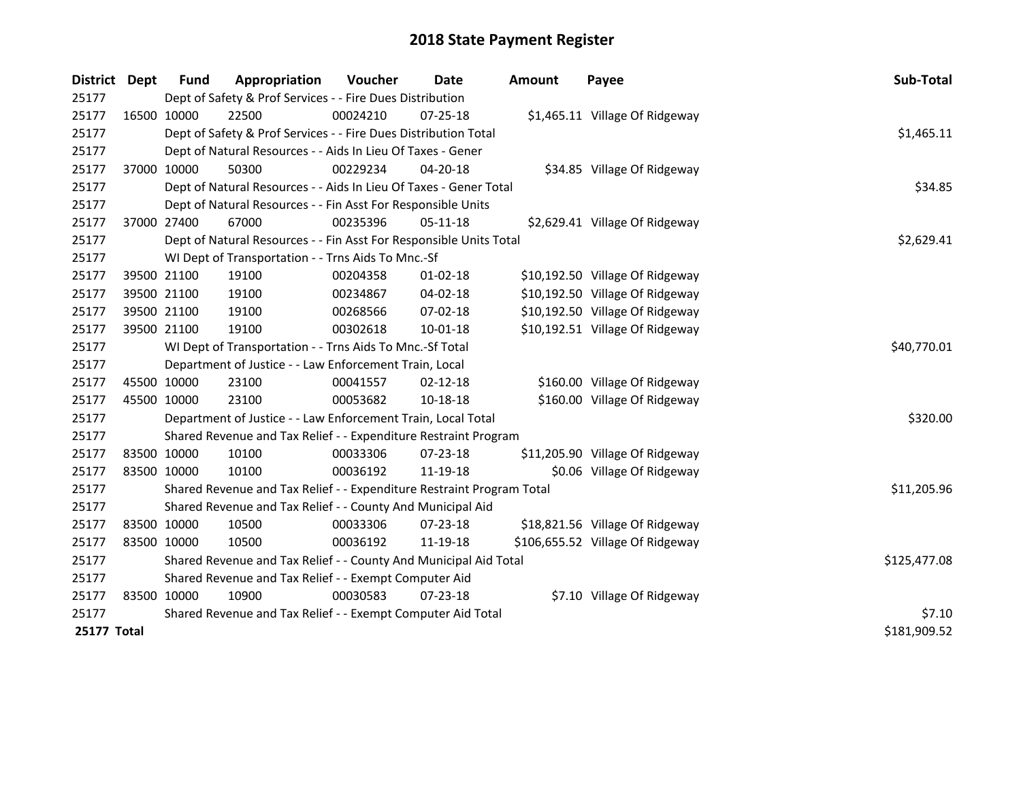| <b>District</b> | Dept | Fund        | Appropriation                                                         | Voucher      | <b>Date</b>    | Amount | Payee                            | Sub-Total    |
|-----------------|------|-------------|-----------------------------------------------------------------------|--------------|----------------|--------|----------------------------------|--------------|
| 25177           |      |             | Dept of Safety & Prof Services - - Fire Dues Distribution             |              |                |        |                                  |              |
| 25177           |      | 16500 10000 | 22500                                                                 | 00024210     | $07 - 25 - 18$ |        | \$1,465.11 Village Of Ridgeway   |              |
| 25177           |      |             | Dept of Safety & Prof Services - - Fire Dues Distribution Total       |              |                |        |                                  | \$1,465.11   |
| 25177           |      |             | Dept of Natural Resources - - Aids In Lieu Of Taxes - Gener           |              |                |        |                                  |              |
| 25177           |      | 37000 10000 | 50300                                                                 | 00229234     | 04-20-18       |        | \$34.85 Village Of Ridgeway      |              |
| 25177           |      |             | Dept of Natural Resources - - Aids In Lieu Of Taxes - Gener Total     |              |                |        |                                  | \$34.85      |
| 25177           |      |             | Dept of Natural Resources - - Fin Asst For Responsible Units          |              |                |        |                                  |              |
| 25177           |      | 37000 27400 | 67000                                                                 | 00235396     | 05-11-18       |        | \$2,629.41 Village Of Ridgeway   |              |
| 25177           |      |             | Dept of Natural Resources - - Fin Asst For Responsible Units Total    |              |                |        |                                  | \$2,629.41   |
| 25177           |      |             | WI Dept of Transportation - - Trns Aids To Mnc.-Sf                    |              |                |        |                                  |              |
| 25177           |      | 39500 21100 | 19100                                                                 | 00204358     | $01 - 02 - 18$ |        | \$10,192.50 Village Of Ridgeway  |              |
| 25177           |      | 39500 21100 | 19100                                                                 | 00234867     | 04-02-18       |        | \$10,192.50 Village Of Ridgeway  |              |
| 25177           |      | 39500 21100 | 19100                                                                 | 00268566     | 07-02-18       |        | \$10,192.50 Village Of Ridgeway  |              |
| 25177           |      | 39500 21100 | 19100                                                                 | 00302618     | 10-01-18       |        | \$10,192.51 Village Of Ridgeway  |              |
| 25177           |      |             | WI Dept of Transportation - - Trns Aids To Mnc.-Sf Total              |              |                |        |                                  | \$40,770.01  |
| 25177           |      |             | Department of Justice - - Law Enforcement Train, Local                |              |                |        |                                  |              |
| 25177           |      | 45500 10000 | 23100                                                                 | 00041557     | $02 - 12 - 18$ |        | \$160.00 Village Of Ridgeway     |              |
| 25177           |      | 45500 10000 | 23100                                                                 | 00053682     | 10-18-18       |        | \$160.00 Village Of Ridgeway     |              |
| 25177           |      |             | Department of Justice - - Law Enforcement Train, Local Total          |              |                |        |                                  | \$320.00     |
| 25177           |      |             | Shared Revenue and Tax Relief - - Expenditure Restraint Program       |              |                |        |                                  |              |
| 25177           |      | 83500 10000 | 10100                                                                 | 00033306     | 07-23-18       |        | \$11,205.90 Village Of Ridgeway  |              |
| 25177           |      | 83500 10000 | 10100                                                                 | 00036192     | 11-19-18       |        | \$0.06 Village Of Ridgeway       |              |
| 25177           |      |             | Shared Revenue and Tax Relief - - Expenditure Restraint Program Total |              |                |        |                                  | \$11,205.96  |
| 25177           |      |             | Shared Revenue and Tax Relief - - County And Municipal Aid            |              |                |        |                                  |              |
| 25177           |      | 83500 10000 | 10500                                                                 | 00033306     | $07 - 23 - 18$ |        | \$18,821.56 Village Of Ridgeway  |              |
| 25177           |      | 83500 10000 | 10500                                                                 | 00036192     | 11-19-18       |        | \$106,655.52 Village Of Ridgeway |              |
| 25177           |      |             | Shared Revenue and Tax Relief - - County And Municipal Aid Total      | \$125,477.08 |                |        |                                  |              |
| 25177           |      |             | Shared Revenue and Tax Relief - - Exempt Computer Aid                 |              |                |        |                                  |              |
| 25177           |      | 83500 10000 | 10900                                                                 | 00030583     | $07 - 23 - 18$ |        | \$7.10 Village Of Ridgeway       |              |
| 25177           |      |             | Shared Revenue and Tax Relief - - Exempt Computer Aid Total           |              |                |        |                                  | \$7.10       |
| 25177 Total     |      |             |                                                                       |              |                |        |                                  | \$181,909.52 |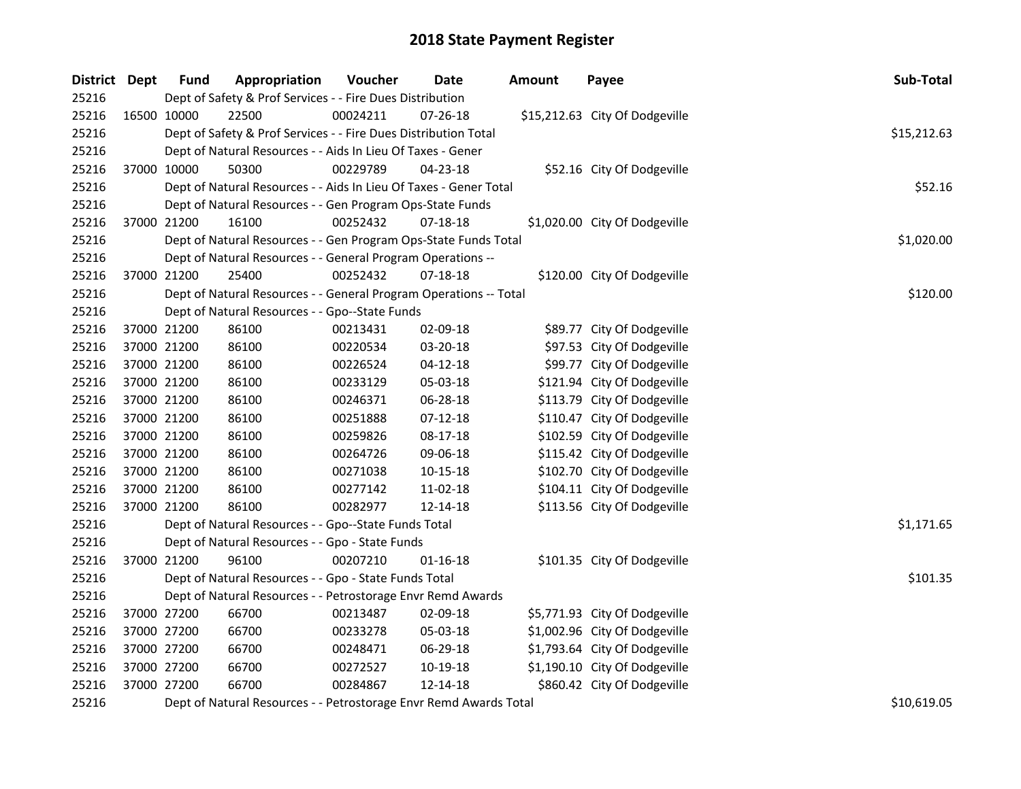| District Dept |             | <b>Fund</b> | Appropriation                                                     | Voucher     | <b>Date</b>    | <b>Amount</b> | Payee                          | Sub-Total   |
|---------------|-------------|-------------|-------------------------------------------------------------------|-------------|----------------|---------------|--------------------------------|-------------|
| 25216         |             |             | Dept of Safety & Prof Services - - Fire Dues Distribution         |             |                |               |                                |             |
| 25216         |             | 16500 10000 | 22500                                                             | 00024211    | 07-26-18       |               | \$15,212.63 City Of Dodgeville |             |
| 25216         |             |             | Dept of Safety & Prof Services - - Fire Dues Distribution Total   |             |                |               |                                | \$15,212.63 |
| 25216         |             |             | Dept of Natural Resources - - Aids In Lieu Of Taxes - Gener       |             |                |               |                                |             |
| 25216         |             | 37000 10000 | 50300                                                             | 00229789    | 04-23-18       |               | \$52.16 City Of Dodgeville     |             |
| 25216         |             |             | Dept of Natural Resources - - Aids In Lieu Of Taxes - Gener Total |             |                |               |                                | \$52.16     |
| 25216         |             |             | Dept of Natural Resources - - Gen Program Ops-State Funds         |             |                |               |                                |             |
| 25216         |             | 37000 21200 | 16100                                                             | 00252432    | 07-18-18       |               | \$1,020.00 City Of Dodgeville  |             |
| 25216         |             |             | Dept of Natural Resources - - Gen Program Ops-State Funds Total   |             |                |               |                                | \$1,020.00  |
| 25216         |             |             | Dept of Natural Resources - - General Program Operations --       |             |                |               |                                |             |
| 25216         |             | 37000 21200 | 25400                                                             | 00252432    | 07-18-18       |               | \$120.00 City Of Dodgeville    |             |
| 25216         |             |             | Dept of Natural Resources - - General Program Operations -- Total |             |                |               |                                | \$120.00    |
| 25216         |             |             | Dept of Natural Resources - - Gpo--State Funds                    |             |                |               |                                |             |
| 25216         |             | 37000 21200 | 86100                                                             | 00213431    | 02-09-18       |               | \$89.77 City Of Dodgeville     |             |
| 25216         |             | 37000 21200 | 86100                                                             | 00220534    | 03-20-18       |               | \$97.53 City Of Dodgeville     |             |
| 25216         |             | 37000 21200 | 86100                                                             | 00226524    | $04 - 12 - 18$ |               | \$99.77 City Of Dodgeville     |             |
| 25216         |             | 37000 21200 | 86100                                                             | 00233129    | 05-03-18       |               | \$121.94 City Of Dodgeville    |             |
| 25216         |             | 37000 21200 | 86100                                                             | 00246371    | 06-28-18       |               | \$113.79 City Of Dodgeville    |             |
| 25216         | 37000 21200 |             | 86100                                                             | 00251888    | $07-12-18$     |               | \$110.47 City Of Dodgeville    |             |
| 25216         |             | 37000 21200 | 86100                                                             | 00259826    | 08-17-18       |               | \$102.59 City Of Dodgeville    |             |
| 25216         |             | 37000 21200 | 86100                                                             | 00264726    | 09-06-18       |               | \$115.42 City Of Dodgeville    |             |
| 25216         |             | 37000 21200 | 86100                                                             | 00271038    | $10 - 15 - 18$ |               | \$102.70 City Of Dodgeville    |             |
| 25216         |             | 37000 21200 | 86100                                                             | 00277142    | 11-02-18       |               | \$104.11 City Of Dodgeville    |             |
| 25216         |             | 37000 21200 | 86100                                                             | 00282977    | 12-14-18       |               | \$113.56 City Of Dodgeville    |             |
| 25216         |             |             | Dept of Natural Resources - - Gpo--State Funds Total              |             |                |               |                                | \$1,171.65  |
| 25216         |             |             | Dept of Natural Resources - - Gpo - State Funds                   |             |                |               |                                |             |
| 25216         |             | 37000 21200 | 96100                                                             | 00207210    | $01 - 16 - 18$ |               | \$101.35 City Of Dodgeville    |             |
| 25216         |             |             | Dept of Natural Resources - - Gpo - State Funds Total             |             |                |               |                                | \$101.35    |
| 25216         |             |             | Dept of Natural Resources - - Petrostorage Envr Remd Awards       |             |                |               |                                |             |
| 25216         |             | 37000 27200 | 66700                                                             | 00213487    | 02-09-18       |               | \$5,771.93 City Of Dodgeville  |             |
| 25216         |             | 37000 27200 | 66700                                                             | 00233278    | 05-03-18       |               | \$1,002.96 City Of Dodgeville  |             |
| 25216         |             | 37000 27200 | 66700                                                             | 00248471    | 06-29-18       |               | \$1,793.64 City Of Dodgeville  |             |
| 25216         |             | 37000 27200 | 66700                                                             | 00272527    | 10-19-18       |               | \$1,190.10 City Of Dodgeville  |             |
| 25216         |             | 37000 27200 | 66700                                                             | 00284867    | 12-14-18       |               | \$860.42 City Of Dodgeville    |             |
| 25216         |             |             | Dept of Natural Resources - - Petrostorage Envr Remd Awards Total | \$10,619.05 |                |               |                                |             |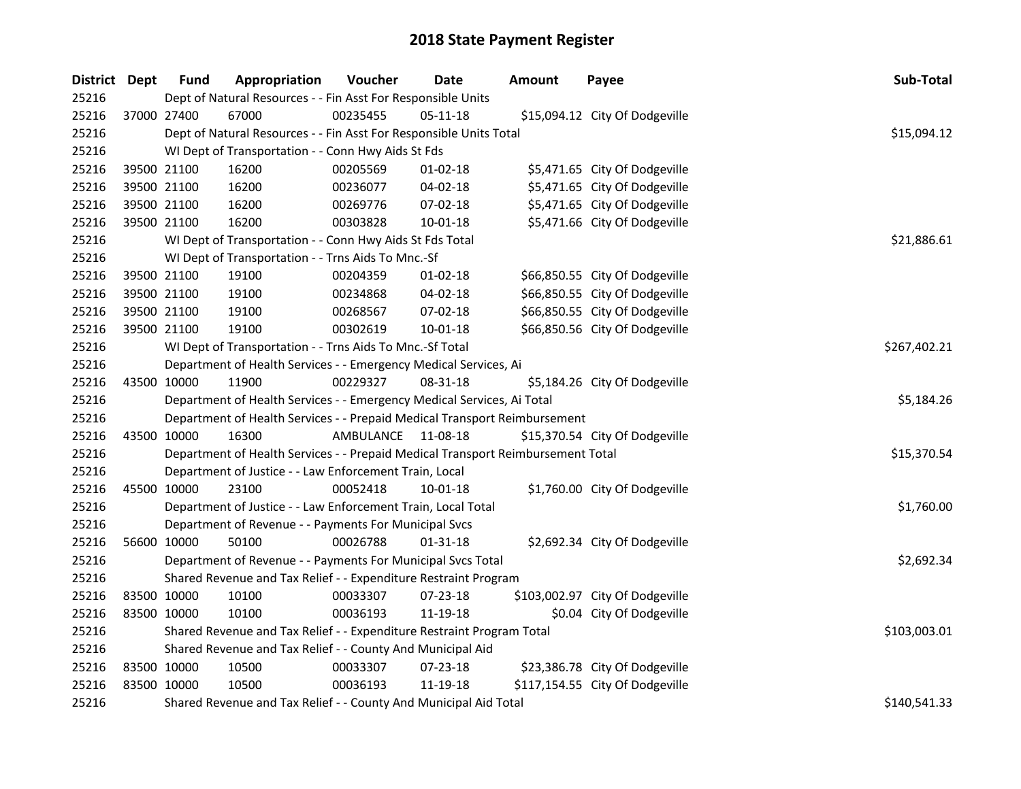| District Dept |             | <b>Fund</b>                                                     | Appropriation                                                                   | Voucher   | <b>Date</b>    | <b>Amount</b> | Payee                           | Sub-Total    |
|---------------|-------------|-----------------------------------------------------------------|---------------------------------------------------------------------------------|-----------|----------------|---------------|---------------------------------|--------------|
| 25216         |             | Dept of Natural Resources - - Fin Asst For Responsible Units    |                                                                                 |           |                |               |                                 |              |
| 25216         |             | 37000 27400                                                     | 67000                                                                           | 00235455  | 05-11-18       |               | \$15,094.12 City Of Dodgeville  |              |
| 25216         |             |                                                                 | Dept of Natural Resources - - Fin Asst For Responsible Units Total              |           |                |               |                                 | \$15,094.12  |
| 25216         |             |                                                                 | WI Dept of Transportation - - Conn Hwy Aids St Fds                              |           |                |               |                                 |              |
| 25216         |             | 39500 21100                                                     | 16200                                                                           | 00205569  | $01 - 02 - 18$ |               | \$5,471.65 City Of Dodgeville   |              |
| 25216         | 39500 21100 |                                                                 | 16200                                                                           | 00236077  | 04-02-18       |               | \$5,471.65 City Of Dodgeville   |              |
| 25216         | 39500 21100 |                                                                 | 16200                                                                           | 00269776  | 07-02-18       |               | \$5,471.65 City Of Dodgeville   |              |
| 25216         | 39500 21100 |                                                                 | 16200                                                                           | 00303828  | 10-01-18       |               | \$5,471.66 City Of Dodgeville   |              |
| 25216         |             |                                                                 | WI Dept of Transportation - - Conn Hwy Aids St Fds Total                        |           |                |               |                                 | \$21,886.61  |
| 25216         |             |                                                                 | WI Dept of Transportation - - Trns Aids To Mnc.-Sf                              |           |                |               |                                 |              |
| 25216         |             | 39500 21100                                                     | 19100                                                                           | 00204359  | $01 - 02 - 18$ |               | \$66,850.55 City Of Dodgeville  |              |
| 25216         |             | 39500 21100                                                     | 19100                                                                           | 00234868  | 04-02-18       |               | \$66,850.55 City Of Dodgeville  |              |
| 25216         |             | 39500 21100                                                     | 19100                                                                           | 00268567  | 07-02-18       |               | \$66,850.55 City Of Dodgeville  |              |
| 25216         |             | 39500 21100                                                     | 19100                                                                           | 00302619  | 10-01-18       |               | \$66,850.56 City Of Dodgeville  |              |
| 25216         |             |                                                                 | WI Dept of Transportation - - Trns Aids To Mnc.-Sf Total                        |           |                |               |                                 | \$267,402.21 |
| 25216         |             |                                                                 | Department of Health Services - - Emergency Medical Services, Ai                |           |                |               |                                 |              |
| 25216         |             | 43500 10000                                                     | 11900                                                                           | 00229327  | 08-31-18       |               | \$5,184.26 City Of Dodgeville   |              |
| 25216         |             |                                                                 | Department of Health Services - - Emergency Medical Services, Ai Total          |           |                |               |                                 | \$5,184.26   |
| 25216         |             |                                                                 | Department of Health Services - - Prepaid Medical Transport Reimbursement       |           |                |               |                                 |              |
| 25216         |             | 43500 10000                                                     | 16300                                                                           | AMBULANCE | 11-08-18       |               | \$15,370.54 City Of Dodgeville  |              |
| 25216         |             |                                                                 | Department of Health Services - - Prepaid Medical Transport Reimbursement Total |           |                |               |                                 | \$15,370.54  |
| 25216         |             |                                                                 | Department of Justice - - Law Enforcement Train, Local                          |           |                |               |                                 |              |
| 25216         |             | 45500 10000                                                     | 23100                                                                           | 00052418  | 10-01-18       |               | \$1,760.00 City Of Dodgeville   |              |
| 25216         |             |                                                                 | Department of Justice - - Law Enforcement Train, Local Total                    |           |                |               |                                 | \$1,760.00   |
| 25216         |             |                                                                 | Department of Revenue - - Payments For Municipal Svcs                           |           |                |               |                                 |              |
| 25216         |             | 56600 10000                                                     | 50100                                                                           | 00026788  | $01 - 31 - 18$ |               | \$2,692.34 City Of Dodgeville   |              |
| 25216         |             |                                                                 | Department of Revenue - - Payments For Municipal Svcs Total                     |           |                |               |                                 | \$2,692.34   |
| 25216         |             | Shared Revenue and Tax Relief - - Expenditure Restraint Program |                                                                                 |           |                |               |                                 |              |
| 25216         | 83500 10000 |                                                                 | 10100                                                                           | 00033307  | 07-23-18       |               | \$103,002.97 City Of Dodgeville |              |
| 25216         | 83500 10000 |                                                                 | 10100                                                                           | 00036193  | 11-19-18       |               | \$0.04 City Of Dodgeville       |              |
| 25216         |             |                                                                 | Shared Revenue and Tax Relief - - Expenditure Restraint Program Total           |           |                |               |                                 | \$103,003.01 |
| 25216         |             | Shared Revenue and Tax Relief - - County And Municipal Aid      |                                                                                 |           |                |               |                                 |              |
| 25216         | 83500 10000 |                                                                 | 10500                                                                           | 00033307  | 07-23-18       |               | \$23,386.78 City Of Dodgeville  |              |
| 25216         | 83500 10000 |                                                                 | 10500                                                                           | 00036193  | 11-19-18       |               | \$117,154.55 City Of Dodgeville |              |
| 25216         |             |                                                                 | Shared Revenue and Tax Relief - - County And Municipal Aid Total                |           |                |               |                                 | \$140,541.33 |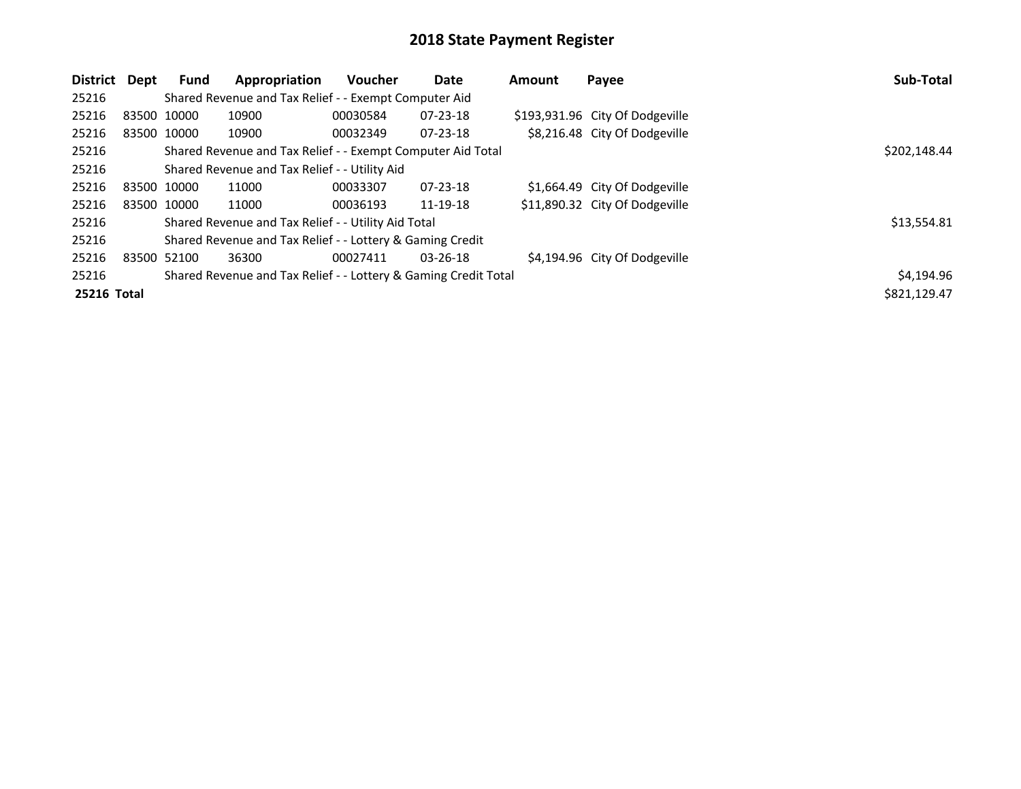| District           | Dept        | <b>Fund</b>                                               | Appropriation                                                   | <b>Voucher</b> | Date           | <b>Amount</b> | Payee                           | Sub-Total    |
|--------------------|-------------|-----------------------------------------------------------|-----------------------------------------------------------------|----------------|----------------|---------------|---------------------------------|--------------|
| 25216              |             |                                                           |                                                                 |                |                |               |                                 |              |
| 25216              | 83500 10000 |                                                           | 10900                                                           | 00030584       | $07 - 23 - 18$ |               | \$193,931.96 City Of Dodgeville |              |
| 25216              | 83500 10000 |                                                           | 10900                                                           | 00032349       | $07 - 23 - 18$ |               | \$8,216.48 City Of Dodgeville   |              |
| 25216              |             |                                                           | Shared Revenue and Tax Relief - - Exempt Computer Aid Total     |                |                |               |                                 | \$202,148.44 |
| 25216              |             |                                                           | Shared Revenue and Tax Relief - - Utility Aid                   |                |                |               |                                 |              |
| 25216              | 83500 10000 |                                                           | 11000                                                           | 00033307       | $07 - 23 - 18$ |               | \$1,664.49 City Of Dodgeville   |              |
| 25216              |             | 83500 10000                                               | 11000                                                           | 00036193       | 11-19-18       |               | \$11,890.32 City Of Dodgeville  |              |
| 25216              |             |                                                           | Shared Revenue and Tax Relief - - Utility Aid Total             |                |                |               |                                 | \$13,554.81  |
| 25216              |             | Shared Revenue and Tax Relief - - Lottery & Gaming Credit |                                                                 |                |                |               |                                 |              |
| 25216              | 83500 52100 |                                                           | 36300                                                           | 00027411       | $03 - 26 - 18$ |               | \$4,194.96 City Of Dodgeville   |              |
| 25216              |             |                                                           | Shared Revenue and Tax Relief - - Lottery & Gaming Credit Total |                |                |               |                                 | \$4,194.96   |
| <b>25216 Total</b> |             |                                                           |                                                                 |                |                |               |                                 | \$821.129.47 |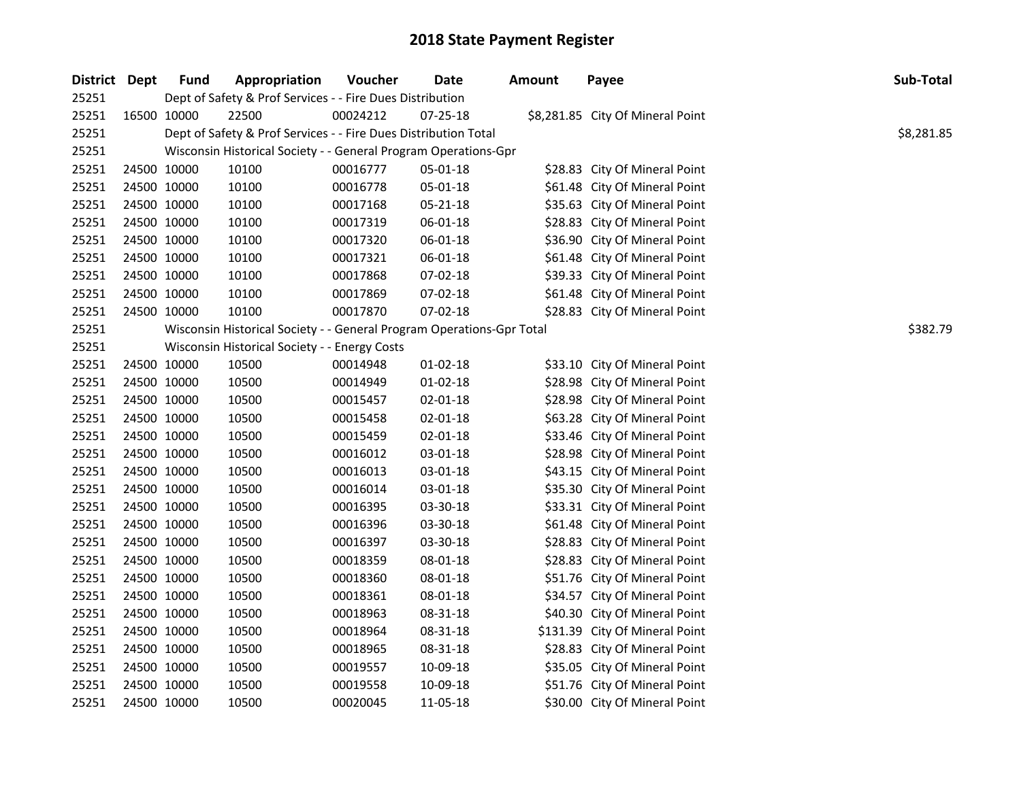| District Dept |             | <b>Fund</b> | Appropriation                                                         | Voucher  | <b>Date</b>    | <b>Amount</b> | Payee                            | Sub-Total  |
|---------------|-------------|-------------|-----------------------------------------------------------------------|----------|----------------|---------------|----------------------------------|------------|
| 25251         |             |             | Dept of Safety & Prof Services - - Fire Dues Distribution             |          |                |               |                                  |            |
| 25251         | 16500 10000 |             | 22500                                                                 | 00024212 | $07 - 25 - 18$ |               | \$8,281.85 City Of Mineral Point |            |
| 25251         |             |             | Dept of Safety & Prof Services - - Fire Dues Distribution Total       |          |                |               |                                  | \$8,281.85 |
| 25251         |             |             | Wisconsin Historical Society - - General Program Operations-Gpr       |          |                |               |                                  |            |
| 25251         | 24500 10000 |             | 10100                                                                 | 00016777 | 05-01-18       |               | \$28.83 City Of Mineral Point    |            |
| 25251         | 24500 10000 |             | 10100                                                                 | 00016778 | 05-01-18       |               | \$61.48 City Of Mineral Point    |            |
| 25251         | 24500 10000 |             | 10100                                                                 | 00017168 | 05-21-18       |               | \$35.63 City Of Mineral Point    |            |
| 25251         | 24500 10000 |             | 10100                                                                 | 00017319 | 06-01-18       |               | \$28.83 City Of Mineral Point    |            |
| 25251         | 24500 10000 |             | 10100                                                                 | 00017320 | 06-01-18       |               | \$36.90 City Of Mineral Point    |            |
| 25251         | 24500 10000 |             | 10100                                                                 | 00017321 | 06-01-18       |               | \$61.48 City Of Mineral Point    |            |
| 25251         | 24500 10000 |             | 10100                                                                 | 00017868 | 07-02-18       |               | \$39.33 City Of Mineral Point    |            |
| 25251         | 24500 10000 |             | 10100                                                                 | 00017869 | 07-02-18       |               | \$61.48 City Of Mineral Point    |            |
| 25251         | 24500 10000 |             | 10100                                                                 | 00017870 | $07-02-18$     |               | \$28.83 City Of Mineral Point    |            |
| 25251         |             |             | Wisconsin Historical Society - - General Program Operations-Gpr Total |          |                |               |                                  | \$382.79   |
| 25251         |             |             | Wisconsin Historical Society - - Energy Costs                         |          |                |               |                                  |            |
| 25251         | 24500 10000 |             | 10500                                                                 | 00014948 | $01-02-18$     |               | \$33.10 City Of Mineral Point    |            |
| 25251         | 24500 10000 |             | 10500                                                                 | 00014949 | $01-02-18$     |               | \$28.98 City Of Mineral Point    |            |
| 25251         | 24500 10000 |             | 10500                                                                 | 00015457 | 02-01-18       |               | \$28.98 City Of Mineral Point    |            |
| 25251         | 24500 10000 |             | 10500                                                                 | 00015458 | 02-01-18       |               | \$63.28 City Of Mineral Point    |            |
| 25251         | 24500 10000 |             | 10500                                                                 | 00015459 | 02-01-18       |               | \$33.46 City Of Mineral Point    |            |
| 25251         | 24500 10000 |             | 10500                                                                 | 00016012 | 03-01-18       |               | \$28.98 City Of Mineral Point    |            |
| 25251         | 24500 10000 |             | 10500                                                                 | 00016013 | 03-01-18       |               | \$43.15 City Of Mineral Point    |            |
| 25251         | 24500 10000 |             | 10500                                                                 | 00016014 | 03-01-18       |               | \$35.30 City Of Mineral Point    |            |
| 25251         | 24500 10000 |             | 10500                                                                 | 00016395 | 03-30-18       |               | \$33.31 City Of Mineral Point    |            |
| 25251         | 24500 10000 |             | 10500                                                                 | 00016396 | 03-30-18       |               | \$61.48 City Of Mineral Point    |            |
| 25251         | 24500 10000 |             | 10500                                                                 | 00016397 | 03-30-18       |               | \$28.83 City Of Mineral Point    |            |
| 25251         | 24500 10000 |             | 10500                                                                 | 00018359 | 08-01-18       |               | \$28.83 City Of Mineral Point    |            |
| 25251         | 24500 10000 |             | 10500                                                                 | 00018360 | 08-01-18       |               | \$51.76 City Of Mineral Point    |            |
| 25251         | 24500 10000 |             | 10500                                                                 | 00018361 | 08-01-18       |               | \$34.57 City Of Mineral Point    |            |
| 25251         | 24500 10000 |             | 10500                                                                 | 00018963 | 08-31-18       |               | \$40.30 City Of Mineral Point    |            |
| 25251         | 24500 10000 |             | 10500                                                                 | 00018964 | 08-31-18       |               | \$131.39 City Of Mineral Point   |            |
| 25251         | 24500 10000 |             | 10500                                                                 | 00018965 | 08-31-18       |               | \$28.83 City Of Mineral Point    |            |
| 25251         | 24500 10000 |             | 10500                                                                 | 00019557 | 10-09-18       |               | \$35.05 City Of Mineral Point    |            |
| 25251         | 24500 10000 |             | 10500                                                                 | 00019558 | 10-09-18       |               | \$51.76 City Of Mineral Point    |            |
| 25251         | 24500 10000 |             | 10500                                                                 | 00020045 | 11-05-18       |               | \$30.00 City Of Mineral Point    |            |
|               |             |             |                                                                       |          |                |               |                                  |            |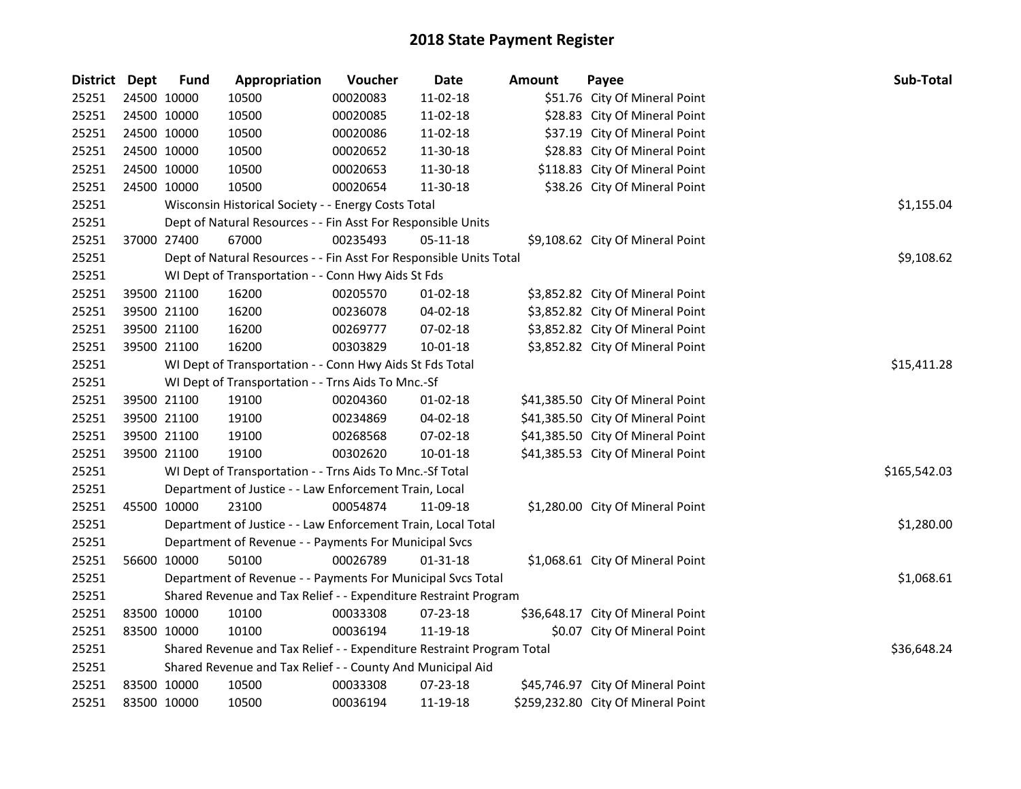| District Dept |             | <b>Fund</b> | Appropriation                                                         | Voucher  | <b>Date</b>    | Amount | Payee                              | Sub-Total    |
|---------------|-------------|-------------|-----------------------------------------------------------------------|----------|----------------|--------|------------------------------------|--------------|
| 25251         |             | 24500 10000 | 10500                                                                 | 00020083 | 11-02-18       |        | \$51.76 City Of Mineral Point      |              |
| 25251         |             | 24500 10000 | 10500                                                                 | 00020085 | $11-02-18$     |        | \$28.83 City Of Mineral Point      |              |
| 25251         | 24500 10000 |             | 10500                                                                 | 00020086 | 11-02-18       |        | \$37.19 City Of Mineral Point      |              |
| 25251         |             | 24500 10000 | 10500                                                                 | 00020652 | 11-30-18       |        | \$28.83 City Of Mineral Point      |              |
| 25251         | 24500 10000 |             | 10500                                                                 | 00020653 | 11-30-18       |        | \$118.83 City Of Mineral Point     |              |
| 25251         | 24500 10000 |             | 10500                                                                 | 00020654 | 11-30-18       |        | \$38.26 City Of Mineral Point      |              |
| 25251         |             |             | Wisconsin Historical Society - - Energy Costs Total                   |          | \$1,155.04     |        |                                    |              |
| 25251         |             |             | Dept of Natural Resources - - Fin Asst For Responsible Units          |          |                |        |                                    |              |
| 25251         |             | 37000 27400 | 67000                                                                 | 00235493 | 05-11-18       |        | \$9,108.62 City Of Mineral Point   |              |
| 25251         |             |             | Dept of Natural Resources - - Fin Asst For Responsible Units Total    |          |                |        |                                    | \$9,108.62   |
| 25251         |             |             | WI Dept of Transportation - - Conn Hwy Aids St Fds                    |          |                |        |                                    |              |
| 25251         |             | 39500 21100 | 16200                                                                 | 00205570 | $01 - 02 - 18$ |        | \$3,852.82 City Of Mineral Point   |              |
| 25251         |             | 39500 21100 | 16200                                                                 | 00236078 | 04-02-18       |        | \$3,852.82 City Of Mineral Point   |              |
| 25251         |             | 39500 21100 | 16200                                                                 | 00269777 | 07-02-18       |        | \$3,852.82 City Of Mineral Point   |              |
| 25251         |             | 39500 21100 | 16200                                                                 | 00303829 | 10-01-18       |        | \$3,852.82 City Of Mineral Point   |              |
| 25251         |             |             | WI Dept of Transportation - - Conn Hwy Aids St Fds Total              |          | \$15,411.28    |        |                                    |              |
| 25251         |             |             | WI Dept of Transportation - - Trns Aids To Mnc.-Sf                    |          |                |        |                                    |              |
| 25251         |             | 39500 21100 | 19100                                                                 | 00204360 | $01 - 02 - 18$ |        | \$41,385.50 City Of Mineral Point  |              |
| 25251         |             | 39500 21100 | 19100                                                                 | 00234869 | 04-02-18       |        | \$41,385.50 City Of Mineral Point  |              |
| 25251         |             | 39500 21100 | 19100                                                                 | 00268568 | $07 - 02 - 18$ |        | \$41,385.50 City Of Mineral Point  |              |
| 25251         |             | 39500 21100 | 19100                                                                 | 00302620 | $10 - 01 - 18$ |        | \$41,385.53 City Of Mineral Point  |              |
| 25251         |             |             | WI Dept of Transportation - - Trns Aids To Mnc.-Sf Total              |          |                |        |                                    | \$165,542.03 |
| 25251         |             |             | Department of Justice - - Law Enforcement Train, Local                |          |                |        |                                    |              |
| 25251         |             | 45500 10000 | 23100                                                                 | 00054874 | 11-09-18       |        | \$1,280.00 City Of Mineral Point   |              |
| 25251         |             |             | Department of Justice - - Law Enforcement Train, Local Total          |          |                |        |                                    | \$1,280.00   |
| 25251         |             |             | Department of Revenue - - Payments For Municipal Svcs                 |          |                |        |                                    |              |
| 25251         | 56600 10000 |             | 50100                                                                 | 00026789 | 01-31-18       |        | \$1,068.61 City Of Mineral Point   |              |
| 25251         |             |             | Department of Revenue - - Payments For Municipal Svcs Total           |          |                |        |                                    | \$1,068.61   |
| 25251         |             |             | Shared Revenue and Tax Relief - - Expenditure Restraint Program       |          |                |        |                                    |              |
| 25251         | 83500 10000 |             | 10100                                                                 | 00033308 | 07-23-18       |        | \$36,648.17 City Of Mineral Point  |              |
| 25251         | 83500 10000 |             | 10100                                                                 | 00036194 | 11-19-18       |        | \$0.07 City Of Mineral Point       |              |
| 25251         |             |             | Shared Revenue and Tax Relief - - Expenditure Restraint Program Total |          | \$36,648.24    |        |                                    |              |
| 25251         |             |             | Shared Revenue and Tax Relief - - County And Municipal Aid            |          |                |        |                                    |              |
| 25251         | 83500 10000 |             | 10500                                                                 | 00033308 | 07-23-18       |        | \$45,746.97 City Of Mineral Point  |              |
| 25251         | 83500 10000 |             | 10500                                                                 | 00036194 | 11-19-18       |        | \$259,232.80 City Of Mineral Point |              |